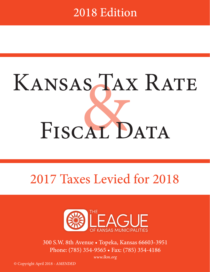## 2018 Edition

# SAA KANSAS TAX RATE FISCAL DATA

## 2017 Taxes Levied for 2018



300 S.W. 8th Avenue • Topeka, Kansas 66603-3951 Phone: (785) 354-9565 • Fax: (785) 354-4186

*www.lkm.org*

© Copyright April 2018 *- AMENDED*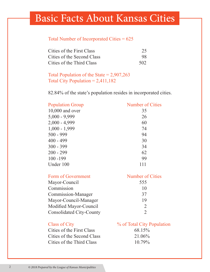### Basic Facts About Kansas Cities

#### Total Number of Incorporated Cities = 625

| Cities of the First Class  | 25  |
|----------------------------|-----|
| Cities of the Second Class | 98  |
| Cities of the Third Class  | 502 |

Total Population of the State =  $2,907,263$ Total City Population  $= 2,411,182$ 

82.84% of the state's population resides in incorporated cities.

| <b>Population Group</b> | <b>Number of Cities</b> |
|-------------------------|-------------------------|
| $10,000$ and over       | 35                      |
| $5,000 - 9,999$         | 26                      |
| $2,000 - 4,999$         | 60                      |
| $1,000 - 1,999$         | 74                      |
| $500 - 999$             | 94                      |
| $400 - 499$             | 30                      |
| $300 - 399$             | 34                      |
| $200 - 299$             | 62                      |
| $100 - 199$             | 99                      |
| Under 100               | 111                     |
|                         |                         |

| Form of Government              | <b>Number of Cities</b>     |
|---------------------------------|-----------------------------|
| Mayor-Council                   | 555                         |
| Commission                      | 10                          |
| Commission-Manager              | 37                          |
| Mayor-Council-Manager           | 19                          |
| Modified Mayor-Council          | $\mathcal{D}_{\mathcal{L}}$ |
| <b>Consolidated City-County</b> |                             |

| <b>Class of City</b>       | % of Total City Population |
|----------------------------|----------------------------|
| Cities of the First Class  | 68.15%                     |
| Cities of the Second Class | 21.06%                     |
| Cities of the Third Class  | $10.79\%$                  |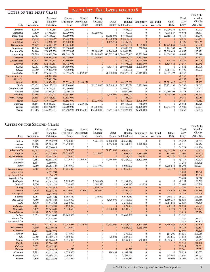#### 2017 CITY TAX RATES FOR 2018

| CITIES OF THE FIRST CLASS |            |               |              |                |                |                | 2017 CITY TAX RATES FOR 2018                 |                |                  |                |        |                    |
|---------------------------|------------|---------------|--------------|----------------|----------------|----------------|----------------------------------------------|----------------|------------------|----------------|--------|--------------------|
|                           |            |               |              |                |                |                |                                              |                |                  |                |        | <b>Total Mills</b> |
|                           |            | Assessed      | General      | Special        | Utility        |                | Total                                        |                |                  |                | Total  | Levied in          |
|                           | 2017       | Tangible      | Obligation   | Assessment     | Revenue        | Other          | <b>Bonded</b>                                | Temporary      | No-Fund          | Other          | City   | City By            |
| City                      | Population | Valuation     | <b>Bonds</b> | <b>Bonds</b>   | <b>Bonds</b>   |                | Bonds Indebtedness                           | <b>Notes</b>   | Warrants         | Debt           | Levy   | All Units          |
| <b>Atchison</b>           | 10.679     | 74,150,588    | 7,605,000    | $\Omega$       |                | $\overline{0}$ | 7,605,000                                    | $\Omega$       | $\overline{0}$   | 14,720,353     | 53.959 | 169.773            |
| Coffeyville               | 9,539      | 55,913,808    | 12,920,000   | $\mathbf{0}$   | 61,250,000     | $\Omega$       | 74,170,000                                   | $\overline{0}$ | $\mathbf{0}$     | 4,718,587      | 46.974 | 185.371            |
| Dodge City                | 27,453     | 157, 555, 224 | 43,980,000   | $\mathbf{0}$   | $\overline{0}$ | 43,755,000     | 87,735,000                                   | $\overline{0}$ | $\overline{0}$   | 22,655,114     | 48.755 | 186.949            |
| <b>Emporia</b>            | 24,816     | 154, 452, 359 | 24,215,000   | $\overline{0}$ | $\overline{0}$ | 28,000,000     | 52,215,000                                   | $\overline{0}$ | $\overline{0}$   | $\Omega$       | 42.575 | 168.251            |
| <b>Fort Scott</b>         | 7,773      | 44,231,509    | 14,440,000   | $\mathbf{0}$   | $\overline{0}$ | 1,149,544      | 15,589,544                                   | $\overline{0}$ | $\overline{0}$   | $\overline{0}$ | 48.195 | 202.869            |
| <b>Garden City</b>        | 26,747     | 216,473,067   | 40,965,000   | $\mathbf{0}$   | $\overline{0}$ | $\Omega$       | 40,965,000                                   | 4,895,000      | $\mathbf{0}$     | 47,742,059     | 32.436 | 155.980            |
| Hutchinson                | 41,310     | 308,925,509   | 69,030,000   | $\theta$       | $\Omega$       | $\theta$       | 69,030,000                                   | 550,000        | $\mathbf{0}$     | 8,765,363      | 44.123 | 174.761            |
| <b>Junction City</b>      | 24,180     | 179, 967, 778 | 102,037,845  | $\Omega$       | 28,884,076     | 14,746,805     | 145,668,726                                  | $\theta$       | $\Omega$         | 27,518,624     | 48.095 | 165.125            |
| <b>Kansas City</b>        | 151,709    | 1,120,360,300 | 329,048,174  | $\Omega$       |                |                | 674, 845, 000 390, 582, 288 1, 394, 475, 462 | 62,255,000     | $\boldsymbol{0}$ | 14,024,231     | 40.003 | 173.890            |
| Lawrence                  | 95,358     | 995,386,846   | 113,029,000  | $\overline{0}$ | 167,045,000    |                | 280,074,000                                  | 15,825,000     | $\overline{0}$   | $\Omega$       | 33.279 | 136.807            |
| Leavenworth               | 36,154     | 208, 812, 133 | 32,390,000   | $\mathbf{0}$   | $\mathbf{0}$   | $\Omega$       | 32,390,000                                   | 2,070,000      | $\mathbf{0}$     | 314,132        | 29.526 | 132.920            |
| <b>Leawood</b>            | 34,565     | 922,160,507   | 46,475,000   | $\overline{0}$ | $\mathbf{0}$   | $\Omega$       | 46,475,000                                   | 34,460,000     | $\mathbf{0}$     | 1,538,816      | 24.517 | 127.445            |
| Lenexa                    | 52,903     | 1,102,482,692 | 144,500,000  | $\overline{0}$ | $\mathbf{0}$   | 6,494,418      | 150,994,418                                  | 11,100,000     | $\boldsymbol{0}$ | $\overline{0}$ | 31.832 | 128.809            |
| Liberal                   | 20,350     | 119,872,440   | 4,630,000    | $\Omega$       | $\overline{0}$ | $\Omega$       | 4,630,000                                    | $\mathbf{0}$   | $\mathbf{0}$     | 6,361,136      | 51.795 | 185.902            |
| <b>Manhattan</b>          | 54,983     | 576,498,372   | 62,852,675   | 44,022,325     | $\Omega$       | 51,500,000     | 158,375,000                                  | 65,115,000     | $\overline{0}$   | 52,377,472     | 48.357 |                    |
| Pottawatomie Co.          |            | 48,998,788    |              |                |                |                |                                              |                |                  |                | 48.357 | 135.375            |
| Riley Co.                 |            | 527,499,584   |              |                |                |                |                                              |                |                  |                | 48.357 | 144.861            |
| <b>Newton</b>             | 19,105     | 120,854,993   | 35, 335, 829 | 9.589.171      | $\mathbf{0}$   | $\Omega$       | 44,925,000                                   | $\overline{0}$ | $\overline{0}$   | 22,585,012     | 60.326 | 167.157            |
| Olathe                    | 135,473    | 1,740,275,015 | 196,210,000  | $\mathbf{0}$   | 81,675,000     | 29,368,024     | 307.253.024                                  | 16,975,000     | $\overline{0}$   | 23, 175, 136   | 24.700 | 129.063            |
| <b>Overland Park</b>      | 188,966    | 3,473,124,461 | 115,600,000  | $\mathbf{0}$   | $\overline{0}$ | $\Omega$       | 115,600,000                                  | $\mathbf{0}$   | $\mathbf{0}$     | $\overline{0}$ | 13.565 | 115.171            |
| <b>Parsons</b>            | 9,906      | 51,917,312    | 6,600,786    | $\mathbf{0}$   | $\overline{0}$ | $\mathbf{0}$   | 6,600,786                                    | $\mathbf{0}$   | $\overline{0}$   | 112,099,303    | 54.714 | 213.777            |
| <b>Pittsburg</b>          | 20,366     | 131,396,717   | 26,545,000   | $\overline{0}$ | $\overline{0}$ | 4,490,000      | 31,035,000                                   | $\overline{0}$ | $\mathbf{0}$     | 3,754,593      | 51.467 | 155.255            |
| <b>Prairie Village</b>    | 21,805     | 365, 325, 824 | 17,125,000   | $\Omega$       | $\overline{0}$ | $\Omega$       | 17,125,000                                   | $\overline{0}$ | $\overline{0}$   | $\overline{0}$ | 19.311 | 122.088            |
| <b>Salina</b>             | 47,336     | 430,490,209   | 69,185,000   | $\overline{0}$ | 13,230,000     | $\mathbf{0}$   | 82,415,000                                   | 11,505,000     | $\overline{0}$   | $\overline{0}$ | 26.129 | 133.682            |
| <b>Shawnee</b>            | 65,194     | 868,840,831   | 46,925,558   | 3,229,442      | $\overline{0}$ | $\theta$       | 50,155,000                                   | 745,000        | $\overline{0}$   | $\Omega$       | 26.614 | 123.628            |
| <b>Topeka</b>             | 126,808    | 1,084,901,554 | 167,980,000  | $\overline{0}$ | 147,380,000    |                | 315,360,000                                  | 31,495,000     | $\mathbf{0}$     | 43,943,773     | 39.920 | 160.271            |
| Wichita                   | 389,902    | 3,365,220,341 | 455,998,920  | 158,036,080    | 452,280,000    |                | 6,957,150 1,073,272,150                      | 99,950,000     | $\overline{0}$   | $\theta$       | 32.667 | 117.293            |

#### CITIES OF THE SECOND CLASS

| <b>CITIES OF THE SECOND CLASS</b> |            |               |                                   |                  |                  |                  |                            |                  |                   |                |        | <b>Total Mills</b> |
|-----------------------------------|------------|---------------|-----------------------------------|------------------|------------------|------------------|----------------------------|------------------|-------------------|----------------|--------|--------------------|
|                                   |            | Assessed      | General                           | Special          | Utility          |                  | Total                      |                  |                   |                | Total  | Levied in          |
|                                   | 2017       | Tangible      | Obligation Assessment             |                  | Revenue          | Other            |                            | Bonded Temporary | No-Fund           | Other          | City   | City By            |
| City                              | Population | Valuation     | <b>Bonds</b>                      | <b>Bonds</b>     | <b>Bonds</b>     |                  | Bonds Indebtedness         | <b>Notes</b>     | Warrants          | Debt           | Levy   | All Units          |
| <b>Abilene</b>                    | 6,469      | 55,078,727    | 5,960,000                         | $\mathbf{0}$     | 5,261,412        | 17,440,000       | 28,661,412                 | $\mathbf{0}$     | $\overline{0}$    | $\Omega$       | 49.232 | 164.643            |
| <b>Andover</b>                    | 12,980     | 145,808,167   | 33,490,000                        | $\mathbf{0}$     | $\mathbf{0}$     | 4,654,000        | 38,144,000                 | 1,170,000        | $\boldsymbol{0}$  | $\overline{0}$ | 40.511 | 164.426            |
| Anthony                           | 2,178      | 12,330,019    | $\frac{d\mathbf{x}}{d\mathbf{x}}$ | $\frac{1}{2}$    | $\ast$           | $\frac{1}{2}$    | $\ensuremath{\mathrm{sk}}$ | s.               | $\ast$            | ×.             | 74.778 | 214.774            |
| <b>Arkansas City</b>              | 12,063     | 54,251,826    | 5,505,000                         | $\mathbf{0}$     | $\overline{0}$   | 21,175,000       | 26,680,000                 | $\mathbf{0}$     | $\overline{0}$    | 13,657,794     | 69.919 | 200.362            |
| <b>Augusta</b>                    | 9,321      | 57,718,024    | 20,050,000                        | $\boldsymbol{0}$ | 1,615,000        | $\mathbf{0}$     | 21,665,000                 | 1,430,000        | $\mathbf{0}$      | 831,000        | 55.400 | 175.125            |
| <b>Baxter Springs</b>             | 3,963      | 20,508,260    | 2,135,000                         | $\overline{0}$   | $\Omega$         | $\mathbf{0}$     | 2,135,000                  | 614,844          | $\mathbf{0}$      | 187,780        | 57.727 | 166.373            |
| <b>Bel Aire</b>                   | 7,661      | 56,501,399    | 4,279,500                         | 21,565,500       | $\mathbf{0}$     | 19,480,000       | 45,325,000                 | 13,520,000       | $\overline{0}$    | $\overline{0}$ | 45.719 | 150.724            |
| <b>Belleville</b>                 | 1,894      | 9,189,979     | $\frac{1}{2}$                     | ×.               | $\frac{1}{2}$    | $\ast$           | $\frac{1}{2}$              |                  | $\frac{1}{2} \xi$ | $\ast$         | 71.260 | 216.635            |
| <b>Beloit</b>                     | 3,769      | 26,783,387    | 2,870,000                         | $\mathbf{0}$     | 3,135,000        | $\mathbf{0}$     | 6,005,000                  | $\mathbf{0}$     | $\overline{0}$    | 5,210,518      | 58.398 | 206.237            |
| <b>Bonner Springs</b>             | 7,665      | 75,395,170    | 14,055,000                        | $\Omega$         | $\Omega$         | $\Omega$         | 14,055,000                 | $\overline{0}$   | $\overline{0}$    | 803,472        | 33.689 |                    |
| Johnson Co.                       |            | 4,632,799     |                                   |                  |                  |                  |                            |                  |                   |                | 33.689 | 134.628            |
| Leavenworth Co.                   |            | 30,373        |                                   |                  |                  |                  |                            |                  |                   |                | 33.689 | 133.306            |
| Wyandotte Co.                     |            | 70,731,998    |                                   |                  |                  |                  |                            |                  |                   |                | 33.689 | 164.028            |
| <b>Burlington</b>                 | 2,610      | 17,093,222    | 2,995,000                         | $\mathbf{0}$     | 8,544,604        | $\mathbf{0}$     | 11,539,604                 | $\overline{0}$   | $\overline{0}$    | $\Omega$       | 40.555 | 128.519            |
| Caldwell                          | 1,020      | 5,401,447     | 334,066                           | $\mathbf{0}$     | 1,104,576        | $\mathbf{0}$     | 1,438,642                  | 45,020           | $\overline{0}$    | $\Omega$       | 71.666 | 216.218            |
| Caney                             | 2,042      | 10,747,917    | 710,000                           | $\mathbf{0}$     | 1,980,712        | $\mathbf{0}$     | 2,690,712                  | $\mathbf{0}$     | $\mathbf{0}$      | $\Omega$       | 52.190 | 195.171            |
| <b>Chanute</b>                    | 9,139      | 61,254,558    | 19,130,000                        | 436,000          | 7,995,000        | $\overline{0}$   | 27,561,000                 | $\mathbf{0}$     | $\mathbf{0}$      | 764,416        | 37.706 | 184.386            |
| <b>Cherryvale</b>                 | 2,190      | 7,244,958     | 3,125,000                         | $\mathbf{0}$     | $\mathbf{0}$     | $\mathbf{0}$     | 3,125,000                  | $\mathbf{0}$     | $\mathbf{0}$      | 27,751         | 70.154 | 207.209            |
| Chetopa                           | 1,061      | 2,891,622     | 5,905,780                         | $\mathbf{0}$     | 110,000          | $\mathbf{0}$     | 6,015,780                  | $\mathbf{0}$     | $\overline{0}$    | 240,811        | 66.351 | 233.750            |
| <b>Clay Center</b>                | 4,069      | 27,401,332    | 9,720,000                         | $\Omega$         | $\mathbf{0}$     | 4,420,000        | 14,140,000                 | $\Omega$         | $\overline{0}$    | 1,669,335      | 65.856 | 183.489            |
| Colby                             | 5,419      | 50,614,264    | 3,250,000                         | $\mathbf{0}$     | $\mathbf{0}$     | $\mathbf{0}$     | 3,250,000                  | $\overline{0}$   | $\boldsymbol{0}$  | 6,064,560      | 32.029 | 174.518            |
| <b>Columbus</b>                   | 3,104      | 18,013,949    | 1,690,000                         | $\mathbf{0}$     | $\overline{0}$   | $\mathbf{0}$     | 1,690,000                  | $\mathbf{0}$     | $\mathbf{0}$      | 930,132        | 56.560 | 152.817            |
| Concordia                         | 5,179      | 28,049,001    | 5,740,600                         | $\mathbf{0}$     | $\boldsymbol{0}$ | 2,540,000        | 8,280,600                  | $\mathbf{0}$     | $\mathbf{0}$      | 2,179          | 57.143 | 212.127            |
| <b>Council Grove</b>              | 2,060      | 12,747,702    | $\ast$                            | $\ast$           | $\ast$           | $\ast$           | $\frac{1}{2}$              | $\ast$           | $\ast$            | $\ast$         | 65.813 | 203.936            |
| De Soto                           | 6,071      | 72,455,693    | 19,640,000                        | $\mathbf{0}$     | $\mathbf{0}$     | $\mathbf{0}$     | 19,640,000                 | $\overline{0}$   | $\overline{0}$    | $\theta$       | 25.382 |                    |
| Johnson Co.                       |            | 72,374,501    |                                   |                  |                  |                  |                            |                  |                   |                | 25.382 | 151.602            |
| Leavenworth Co.                   |            | 81,192        |                                   |                  |                  |                  |                            |                  |                   |                | 25.382 | 135.357            |
| <b>Derby</b>                      | 23,633     | 207, 761, 220 | 37, 543, 648                      | 25,516,352       | $\overline{0}$   | 20,465,000       | 83,525,000                 | 5,375,000        | $\mathbf{0}$      | 1,136,058      | 48.075 | 140.309            |
| <b>Edwardsville</b>               | 4,390      | 57,019,646    | 6,525,000                         | $\mathbf{0}$     | $\mathbf{0}$     | $\mathbf{0}$     | 6,525,000                  | 1,215,000        | $\mathbf{0}$      | $\overline{0}$ | 46.155 | 182.517            |
| <b>El Dorado</b>                  | 13,141     | 86,653,051    | $\ast$                            | $\ast$           | $\ast$           | $\ast$           | $\ast$                     | $\ast$           | $\ast$            | $\ast$         | 52.995 | 174.398            |
| <b>Elkhart</b>                    | 1,934      | 9,896,634     | 375,000                           | $\mathbf{0}$     | $\mathbf{0}$     | $\mathbf{0}$     | 375,000                    | $\mathbf{0}$     | $\overline{0}$    | 184,291        | 64.055 | 213.759            |
| Ellis                             | 2,050      | 13,809,617    | 4,002,000                         | $\mathbf{0}$     | $\overline{0}$   | 625,000          | 4,627,000                  | $\boldsymbol{0}$ | $\overline{0}$    | 763,846        | 71.059 | 161.464            |
| Eudora                            | 6,379      | 41,900,015    | 8,335,000                         | $\mathbf{0}$     | $\mathbf{0}$     | $\mathbf{0}$     | 8,335,000                  | 950,000          | $\overline{0}$    | 4,082,611      | 39.499 | 162.767            |
| <b>Eureka</b>                     | 2,410      | 10,504,567    | $\ast$                            | $\frac{1}{2}$    | $\frac{1}{2}$    | $\frac{1}{2}$    | $\frac{1}{2}$              | $\frac{1}{2}$    | $\frac{1}{2}$     |                | 62.758 | 201.130            |
| Fairway                           | 3,972      | 92,497,350    | $\ast$                            | ×.               | $\ast$           | *                | $\ast$                     | ×                | $\ast$            | $\ast$         | 19.914 | 122.691            |
| <b>Florence</b>                   | 441        | 1,599,428     | 61,790                            | $\Omega$         | $\Omega$         | $\Omega$         | 61,790                     | $\Omega$         | $\Omega$          | $\Omega$       | 83.201 | 225.021            |
| Fredonia                          | 2,291      | 10,613,244    | 4,378,600                         | $\mathbf{0}$     | $\mathbf{0}$     | 186,499          | 4,565,099                  | $\overline{0}$   | $\overline{0}$    | $\overline{0}$ | 59.913 | 180.577            |
| Frontenac                         | 3,414      | 21,396,889    | 2,709,000                         | $\mathbf{0}$     | $\boldsymbol{0}$ | $\boldsymbol{0}$ | 2,709,000                  | $\mathbf{0}$     | $\mathbf{0}$      | 533,042        | 47.697 | 151.627            |
| Galena                            | 2,886      | 19,772,294    | 1,457,686                         | $\mathbf{0}$     | $\mathbf{0}$     | $\mathbf{0}$     | 1,457,686                  | $\overline{0}$   | $\overline{0}$    | 80,964         | 66.502 | 174.016            |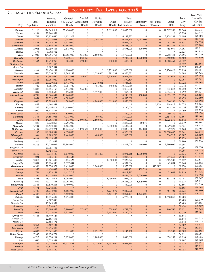#### 2017 City Tax Rates for 2018

CITIES OF THE SECOND CLASS

|                                     |                 | CITIES OF THE SECOND CLASS |                                |                                      |                                  |                                      |                                   |                                      |                                      |                               |                  | <b>Total Mills</b>   |
|-------------------------------------|-----------------|----------------------------|--------------------------------|--------------------------------------|----------------------------------|--------------------------------------|-----------------------------------|--------------------------------------|--------------------------------------|-------------------------------|------------------|----------------------|
|                                     |                 | Assessed                   | General                        | Special                              | Utility                          |                                      | Total                             |                                      |                                      |                               | Total            | Levied in            |
|                                     | 2017            | Tangible                   | Obligation Assessment          |                                      | Revenue                          | Other                                |                                   | Bonded Temporary                     | No-Fund                              | Other                         | City             | City By<br>All Units |
| City                                | Population      | Valuation                  | <b>Bonds</b>                   | <b>Bonds</b>                         | <b>Bonds</b>                     |                                      | Bonds Indebtedness                | <b>Notes</b>                         | Warrants                             | Debt                          | Levy             |                      |
| Gardner                             | 21,110          | 174,045,519                | 37,420,000<br>×                | $\boldsymbol{0}$<br>$\frac{1}{2}$    | $\overline{0}$                   | 2,015,000<br>×                       | 39,435,000                        | $\boldsymbol{0}$<br>$\frac{1}{2}$    | $\boldsymbol{0}$<br>$\ast$           | 11,317,950<br>$\ast$          | 20.540           | 137.315              |
| <b>Garnett</b><br><b>Girard</b>     | 3,264<br>2,748  | 22,864,858<br>12,829,690   | 6,132,322                      | $\boldsymbol{0}$                     | $\mathbf{0}$                     | $\mathbf{0}$                         | 6,132,322                         | $\mathbf{0}$                         | $\mathbf{0}$                         | 3,178,289                     | 43.226<br>61.186 | 193.447<br>176.002   |
| <b>Goddard</b>                      | 4,710           | 40,028,668                 | 5,085,000                      | $\overline{0}$                       | 5,292,724                        | $\overline{0}$                       | 10,377,724                        | 4,697,000                            | $\mathbf{0}$                         | $\mathbf{0}$                  | 33.230           | 142.910              |
| <b>Goodland</b>                     | 4,441           | 31,445,135                 | 6,925,000                      | $\overline{0}$                       | $\overline{0}$                   | $\mathbf{0}$                         | 6,925,000                         | $\mathbf{0}$                         | $\mathbf{0}$                         | 63,162                        | 49.834           | 164.528              |
| <b>Great Bend</b>                   | 15,535          | 103,846,461                | 10,565,000                     | $\overline{0}$                       | $\mathbf{0}$                     | $\mathbf{0}$                         | 10,565,000                        | $\mathbf{0}$                         | $\mathbf{0}$                         | 562,754                       | 52.183           | 185.984              |
| <b>Halstead</b>                     | 2,081           | 13, 159, 803               | 2,675,000<br>$\frac{1}{2}$     | $\overline{0}$<br>$\frac{1}{2}$      | $\overline{0}$<br>$\frac{1}{2}$  | $\mathbf{0}$<br>$\frac{1}{2}$        | 2,675,000<br>$\ast$               | 300,000                              | $\boldsymbol{0}$<br>$\ast$           | 485,979<br>$\ast$             | 74.063<br>72.133 | 172.211<br>217.828   |
| <b>Harper</b><br><b>Hays</b>        | 1,376<br>21,027 | 9,762,702<br>224,396,765   | 10,005,000                     | 955,000                              | 2,800,000                        | $\overline{0}$                       | 13,760,000                        | $\mathbf{0}$                         | $\overline{0}$                       | 2,298,734                     | 24.996           | 112.079              |
| <b>Haysville</b>                    | 11,245          | 57, 135, 515               | 5,720,510                      | 4,024,490                            | $\overline{0}$                   | $\overline{0}$                       | 9,745,000                         | 1,220,000                            | $\mathbf{0}$                         | 3,650,000                     | 48.500           | 153.880              |
| <b>Herington</b>                    | 2,362           | 10,278,950                 | 885,000                        | 290,000                              | $\mathbf{0}$                     | 230,000                              | 1,405,000                         | $\mathbf{0}$                         | $\mathbf{0}$                         | 1,088,461                     | 90.327           |                      |
| Dickinson Co.                       |                 | 9,171,356                  |                                |                                      |                                  |                                      |                                   |                                      |                                      |                               | 90.327           | 217.668              |
| Morris Co.<br><b>Hesston</b>        | 3,803           | 1,107,594<br>31,474,149    | 6,190,000                      | $\boldsymbol{0}$                     | $\mathbf{0}$                     | 6,235,000                            | 12,425,000                        | $\boldsymbol{0}$                     | $\boldsymbol{0}$                     | 3,176,426                     | 90.327<br>35.856 | 248.304<br>149.951   |
| <b>Hiawatha</b>                     | 3,065           | 22, 256, 756               | 8,365,192                      | $\boldsymbol{0}$                     | 1,230,000                        | 781,333                              | 10,376,525                        | $\boldsymbol{0}$                     | $\boldsymbol{0}$                     | $\theta$                      | 54.008           | 143.743              |
| <b>Hillsboro</b>                    | 2,887           | 17,908,650                 | 6,931,938                      | 46,000                               | $\mathbf{0}$                     | 2,950,000                            | 9,927,938                         | $\mathbf{0}$                         | $\boldsymbol{0}$                     | 667,674                       | 43.762           | 183.675              |
| <b>Hoisington</b>                   | 2,586           | 10,394,960                 | 1,570,594                      | $\mathbf{0}$                         | $\Omega$                         | $\boldsymbol{0}$                     | 1,570,594                         | $\mathbf{0}$                         | $\boldsymbol{0}$                     | $\overline{0}$                | 62.767           | 197.381              |
| <b>Holton</b>                       | 3,285           | 20,929,211                 | 1,475,000                      | $\mathbf{0}$                         | 3,270,081                        | $\overline{0}$                       | 4,745,081                         | $\overline{0}$                       | $\mathbf{0}$                         | $\Omega$                      | 57.732           | 198.368              |
| <b>Horton</b><br><b>Hugoton</b>     | 1,702<br>3,835  | 6,185,270<br>20, 155, 156  | 9,351,789<br>2,645,000         | $\boldsymbol{0}$<br>565,000          | 465,000<br>$\mathbf{0}$          | 540,000<br>$\boldsymbol{0}$          | 10,356,789<br>3,210,000           | $\mathbf{0}$<br>$\boldsymbol{0}$     | $\boldsymbol{0}$<br>$\boldsymbol{0}$ | $\overline{0}$<br>835,842     | 67.718<br>48.750 | 147.027<br>209.893   |
| Humboldt                            | 1,847           | 8,120,680                  | 176,000                        | $\boldsymbol{0}$                     | 1,177,000                        | $\mathbf{0}$                         | 1,353,000                         | $\boldsymbol{0}$                     | $\overline{0}$                       | 2,074,519                     | 88.499           | 234.934              |
| <b>Independence</b>                 | 8,799           | 48,964,697                 | 10,240,000                     | $\boldsymbol{0}$                     | $\mathbf{0}$                     | $\overline{0}$                       | 10,240,000                        | 450,809                              | $\mathbf{0}$                         | 2,973,122                     | 53.090           | 196.556              |
| <b><i>Iola</i></b>                  | 5,454           | 29, 533, 573               | 4,585,000                      | $\overline{0}$                       | $\Omega$                         | $\overline{0}$                       | 4,585,000                         | $\mathbf{0}$                         | $\mathbf{0}$                         | $\mathbf{0}$                  | 48.479           | 182.100              |
| <b>Kingman</b>                      | 3,000           | 17,293,619                 | 305,000                        | $\mathbf{0}$                         | 4,940,000                        | 611,000                              | 5,856,000                         | $\mathbf{0}$                         | $\mathbf{0}$                         | 566,280                       | 64.362           | 198.198<br>231.165   |
| Kinsley<br>Lansing                  | 1,407<br>11,849 | 6,164,384<br>80,636,411    | $\boldsymbol{0}$<br>25,130,000 | $\boldsymbol{0}$<br>$\overline{0}$   | $\mathbf{0}$<br>$\overline{0}$   | $\boldsymbol{0}$<br>$\boldsymbol{0}$ | $\boldsymbol{0}$<br>25,130,000    | $\boldsymbol{0}$<br>$\boldsymbol{0}$ | 6,139<br>$\boldsymbol{0}$            | 814,415<br>145,737            | 74.778<br>41.556 | 148.367              |
| <b>Larned</b>                       | 3,900           | 18,928,495                 | *                              | $\ast$                               | $\ast$                           | $\ast$                               |                                   | ×.                                   | $\ast$                               | $\frac{1}{2}$                 | 61.299           | 198.738              |
| <b>Lincoln Center</b>               | 1,229           | 4,956,017                  | 820,000                        | $\overline{0}$                       | $\overline{0}$                   | $\overline{0}$                       | 820,000                           | $\overline{0}$                       | $\mathbf{0}$                         | 299,730                       | 45.271           | 207.674              |
| Lindsborg                           | 3,338           | 24,881,964                 | 4,715,000                      | $\mathbf{0}$                         | 795,000                          | $\overline{0}$                       | 5,510,000                         | $\mathbf{0}$                         | $\mathbf{0}$                         | 2,651,833                     | 43.667           | 118.664              |
| Lyons                               | 3,671           | 14,995,545                 | 175,000                        | 2,905,000                            | 2,890,000                        | $\overline{0}$                       | 5,970,000                         | $\overline{0}$                       | $\mathbf{0}$                         | 1,925,550                     | 51.842           | 182.119<br>213.804   |
| <b>Marion</b><br><b>Marysville</b>  | 1,838<br>3,294  | 9,932,268<br>28,532,805    | 3,296,000<br>1,665,000         | $\boldsymbol{0}$<br>$\boldsymbol{0}$ | $\overline{0}$<br>$\mathbf{0}$   | $\boldsymbol{0}$<br>3,870,000        | 3,296,000<br>5,535,000            | 80,871<br>$\mathbf{0}$               | $\boldsymbol{0}$<br>$\boldsymbol{0}$ | $\mathbf{0}$<br>1,029,623     | 71.079<br>67.424 | 178.415              |
| <b>McPherson</b>                    | 13,164          | 124,452,974                | 11,445,466                     | 1,894,534                            | 8,690,000                        | $\boldsymbol{0}$                     | 22,030,000                        | 414,000                              | $\overline{0}$                       | 329,275                       | 51.668           | 140.495              |
| <b>Merriam</b>                      | 11,245          | 190,000,349                | 4,370,000                      | $\mathbf{0}$                         | $\overline{0}$                   | $\overline{0}$                       | 4,370,000                         | $\overline{0}$                       | $\mathbf{0}$                         | 22,570,652                    | 27.741           | 120.148              |
| <b>Minneapolis</b>                  | 1,984           | 9,909,766                  | 2,465,000                      | $\overline{0}$                       | 400,000                          | $\overline{0}$                       | 2,865,000                         | $\mathbf{0}$                         | $\boldsymbol{0}$                     | 554,715                       | 43.087           | 196.850              |
| <b>Mission</b><br>Mulberry          | 9,443           | 139,659,357<br>671,487     | $\ast$<br>$\boldsymbol{0}$     | $\frac{1}{2}$<br>$\boldsymbol{0}$    | $\ast$<br>$\overline{0}$         | $\ast$<br>$\boldsymbol{0}$           | $\frac{1}{2}$<br>$\boldsymbol{0}$ | ×.<br>$\mathbf{0}$                   | $\ast$<br>$\boldsymbol{0}$           | $\ast$<br>$\overline{0}$      | 17.973<br>51.900 | 121.404<br>156.734   |
| <b>Mulvane</b>                      | 519<br>6,316    | 82,210,092                 | 33,803,000                     | $\boldsymbol{0}$                     | $\overline{0}$                   | $\boldsymbol{0}$                     | 33,803,000                        | 510,000                              | $\boldsymbol{0}$                     | 3,990,000                     | 44.304           |                      |
| Sedgwick Co.                        |                 | 29,753,482                 |                                |                                      |                                  |                                      |                                   |                                      |                                      |                               | 44.304           | 139.076              |
| Sumner Co.                          |                 | 52,456,610                 |                                |                                      |                                  |                                      |                                   |                                      |                                      |                               | 44.304           | 158.275              |
| <b>Neodesha</b>                     | 2,319           | 9,013,186                  | 1,110,000                      | $\boldsymbol{0}$                     | 961,268                          | $\boldsymbol{0}$                     | 2,071,268                         | 1,000,000                            | $\boldsymbol{0}$                     | $\mathbf{0}$                  | 73.136           | 202.926<br>197.338   |
| <b>Nickerson</b><br><b>Norton</b>   | 1,021<br>2,812  | 3,765,100<br>13, 161, 495  | 3,005,632<br>3,155,522         | $\overline{0}$<br>$\overline{0}$     | $\Omega$<br>$\mathbf{0}$         | $\mathbf{0}$<br>4,070,000            | 3,005,632<br>7,225,522            | $\mathbf{0}$<br>$\mathbf{0}$         | $\mathbf{0}$<br>$\boldsymbol{0}$     | 217,650<br>3,502,388          | 75.983<br>65.127 | 202.817              |
| <b>Osage City</b>                   | 2,837           | 17, 124, 590               | 6,337,894                      | $\boldsymbol{0}$                     | $\overline{0}$                   | $\boldsymbol{0}$                     | 6,337,894                         | $\mathbf{0}$                         | $\overline{0}$                       | 42,894                        | 55.840           | 179.682              |
| <b>Osawatomie</b>                   | 4,308           | 22,370,979                 | 9,415,000                      | $\overline{0}$                       | 5,960,000                        | $\boldsymbol{0}$                     | 15,375,000                        | $\mathbf{0}$                         | 1,415,887                            | $\mathbf{0}$                  | 68.874           | 179.965              |
| <b>Osborne</b>                      | 1,353           | 6,424,642                  | 1,041,431                      | $\boldsymbol{0}$                     | $\mathbf{0}$                     | $\overline{0}$                       | 1,041,431                         | 139,724                              | $\boldsymbol{0}$                     | $\mathbf{0}$                  | 92.197           | 225.664              |
| <b>Oswego</b>                       | 1,744           | 6,973,154                  | 6,417,713                      | $\boldsymbol{0}$                     | $\mathbf{0}$                     | $\overline{0}$                       | 6,417,713                         | $\mathbf{0}$                         | $\boldsymbol{0}$                     | 21,089                        | 74.919           | 233.943<br>184.390   |
| <b>Ottawa</b><br>Paola              | 12,356<br>5,568 | 86,223,677<br>48, 423, 614 | 26,445,000<br>8,005,000        | $\mathbf{0}$<br>$\boldsymbol{0}$     | $\mathbf{0}$<br>$\boldsymbol{0}$ | $\overline{0}$<br>3,930,000          | 26,445,000<br>11,935,000          | 2,000,000<br>$\boldsymbol{0}$        | $\boldsymbol{0}$<br>$\boldsymbol{0}$ | $\mathbf{0}$<br>838,378       | 49.411<br>45.747 | 152.947              |
| <b>Park City</b>                    | 7,632           | 70,771,445                 | 29,264,000                     | $\boldsymbol{0}$                     | $\boldsymbol{0}$                 | $\boldsymbol{0}$                     | 29,264,000                        | 1,329,000                            | $\boldsymbol{0}$                     | $\mathbf{0}$                  | 41.325           | 147.152              |
| Phillipsburg                        | 2,543           | 10,510,208                 | 1,460,000                      | $\overline{0}$                       | $\boldsymbol{0}$                 | $\boldsymbol{0}$                     | 1,460,000                         | $\boldsymbol{0}$                     | $\boldsymbol{0}$                     | $\overline{0}$                | 62.801           | 204.310              |
| <b>Pratt</b>                        | 6,771           | 43,242,249                 | $\ast$                         | $\ast$                               | $\ast$                           | $\ast$                               | $\ast$                            | ×                                    | $\ast$                               | $\ast$                        | 49.805           | 198.203              |
| <b>Roeland Park</b>                 | 6,786           | 75,018,045                 | 5,603,000<br>4,650,000         | $\overline{0}$<br>$\mathbf{0}$       | $\mathbf{0}$<br>$\mathbf{0}$     | 4,237,070<br>5,401,107               | 9,840,070                         | $\boldsymbol{0}$                     | $\boldsymbol{0}$<br>$\boldsymbol{0}$ | 457,401<br>$\overline{0}$     | 31.023<br>58.957 | 133.800<br>198.754   |
| <b>Russell</b><br>Sabetha           | 4,500<br>2,584  | 29,516,216<br>18,736,407   | 6,775,000                      | $\boldsymbol{0}$                     | $\mathbf{0}$                     | $\boldsymbol{0}$                     | 10,051,107<br>6,775,000           | 1,422,601<br>$\boldsymbol{0}$        | $\overline{0}$                       | 1,598,048                     | 47.483           |                      |
| Brown Co.                           |                 | 4,787,048                  |                                |                                      |                                  |                                      |                                   |                                      |                                      |                               | 47.483           | 129.970              |
| Nemaha Co.                          |                 | 13,949,359                 |                                |                                      |                                  |                                      |                                   |                                      |                                      |                               | 47.483           | 144.665              |
| <b>Scammon</b>                      | 452             | 1,214,610                  | $\mathbf{0}$                   | $\boldsymbol{0}$                     | $\overline{0}$                   | $\mathbf{0}$                         | $\mathbf{0}$                      | $\boldsymbol{0}$                     | $\boldsymbol{0}$                     | $\mathbf{0}$                  | 38.424           | 135.569              |
| <b>Scott City</b><br><b>Seneca</b>  | 3,890<br>2,048  | 25, 106, 352<br>22,573,487 | 2,900,000<br>3,315,000         | 371,000<br>$\mathbf{0}$              | $\mathbf{0}$<br>$\mathbf{0}$     | 528,000<br>2,435,000                 | 3,799,000<br>5,750,000            | $\boldsymbol{0}$<br>$\boldsymbol{0}$ | $\boldsymbol{0}$<br>$\boldsymbol{0}$ | 160,760<br>$\overline{0}$     | 72.121<br>32.279 | 206.049<br>122.602   |
| <b>Spring Hill</b>                  | 6,166           | 45, 449, 127               | $\ast$                         | $\ast$                               | $\frac{1}{2}$                    | $\ast$                               | $\ast$                            | ×.                                   | $\frac{1}{2} \xi$                    | $\frac{1}{2}$                 | 39.848           |                      |
| Johnson Co.                         |                 | 22,865,656                 |                                |                                      |                                  |                                      |                                   |                                      |                                      |                               | 39.848           | 144.073              |
| Miami Co.                           |                 | 22,583,471                 |                                |                                      |                                  |                                      |                                   |                                      |                                      |                               | 39.848           | 159.715              |
| <b>Sterling</b>                     | 2,264           | 9,687,431                  | $\ast$                         | $\ast$                               | $\ast$                           | $\ast$                               | $\ast$                            | $\ast$                               | $\ast$                               | $\Rightarrow$                 | 52.989           | 195.634              |
| <b>Tonganoxie</b><br><b>Ulysses</b> | 5,326           | 38,476,385<br>33,941,686   | $\ast$<br>851,000              | $\ast$<br>$\mathbf{0}$               | $\ast$<br>2,291,708              | $\ast$<br>$\mathbf{0}$               | $\ast$<br>3,142,708               | ×<br>$\overline{0}$                  | $\ast$<br>$\boldsymbol{0}$           | $\frac{1}{2}$<br>23,285       | 45.326<br>42.909 | 150.145<br>130.605   |
| <b>Valley Center</b>                | 6,035<br>7,343  | 48, 176, 771               | $\ast$                         | $\ast$                               | $\ast$                           | $\ast$                               | $\frac{1}{2} \xi$                 | *                                    | $\ast$                               | $\ast$                        | 54.951           | 151.304              |
| Wamego                              | 4,715           | 41,576,264                 | 3,875,000                      | $\boldsymbol{0}$                     | 1,805,000                        | $\boldsymbol{0}$                     | 5,680,000                         | $\boldsymbol{0}$                     | $\boldsymbol{0}$                     | 678,252                       | 40.016           | 126.366              |
| Weir                                | 636             | 1,728,354                  | *                              | $\ast$                               |                                  | $\ast$                               | $\ast$                            | ×.                                   | $\ast$                               | $\ast$                        | 68.807           | 171.060              |
| <b>Wellington</b>                   | 7,889           | 45,074,013                 | 13,677,498                     | $\mathbf{0}$<br>$\ast$               | 4,755,000                        | 1,535,000                            | 19,967,498                        | $\mathbf{0}$<br>×                    | $\mathbf{0}$<br>$\ast$               | $\mathbf{0}$<br>$\frac{1}{2}$ | 56.455           | 168.871<br>175.852   |
| Winfield<br><b>Yates Center</b>     | 12,284<br>1,351 | 70,814,447<br>5,988,120    | $\ast$                         | $\ast$                               | $\ast$                           | $\ast$                               | $\ast$                            | ×                                    | $\ast$                               | $\ast$                        | 53.287<br>59.753 | 218.577              |
|                                     |                 |                            |                                |                                      |                                  |                                      |                                   |                                      |                                      |                               |                  |                      |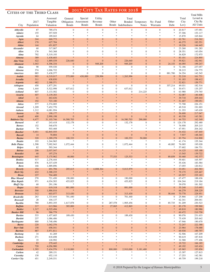#### Cities of the Third Class

|                                      | 2017         | Assessed<br>Tangible      | General                    | Special<br>Obligation Assessment | Utility<br>Revenue                | Other                             | Total                         | Bonded Temporary                 | No-Fund                        | Other                          | Total<br>City    | Levied in<br>City By |
|--------------------------------------|--------------|---------------------------|----------------------------|----------------------------------|-----------------------------------|-----------------------------------|-------------------------------|----------------------------------|--------------------------------|--------------------------------|------------------|----------------------|
| City                                 | Population   | Valuation                 | <b>Bonds</b>               | <b>Bonds</b>                     | <b>Bonds</b>                      |                                   | Bonds Indebtedness            | <b>Notes</b>                     | Warrants                       | Debt                           | Levy             | All Units            |
| Abbyville                            | 87           | 789,474                   | $\boldsymbol{0}$           | $\overline{0}$                   | $\boldsymbol{0}$                  | $\mathbf{0}$                      | $\overline{0}$                | $\boldsymbol{0}$                 | $\boldsymbol{0}$               | $\mathbf{0}$                   | 20.817           | 157.091              |
| <b>Admire</b><br>Agenda              | 155<br>64    | 357,929<br>189,043        |                            |                                  | $\frac{1}{2}$<br>$\frac{1}{2}$    | *<br>*                            | ×<br>*                        | $\ast$<br>$\ast$                 | *<br>*                         |                                | 37.306<br>15.870 | 153.117<br>165.844   |
| <b>Agra</b>                          | 244          | 660,773                   | $\overline{0}$             | $\overline{0}$                   | $\Omega$                          | $\mathbf{0}$                      | $\overline{0}$                | $\Omega$                         | $\mathbf{0}$                   | $\Omega$                       | 62.761           | 216.362              |
| <b>Albert</b>                        | 170          | 627,704                   |                            |                                  | $\ast$                            |                                   | ×                             |                                  |                                |                                | 46.275           | 182.551              |
| <b>Alden</b><br><b>Alexander</b>     | 144<br>60    | 651,827<br>317,067        | $\ast$<br>$\ast$           | $\ast$<br>*                      | $\ast$<br>$\ast$                  | $\ast$<br>$\ast$                  | *<br>*                        | $\ast$<br>$\ast$                 | $\ast$<br>*                    | $\ast$                         | 18.226<br>23.260 | 144.445<br>191.283   |
| <b>Allen</b>                         | 176          | 543,368                   | $\mathbf{0}$               | $\mathbf{0}$                     | $\overline{0}$                    | $\mathbf{0}$                      | $\boldsymbol{0}$              | $\theta$                         | $\boldsymbol{0}$               | $\mathbf{0}$                   | 28.351           | 143.054              |
| Alma                                 | 792          | 5,319,193                 |                            |                                  | $\frac{1}{26}$                    | *                                 | ×                             |                                  | *                              |                                | 36.829           | 172.975              |
| <b>Almena</b>                        | 389          | 1,438,603                 |                            |                                  |                                   | $\ast$                            | ×                             | $*$                              | ×                              |                                | 83.101           | 224.895              |
| Alta Vista<br><b>Altamont</b>        | 422<br>1,043 | 1,889,539<br>4,396,334    | 226,640<br>$\mathbf{0}$    | $\mathbf{0}$<br>$\overline{0}$   | $\mathbf{0}$<br>949,205           | $\mathbf{0}$<br>$\mathbf{0}$      | 226,640<br>949,205            | $\overline{0}$<br>$\overline{0}$ | $\overline{0}$<br>$\mathbf{0}$ | $\mathbf{0}$<br>24,153         | 59.821<br>46.095 | 182.941<br>199.247   |
| <b>Alton</b>                         | 98           | 559,530                   | $\boldsymbol{0}$           | $\mathbf{0}$                     | $\boldsymbol{0}$                  | $\mathbf{0}$                      | $\overline{0}$                | $\overline{0}$                   | $\mathbf{0}$                   | $\overline{0}$                 | 72.186           | 237.057              |
| <b>Altoona</b>                       | 374          | 1,006,722                 |                            |                                  | $\frac{1}{2}$                     | $\ast$                            | sk.                           |                                  | $*$                            |                                | 38.215           | 154.775              |
| <b>Americus</b><br><b>Andale</b>     | 885<br>993   | 3,438,577<br>6,319,017    | $\mathbf{0}$<br>575,000    | $\boldsymbol{0}$<br>430,000      | $\boldsymbol{0}$<br>258,996       | $\mathbf{0}$<br>$\boldsymbol{0}$  | $\boldsymbol{0}$<br>1,263,996 | $\mathbf{0}$<br>$\Omega$         | $\mathbf{0}$<br>$\overline{0}$ | 881,700<br>$\Omega$            | 34.354<br>52.218 | 142.545<br>161.731   |
| <b>Arcadia</b>                       | 311          | 438,830                   |                            |                                  |                                   | $\ast$                            | $\ast$                        |                                  | $\ast$                         |                                | 91.183           | 198.412              |
| <b>Argonia</b>                       | 482          | 2,388,571                 | $\ast$                     | $\ast$                           | $\ast$                            | $\ast$                            | ×                             | $\ast$                           | $\ast$                         |                                | 52.821           | 159.771              |
| <b>Arlington</b>                     | 450          | 1,877,291                 | $\boldsymbol{0}$           | $\mathbf{0}$                     | $\overline{0}$                    | $\mathbf{0}$                      | $\overline{0}$                | $\overline{0}$                   | $\mathbf{0}$                   | 357,214                        | 49.031           | 182.516              |
| <b>Arma</b><br><b>Ashland</b>        | 1,444<br>807 | 5,522,998<br>3,133,502    | 637,612<br>$\mathbf{0}$    | $\mathbf{0}$<br>$\mathbf{0}$     | $\theta$<br>$\overline{0}$        | $\boldsymbol{0}$<br>$\mathbf{0}$  | 637,612<br>$\overline{0}$     | $\boldsymbol{0}$<br>214,225      | $\mathbf{0}$<br>$\mathbf{0}$   | $\mathbf{0}$<br>$\overline{0}$ | 30.671<br>63.980 | 135.257<br>279.765   |
| <b>Assaria</b>                       | 407          | 3,139,303                 | $\ast$                     |                                  | $*$                               | $\ast$                            | $\ast$                        |                                  | ×                              |                                | 52.087           | 140.408              |
| <b>Athol</b>                         | 41           | 463,636                   |                            |                                  | $\ast$                            |                                   | ×                             |                                  |                                |                                | 39.718           | 209.444              |
| <b>Atlanta</b>                       | 192          | 723,180                   |                            | $\frac{1}{2}$<br>*               | $\ast$<br>$\ast$                  | $\ast$<br>*                       | ×<br>$*$                      | $\ast$                           | $\ast$<br>*                    | $\ast$                         | 51.407           | 199.051              |
| Attica<br><b>Atwood</b>              | 577<br>1,209 | 2,374,005<br>7,452,770    |                            |                                  | $\ast$                            |                                   |                               |                                  |                                |                                | 73.708<br>49.518 | 226.151<br>191.003   |
| Auburn                               | 1,212        | 6,081,954                 |                            |                                  | $\frac{1}{2}$                     |                                   |                               |                                  |                                |                                | 21.353           | 145.630              |
| <b>Aurora</b>                        | 58           | 190,177                   |                            | $*$                              | $*$                               |                                   |                               |                                  | $\ast$                         |                                | 56.600           | 217.047              |
| <b>Axtell</b><br><b>Baldwin City</b> | 400<br>4,677 | 2,990,198<br>31, 103, 746 | $\mathbf{0}$<br>16,580,703 | $\mathbf{0}$<br>$\overline{0}$   | $\overline{0}$<br>$\overline{0}$  | $\mathbf{0}$<br>$\mathbf{0}$      | $\mathbf{0}$<br>16,580,703    | $\mathbf{0}$<br>290,000          | $\mathbf{0}$<br>$\mathbf{0}$   | $\overline{0}$<br>$\mathbf{0}$ | 40.338<br>44.753 | 143.381<br>162.349   |
| <b>Barnard</b>                       | 67           | 243,418                   | 132,178                    | $\mathbf{0}$                     | $\overline{0}$                    | $\mathbf{0}$                      | 132,178                       | $\boldsymbol{0}$                 | $\mathbf{0}$                   | $\mathbf{0}$                   | 124.178          | 292.480              |
| <b>Barnes</b>                        | 152          | 540,670                   |                            |                                  | $\frac{1}{2}$                     | $\ast$                            | *                             |                                  | *                              |                                | 76.958           | 205.215              |
| <b>Bartlett</b>                      | 79           | 503,468                   | $\ast$                     |                                  | $\frac{1}{2}$                     | *<br>$\ast$                       | *                             |                                  | ×                              |                                | 47.951           | 204.242              |
| <b>Basehor</b><br><b>Bassett</b>     | 5,651<br>14  | 62,845,555<br>70,804      | $\mathbf{0}$               | $\mathbf{0}$                     | $\overline{0}$                    | $\mathbf{0}$                      | $\mathbf{0}$                  | $\mathbf{0}$                     | $\mathbf{0}$                   | $\overline{0}$                 | 34.432<br>7.937  | 147.445<br>148.365   |
| <b>Bazine</b>                        | 320          | 1,289,278                 | 100,333                    | $\overline{0}$                   | $\overline{0}$                    | $\mathbf{0}$                      | 100,333                       | 50,000                           | $\mathbf{0}$                   | $\Omega$                       | 83.754           | 216.900              |
| <b>Beattie</b>                       | 193          | 1,244,965                 | $\frac{1}{2}$              | $\ast$                           | $\frac{1}{2}$                     | $\frac{1}{2}$                     | *                             | $\frac{1}{2}$                    | $\ast$                         | $\ast$                         | 41.174           | 155.344              |
| <b>Belle Plaine</b><br><b>Belpre</b> | 1,598<br>82  | 7,092,943<br>593,344      | 1,072,444                  | $\mathbf{0}$                     | $\overline{0}$<br>$\frac{1}{2}$   | $\boldsymbol{0}$<br>$\ast$        | 1,072,444<br>sk               | $\theta$<br>$\ast$               | $\mathbf{0}$<br>*              | 40,082                         | 76.005<br>57.602 | 195.028<br>184.731   |
| <b>Belvue</b>                        | 206          | 2,037,547                 |                            |                                  |                                   |                                   |                               |                                  | $\ast$                         |                                | 14.125           | 105.188              |
| <b>Benedict</b>                      | 68           | 197,274                   |                            |                                  | $\ast$                            | ×                                 | ×                             |                                  |                                |                                | 13.545           | 139.722              |
| <b>Bennington</b><br><b>Bentley</b>  | 645<br>517   | 3,175,962<br>2,276,444    | 48,000<br>$\ast$           | $\overline{0}$<br>*              | $\mathbf{0}$<br>$\frac{1}{2}$     | 77,533<br>*                       | 125,533<br>$\frac{1}{2}$      | $\Omega$<br>$\ast$               | $\overline{0}$<br>*            | 89,859                         | 30.460<br>59.601 | 192.377<br>165.597   |
| <b>Benton</b>                        | 876          | 8,337,439                 |                            |                                  |                                   |                                   | sk.                           |                                  |                                |                                | 55.436           | 183.584              |
| Bern                                 | 166          | 1,889,896                 |                            |                                  |                                   |                                   |                               |                                  |                                |                                | 17.055           | 120.812              |
| <b>Beverly</b>                       | 154          | 491,794                   | 205,615                    | $\mathbf{0}$                     | 4,808,364                         | $\boldsymbol{0}$                  | 5,013,979                     | $\overline{0}$                   | $\boldsymbol{0}$               | $\Omega$                       | 33.051           | 202.583              |
| <b>Bird City</b><br><b>Bison</b>     | 432<br>237   | 2,388,235<br>704,489      | ×                          | $*$                              | ×                                 | ×<br>$\ast$                       | $\ast$                        | $\frac{1}{2}$<br>$\ast$          | $*$                            |                                | 79.175<br>65.557 | 225.467<br>235.183   |
| <b>Blue Mound</b>                    | 278          | 721,450                   | 190,000                    | $\mathbf{0}$                     | $\boldsymbol{0}$                  | $\boldsymbol{0}$                  | 190,000                       | $\boldsymbol{0}$                 | $\boldsymbol{0}$               | $\mathbf{0}$                   | 67.477           | 188.636              |
| <b>Blue Rapids</b>                   | 971          | 4,034,503                 | 453,825                    | $\mathbf{0}$                     | $\overline{0}$                    | $\boldsymbol{0}$                  | 453,825                       | $\boldsymbol{0}$                 | $\mathbf{0}$                   | $\theta$                       | 104.244          | 219.184              |
| <b>Bluff City</b><br><b>Bogue</b>    | 60<br>141    | 291,196<br>619,318        | $\frac{1}{2}$<br>881,000   | $\mathbf{0}$                     | $\overline{0}$                    | $\frac{1}{2}$<br>$\boldsymbol{0}$ | $\ast$<br>881,000             | $\frac{1}{2}$<br>$\mathbf{0}$    | $\boldsymbol{0}$               | $\Omega$                       | 39.070<br>55.248 | 181.302<br>215.695   |
| <b>Brewster</b>                      | 300          | 1,886,016                 | ×                          |                                  |                                   | $\ast$                            | $\ast$                        |                                  |                                |                                | 66.279           | 208.229              |
| <b>Bronson</b>                       | 312          | 603,077                   | 313,430                    | $\mathbf{0}$                     | $\overline{0}$                    | $\mathbf{0}$                      | 313,430                       | $\boldsymbol{0}$                 | $\mathbf{0}$                   | 58,444                         | 70.778           | 228.951              |
| <b>Brookville</b>                    | 263          | 1,333,644                 | 701,440<br>$\ast$          | $\mathbf{0}$                     | $\boldsymbol{0}$<br>$\frac{1}{2}$ | $\boldsymbol{0}$<br>$\ast$        | 701,440                       | $\boldsymbol{0}$                 | $\mathbf{0}$<br>$*$            | $\overline{0}$                 | 25.866           | 127.200              |
| <b>Brownell</b><br><b>Bucklin</b>    | 28<br>780    | 104,137<br>3,893,355      | 1,617,878                  | $\mathbf{0}$                     | $\boldsymbol{0}$                  | 287,578                           | $\frac{1}{2}$<br>1,905,456    | $\boldsymbol{0}$                 | $\boldsymbol{0}$               | 85,735                         | 62.341<br>81.209 | 206.041<br>230.523   |
| <b>Buffalo</b>                       | 217          | 613,966                   | 385,800                    | $\mathbf{0}$                     | $\boldsymbol{0}$                  | 27,065                            | 412,865                       | $\overline{0}$                   | $\mathbf{0}$                   | $\Omega$                       | 83.170           | 199.960              |
| <b>Buhler</b>                        | 1,317        | 6,525,494                 |                            |                                  | $\ast$                            | $\ast$                            |                               |                                  |                                |                                | 49.810           | 180.986              |
| <b>Bunker Hill</b><br><b>Burden</b>  | 96<br>533    | 586,779<br>1,457,605      | $\ast$                     | $\ast$<br>$\mathbf{0}$           | $\ast$<br>$\boldsymbol{0}$        | $\ast$<br>$\boldsymbol{0}$        | $\ast$<br>189,430             | $\ast$<br>$\boldsymbol{0}$       | $\boldsymbol{0}$               | $\theta$                       | 60.472<br>90.076 | 210.758              |
| <b>Burdett</b>                       | 237          | 1,086,486                 | 189,430                    |                                  |                                   | *                                 |                               |                                  |                                |                                | 75.439           | 231.633<br>205.642   |
| <b>Burlingame</b>                    | 888          | 3,748,496                 |                            |                                  | $\frac{1}{2}$                     | *                                 | $\frac{1}{2}$                 |                                  |                                |                                | 47.946           | 190.670              |
| <b>Burns</b>                         | 220          | 1,042,376                 |                            |                                  |                                   | $*$                               |                               |                                  |                                |                                | 72.247           | 222.388              |
| <b>Burr Oak</b><br><b>Burrton</b>    | 158<br>887   | 658,541<br>3,971,811      | $\boldsymbol{0}$<br>$\ast$ | $\mathbf{0}$<br>×                | $\mathbf{0}$<br>$\ast$            | $\mathbf{0}$<br>$\ast$            | $\mathbf{0}$<br>*             | $\overline{0}$<br>$\ast$         | $\boldsymbol{0}$<br>×          | $\mathbf{0}$                   | 23.964<br>69.938 | 178.688<br>189.797   |
| <b>Bushong</b>                       | 34           | 61,269                    |                            |                                  | $\frac{1}{2}$                     | $*$                               | *                             | $\ast$                           | *                              | $\ast$                         | 52.506           | 167.209              |
| <b>Bushton</b>                       | 271          | 818,698                   |                            |                                  |                                   |                                   |                               |                                  |                                |                                | 90.619           | 187.818              |
| <b>Byers</b>                         | 35           | 120,992                   |                            |                                  | $\frac{1}{2}$<br>$*$              | $\ast$                            |                               |                                  |                                |                                | 32.588           | 177.496              |
| <b>Cambridge</b><br><b>Canton</b>    | 83<br>720    | 279,445<br>4,056,980      | ×                          |                                  | $\ast$                            | ×                                 |                               |                                  |                                |                                | 19.722<br>49.192 | 166.185<br>163.424   |
| <b>Carbondale</b>                    | 1,393        | 5,434,576                 | 2,110,000                  | $\Omega$                         | $\mathbf{0}$                      | 800,000                           | 2,910,000                     | 3,181,400                        | $\mathbf{0}$                   | $\Omega$                       | 65.965           | 193.856              |
| <b>Carlton</b>                       | 42           | 289,151                   | $\ast$                     |                                  | $\ast$                            | $\frac{1}{2}$                     | *                             | $\ast$                           | *                              |                                | 15.397           | 127.815              |
| Cassoday<br><b>Cawker City</b>       | 130<br>451   | 652,110<br>2,249,531      |                            |                                  | $\frac{1}{2}$                     |                                   | *                             | $\frac{1}{2}$                    |                                |                                | 17.253<br>49.759 | 142.381<br>199.218   |
|                                      |              |                           |                            |                                  |                                   |                                   |                               |                                  |                                |                                |                  |                      |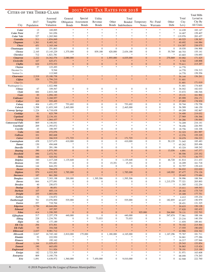#### CITIES OF THE THIRD CLASS

| UITIES OF THE THIRD ULASS        |             |                       |                                   |                                    |                               |                                |                         |                                     |                               |                          |                  | <b>Total Mills</b> |
|----------------------------------|-------------|-----------------------|-----------------------------------|------------------------------------|-------------------------------|--------------------------------|-------------------------|-------------------------------------|-------------------------------|--------------------------|------------------|--------------------|
|                                  |             | Assessed              | General                           | Special                            | Utility                       |                                | Total                   |                                     |                               |                          | Total            | Levied in          |
|                                  | 2017        | Tangible              |                                   | Obligation Assessment              | Revenue                       | Other                          |                         | Bonded Temporary                    | No-Fund                       | Other                    | City             | City By            |
| City                             | Population  | Valuation             | <b>Bonds</b>                      | <b>Bonds</b>                       | <b>Bonds</b>                  |                                | Bonds Indebtedness      | <b>Notes</b>                        | Warrants                      | Debt                     | Levy             | All Units          |
|                                  |             |                       | $\ast$                            | $\ast$                             | ×.                            | \$                             | ×                       | $\frac{1}{2}$                       | $\ast$                        | $\ast$                   |                  |                    |
| Cedar<br><b>Cedar Point</b>      | 13<br>27    | 169,895<br>341,056    |                                   |                                    |                               | $\frac{1}{26}$                 | $*$                     |                                     | $\ast$                        |                          | 14.438<br>14.467 | 183.147<br>159.407 |
| <b>Cedar Vale</b>                | 527         | 1,265,960             |                                   |                                    |                               | $\frac{1}{26}$                 | $\frac{1}{2}$           |                                     | $\ast$                        | Ą                        | 119.976          | 283.457            |
| Centralia                        | 511         | 1,854,849             |                                   |                                    |                               |                                |                         |                                     | $\frac{1}{2}$                 |                          | 40.525           | 138.367            |
| <b>Chapman</b>                   | 1,361       | 8,483,342             |                                   |                                    |                               |                                | ×                       |                                     | $\ast$                        |                          | 40.692           | 144.984            |
| <b>Chase</b>                     | 451         | 1,163,164             |                                   | $\frac{1}{2}$                      | $\frac{1}{2}$                 | $\frac{1}{2}$                  | $*$                     | $\frac{1}{2}$                       | $\ast$                        |                          | 114.307          | 238.075            |
| Chautauqua                       | 103         | 251,863               | $\mathbf{0}$                      | $\mathbf{0}$                       | $\boldsymbol{0}$              | $\boldsymbol{0}$               | $\mathbf{0}$            | $\overline{0}$                      | $\boldsymbol{0}$              | $\overline{0}$           | 18.030           | 194.900            |
| <b>Cheney</b>                    | 2,165       | 13, 145, 229          | 1,375,000                         | $\boldsymbol{0}$                   | 839,188                       | 420,000                        | 2,634,188               | $\boldsymbol{0}$                    | $\boldsymbol{0}$              | 55,769                   | 60.753           | 155.141            |
| <b>Cherokee</b>                  | 712         | 1,821,781             | $\frac{1}{2}$                     | ×.                                 | $\ast$                        | $\frac{1}{2}$                  | $*$                     | $\frac{1}{2}$                       | $\frac{1}{2}$                 | $\frac{1}{2}$            | 43.603           | 154.693            |
| <b>Cimarron</b>                  | 2,222       | 14,362,576            | 2,080,000                         | $\overline{0}$                     | $\mathbf{0}$                  | 1,955,000                      | 4,035,000               | $\overline{0}$                      | $\mathbf{0}$                  | 270,869                  | 55.992           | 171.425            |
| <b>Circleville</b>               | 167         | 625,471               |                                   | $\ast$                             | $\ast$                        | $\ast$                         | ×                       | $\ast$                              | $\ast$                        | $\ast$                   | 9.783            | 149.898            |
| <b>Claflin</b><br><b>Clayton</b> | 624<br>57   | 2,572,533<br>123,493  | $\boldsymbol{0}$<br>$\frac{1}{2}$ | $\overline{0}$<br>$\frac{1}{2\pi}$ | $\mathbf{0}$<br>$\frac{1}{2}$ | $\boldsymbol{0}$<br>$\ast$     | $\boldsymbol{0}$<br>$*$ | $\overline{0}$<br>$\frac{1}{2} \xi$ | $\mathbf{0}$<br>$\frac{1}{2}$ | $\mathbf{0}$<br>$\ast$   | 75.611<br>14.770 | 215.297            |
| Decatur Co.                      |             | 9,544                 |                                   |                                    |                               |                                |                         |                                     |                               |                          | 14.770           | 154.313            |
| Norton Co.                       |             | 113,949               |                                   |                                    |                               |                                |                         |                                     |                               |                          | 14.770           | 159.556            |
| <b>Clearwater</b>                | 2,519       | 15,180,758            |                                   |                                    |                               |                                |                         |                                     | $\frac{1}{2}$                 |                          | 56.144           | 156.261            |
| <b>Clifton</b>                   | 529         | 1,794,210             |                                   |                                    |                               | $\ast$                         | ×                       | $\ast$                              | $\ast$                        | $\ast$                   | 51.601           |                    |
| Clay Co.                         |             | 771,222               |                                   |                                    |                               |                                |                         |                                     |                               |                          | 51.601           | 171.019            |
| Washington Co.                   |             | 1,022,988             |                                   |                                    |                               |                                |                         |                                     |                               |                          | 51.601           | 174.605            |
| <b>Climax</b>                    | 67          | 109,567               | $\boldsymbol{0}$                  | $\mathbf{0}$                       | $\boldsymbol{0}$              | $\boldsymbol{0}$               | $\overline{0}$          | $\boldsymbol{0}$                    | $\boldsymbol{0}$              | $\overline{0}$           | 36.042           | 182.033            |
| Clyde                            | 684         | 2,833,348             |                                   | ×.                                 | ×.                            | $\frac{1}{2}$<br>$\frac{1}{2}$ | $\frac{1}{2}$           | $\ast$                              | $\ast$<br>$\ast$              | $\ast$<br>$\frac{1}{2}$  | 33.672           | 186.546            |
| <b>Coats</b><br><b>Coldwater</b> | 83          | 1,094,183             |                                   | $\ast$                             | $\frac{1}{2}$                 | $\frac{1}{2}$                  | $*$                     | $\ast$                              | $\ast$                        |                          | 19.131<br>85.999 | 161.902            |
| <b>Collyer</b>                   | 814<br>105  | 3,268,957<br>555,495  | $\ast$                            | $\frac{1}{2}$                      | $\ast$                        | $\ast$                         | $*$                     | $\ast$                              | $\ast$                        |                          | 27.093           | 254.171<br>178.939 |
| Colony                           | 404         | 1,451,177             | 753,692                           | $\mathbf{0}$                       | $\mathbf{0}$                  | $\boldsymbol{0}$               | 753,692                 | $\boldsymbol{0}$                    | $\boldsymbol{0}$              | $\overline{0}$           | 30.744           | 170.758            |
| Colwich                          | 1,398       | 11,653,349            | 2,465,000                         | $\mathbf{0}$                       | $\mathbf{0}$                  | $\boldsymbol{0}$               | 2,465,000               | $\mathbf{0}$                        | $\boldsymbol{0}$              | $\overline{0}$           | 56.589           | 146.150            |
| <b>Conway Springs</b>            | 1,224       | 6,718,638             | $\frac{1}{20}$                    | ×.                                 | sk.                           | $\frac{1}{2}$                  | $*$                     | $\frac{1}{2}$                       | $\ast$                        | $\frac{1}{2}$            | 69.209           | 182.867            |
| Coolidge                         | 91          | 825,799               |                                   |                                    |                               | $\frac{1}{2}$                  | ×                       |                                     | $\ast$                        |                          | 34.400           | 219.032            |
| Copeland                         | 300         | 2,134,101             |                                   |                                    |                               | $*$                            | ×                       |                                     | $\ast$                        |                          | 27.969           | 156.366            |
| Corning                          | 157         | 1,064,437             |                                   | $\frac{1}{2}$                      | ×.                            | $\frac{1}{2}$                  | $*$                     | $\frac{1}{2}$                       | $\ast$                        |                          | 56.286           | 156.064            |
| <b>Cottonwood Falls</b>          | 869         | 4,146,041             |                                   | $\frac{1}{20}$                     | sk.                           | $\mathbf{z}$                   | $\frac{1}{2}$           | $\frac{1}{2}$                       | $\ast$                        | s)                       | 74.209           | 216.141            |
| Courtland                        | 269         | 1,393,072             |                                   | $\frac{1}{20}$                     | s)                            | $\frac{1}{2}$                  | $*$                     | $\ast$                              | $\ast$                        |                          | 78.456           | 226.593            |
| Coyville                         | 43          | 188,587               | $\mathbf{0}$                      | $\Omega$<br>$\frac{1}{2}$          | $\mathbf{0}$<br>×.            | $\mathbf{0}$<br>$\frac{1}{2}$  | $\mathbf{0}$<br>$*$     | $\overline{0}$                      | $\overline{0}$<br>$\ast$      | $\overline{0}$           | 18.756           | 144.106            |
| <b>Cuba</b><br><b>Cullison</b>   | 146<br>101  | 472,076<br>882,668    |                                   | $\frac{1}{2}$                      | ×.                            | $\frac{1}{2}$                  | $\ast$                  | $\ast$                              | $\ast$                        |                          | 52.323<br>12.576 | 201.997<br>155.329 |
| <b>Culver</b>                    | 118         | 266,919               | 171,725                           | $\overline{0}$                     | $\overline{0}$                | $\mathbf{0}$                   | 171,725                 | $\overline{0}$                      | $\overline{0}$                | $\overline{0}$           | 39.079           | 194.223            |
| Cunningham                       | 458         | 2,527,675             | 410,000                           | $\mathbf{0}$                       | $\mathbf{0}$                  | $\boldsymbol{0}$               | 410,000                 | $\overline{0}$                      | $\boldsymbol{0}$              | 50,135                   | 71.045           | 185.483            |
| Damar                            | 130         | 494,668               | $\frac{1}{2}$                     |                                    | sk.                           | $\frac{1}{2}$                  | $*$                     | $\frac{1}{2}$                       | $\ast$                        | $\ast$                   | 65.262           | 205.496            |
| <b>Danville</b>                  | 35          | 281,186               | $\mathbf{0}$                      | $\mathbf{0}$                       | $\mathbf{0}$                  | $\boldsymbol{0}$               | $\boldsymbol{0}$        | $\overline{0}$                      | $\boldsymbol{0}$              | $\mathbf{0}$             | 43.324           | 168.242            |
| <b>Dearing</b>                   | 390         | 1,875,385             | $\overline{0}$                    | $\overline{0}$                     | $\overline{0}$                | $\mathbf{0}$                   | $\overline{0}$          | $\overline{0}$                      | $\boldsymbol{0}$              | 13,036                   | 4.891            | 147.377            |
| <b>Deerfield</b>                 | 696         | 2,472,761             |                                   | $\ast$                             | $\frac{1}{2}$                 | $\frac{1}{2}$                  | $\ast$                  | $\ast$                              | $\ast$                        | $*$                      | 88.506           | 235.352            |
| <b>Delia</b>                     | 166         | 525,552               | $\ast$                            | $\frac{1}{2}$                      | $\frac{1}{2}$                 | $\ast$                         | $\ast$                  | $*$                                 | $\ast$                        | ×                        | 11.773           | 136.777            |
| <b>Delphos</b>                   | 340         | 1,417,248             | 1,135,648                         | $\mathbf{0}$                       | $\mathbf{0}$                  | $\boldsymbol{0}$               | 1,135,648               | $\boldsymbol{0}$                    | $\boldsymbol{0}$              | 46,728                   | 61.814           | 211.433            |
| <b>Denison</b>                   | 183         | 551,681               | $\boldsymbol{0}$<br>$\Omega$      | $\mathbf{0}$<br>$\Omega$           | $\boldsymbol{0}$<br>$\Omega$  | 15,351<br>$\Omega$             | 15,351<br>$\theta$      | $\boldsymbol{0}$<br>$\Omega$        | $\boldsymbol{0}$<br>$\Omega$  | $\mathbf{0}$<br>$\theta$ | 16.209<br>32.757 | 161.718            |
| <b>Denton</b><br><b>Dexter</b>   | 144<br>274  | 644,252<br>704,679    |                                   |                                    |                               | $\ast$                         |                         | $\ast$                              | $\ast$                        | $\ast$                   | 94.032           | 139.410<br>222.020 |
| <b>Dighton</b>                   | 970         | 4,632,502             | 1,785,000                         | $\mathbf{0}$                       | $\mathbf{0}$                  | $\boldsymbol{0}$               | 1,785,000               | $\boldsymbol{0}$                    | $\boldsymbol{0}$              | 149,992                  | 87.477           | 274.126            |
| <b>Dorrance</b>                  | 187         | 861,200               | $\ast$                            | $*$                                | $\ast$                        | $\ast$                         | $\ast$                  | $*$                                 | $\ast$                        |                          | 29.443           | 175.684            |
| <b>Douglass</b>                  | 1,691       | 7,303,198             | 200,000                           | $\boldsymbol{0}$                   | 1,395,506                     | $\boldsymbol{0}$               | 1,595,506               | $\boldsymbol{0}$                    | $\boldsymbol{0}$              | $\overline{0}$           | 58.996           | 188.564            |
| <b>Downs</b>                     | 844         | 4,377,091             | $\boldsymbol{0}$                  | $\mathbf{0}$                       | $\mathbf{0}$                  | $\boldsymbol{0}$               | $\boldsymbol{0}$        | $\boldsymbol{0}$                    | $\boldsymbol{0}$              | 1,215,379                | 77.321           | 205.893            |
| <b>Dresden</b>                   | 40          | 250,073               | $\frac{1}{2\pi}$                  |                                    |                               | $\frac{1}{2}$                  | $*$                     | $\frac{1}{2}$                       | $\ast$                        | $\ast$                   | 11.305           | 132.254            |
| <b>Dunlap</b>                    | 28          | 80,851                |                                   |                                    |                               | $*$                            | ×                       |                                     | $\ast$                        | $*$                      | 15.411           | 169.543            |
| <b>Durham</b>                    | 107         | 605,114               |                                   | $\frac{1}{2}$<br>$\frac{1}{2}$     | $\frac{1}{2}$                 | $\ast$<br>$\ast$               | $\ast$<br>$\ast$        | $\ast$<br>$\frac{1}{2}$             | $*$<br>$*$                    |                          | 28.182           | 175.719            |
| Dwight                           | 255         | 1,003,056             |                                   | $\frac{1}{20}$                     |                               | $\ast$                         | $\frac{1}{2}$           | $\frac{1}{2} \xi$                   | $\ast$                        | $\frac{1}{2}$            | 35.309           | 177.751            |
| <b>Earlton</b><br>Eastborough    | 52<br>761   | 134,872<br>13,076,800 | 535,000                           | $\mathbf{0}$                       | $\boldsymbol{0}$              | $\boldsymbol{0}$               | 535,000                 | $\boldsymbol{0}$                    | $\boldsymbol{0}$              | 182,855                  | 4.412<br>63.637  | 155.234<br>150.979 |
| <b>Easton</b>                    | 257         | 718,764               |                                   |                                    |                               | $\frac{1}{2}$                  | $*$                     | $\frac{1}{2}$                       | $\ast$                        | $\ast$                   | 28.451           | 131.325            |
| <b>Edgerton</b>                  | 1,756       | 40,644,694            |                                   |                                    |                               | $\ast$                         | $\ast$                  |                                     | $\ast$                        |                          | 30.633           | 150.128            |
| <b>Edmond</b>                    | 47          | 187,597               |                                   |                                    |                               | $\frac{1}{2}$                  | ×                       |                                     | $\ast$                        |                          | 37.820           | 182.432            |
| Edna                             | 414         | 1,350,395             | $\mathbf{0}$                      | $\overline{0}$                     | $\mathbf{0}$                  | $\boldsymbol{0}$               | $\mathbf{0}$            | 925,000                             | $\mathbf{0}$                  | 264,860                  | 79.131           | 232.703            |
| <b>Effingham</b>                 | 517         | 2,257,378             | 440,000                           | $\boldsymbol{0}$                   | $\boldsymbol{0}$              | $\boldsymbol{0}$               | 440,000                 | $\boldsymbol{0}$                    | $\boldsymbol{0}$              | 547,674                  | 77.961           | 188.166            |
| Elbing                           | 228         | 1,234,781             | $\boldsymbol{0}$                  | $\boldsymbol{0}$                   | 73,033                        | $\boldsymbol{0}$               | 73,033                  | $\boldsymbol{0}$                    | $\boldsymbol{0}$              | $\mathbf{0}$             | 23.216           | 140.354            |
| Elgin                            | 82          | 177,189               | $\frac{1}{2}$                     |                                    |                               | $\frac{1}{2}$                  | $\ast$                  | $\ast$                              | $\ast$                        | $\frac{1}{2}$            | 11.654           | 189.461            |
| <b>Elk</b> City                  | 294         | 673,501               | $\mathbf{0}$                      | $\mathbf{0}$                       | $\mathbf{0}$                  | $\boldsymbol{0}$               | $\mathbf{0}$            | $\boldsymbol{0}$                    | $\mathbf{0}$                  | $\overline{0}$           | 70.102           | 215.564            |
| <b>Elk Falls</b>                 | 95          | 354,548               | $\ast$                            | $*$<br>$\ast$                      | $\frac{1}{2}$                 | $\frac{1}{2}$<br>$\ast$        | $\ast$                  | $\ast$<br>$\ast$                    | $\ast$<br>$\ast$              | $\Rightarrow$            | 17.555           | 190.650            |
| <b>Ellinwood</b>                 | 2,037       | 9,981,712             |                                   |                                    |                               |                                |                         |                                     |                               |                          | 42.906           | 224.342            |
| Ellsworth<br><b>Elmdale</b>      | 3,047<br>53 | 16,745,160<br>222,930 | 2,810,000<br>$\ast$               | 175,000                            | $\mathbf{0}$                  | 1,180,000<br>$\ast$            | 4,165,000<br>×.         | $\boldsymbol{0}$                    | $\boldsymbol{0}$<br>$\ast$    | 1,167,296                | 75.767<br>34.661 | 181.711<br>177.286 |
| <b>Elsmore</b>                   | 73          | 195,162               | $\frac{1}{2}$                     | $\frac{1}{2}$                      |                               | $\frac{1}{2}$                  | $*$                     | $\frac{1}{2}$                       | $\ast$                        | $\ast$                   | 16.217           | 157.946            |
| <b>Elwood</b>                    | 1,164       | 11,029,453            |                                   |                                    |                               |                                | ×                       |                                     |                               |                          | 29.543           | 153.854            |
| <b>Emmett</b>                    | 190         | 665,650               |                                   |                                    |                               | $*$                            | $*$                     | $\frac{1}{2}$                       |                               |                          | 36.863           | 115.424            |
| <b>Englewood</b>                 | 73          | 311,926               |                                   |                                    |                               | $\ast$                         | $\ast$                  | $\frac{1}{2}$                       | $\ast$                        |                          | 78.191           | 215.199            |
| Ensign                           | 182         | 2,723,305             | *                                 | ×.                                 | ×.                            | $\frac{1}{2}$                  | $\frac{1}{2}$           | $*$                                 | $\ast$                        | 靖                        | 51.971           | 163.608            |
| <b>Enterprise</b>                | 809         | 3,195,776             |                                   | ×.                                 | ×.                            | $\frac{1}{2}$                  | $*$                     | $\ast$                              | $\ast$                        |                          | 68.050           | 174.263            |
| Erie                             | 1,091       | 4,638,972             | 1,560,000                         | $\mathbf{0}$                       | 7,450,000                     | $\overline{0}$                 | 9,010,000               | $\boldsymbol{0}$                    | $\mathbf{0}$                  | $\mathbf{0}$             | 62.948           | 222.760            |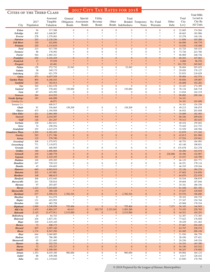#### Cities of the Third Class

| CITIES OF THE THIRD CLASS              |                |                      |                                   |                       |                  |                            |                    |                        |                  |                |                   | <b>Total Mills</b> |
|----------------------------------------|----------------|----------------------|-----------------------------------|-----------------------|------------------|----------------------------|--------------------|------------------------|------------------|----------------|-------------------|--------------------|
|                                        |                | Assessed             | General                           | Special               | Utility          |                            | Total              |                        |                  |                | Total             | Levied in          |
|                                        | 2017           | Tangible             |                                   | Obligation Assessment | Revenue          | Other                      |                    | Bonded Temporary       | No-Fund          | Other          | City              | City By            |
| City                                   | Population     | Valuation            | <b>Bonds</b>                      | <b>Bonds</b>          | <b>Bonds</b>     |                            | Bonds Indebtedness | <b>Notes</b>           | Warrants         | Debt           | Levy              | All Units          |
| <b>Esbon</b>                           | 94             | 517,388              | $\boldsymbol{0}$                  | $\boldsymbol{0}$      | $\boldsymbol{0}$ | $\boldsymbol{0}$           | $\mathbf{0}$       | $\mathbf{0}$           | $\overline{0}$   | $\overline{0}$ | 22.685            | 174.504            |
| <b>Eskridge</b>                        | 505            | 1,648,967            |                                   |                       |                  | $\ast$                     |                    | *                      |                  |                | 48.663            | 183.986            |
| Everest                                | 278            | 1,370,903            |                                   |                       |                  | $\ast$                     |                    | s).                    |                  |                | 53.278            | 140.156            |
| Fairview                               | 253            | 2,120,256            |                                   |                       |                  |                            |                    |                        |                  |                | 11.856            | 103.288            |
| <b>Fall River</b>                      | 150            | 423,850              |                                   |                       |                  | $*$                        |                    | $\frac{1}{2}$          |                  |                | 66.096            | 194.779            |
| <b>Fontana</b><br>Ford                 | 220<br>215     | 1,115,610<br>917,759 | $\boldsymbol{0}$                  | $\overline{0}$        | $\mathbf{0}$     | $\mathbf{0}$               | $\mathbf{0}$       | $\overline{0}$         | $\mathbf{0}$     | $\overline{0}$ | 14.536<br>43.725  | 118.308<br>195.533 |
| <b>Formoso</b>                         | 88             | 170,592              | $\mathbf{0}$                      | $\mathbf{0}$          | $\mathbf{0}$     | 0                          | $\mathbf{0}$       | $\boldsymbol{0}$       | $\mathbf{0}$     | $\mathbf{0}$   | 73.726            | 223.706            |
| Fowler                                 | 544            | 1,965,341            | $\frac{1}{20}$                    |                       |                  | $\ast$                     |                    | ×.                     | s.               |                | 96.969            | 248.736            |
| <b>Frankfort</b>                       | 692            | 4, 104, 429          | $\overline{0}$                    | $\overline{0}$        | $\mathbf{0}$     | 0                          | $\boldsymbol{0}$   | $\boldsymbol{0}$       | $\overline{0}$   | $\overline{0}$ | 68.303            | 167.062            |
| Frederick                              | 17             | 97,939               |                                   |                       |                  | $\ast$                     |                    | ×                      |                  |                | 0.000             | 96.576             |
| <b>Freeport</b>                        | $\mathfrak{S}$ | 65,481               |                                   |                       |                  | $*$                        |                    | $\frac{1}{2}$          |                  |                | 101.725           | 245.045            |
| <b>Fulton</b>                          | 159            | 572,732              | 53,945                            | $\overline{0}$        | $\mathbf{0}$     | $\mathbf{0}$<br>*          | 53,945             | $\overline{0}$         | $\mathbf{0}$     | $\overline{0}$ | 38.604            | 203.625            |
| Galatia<br>Galesburg                   | 38<br>120      | 349,175<br>621,379   |                                   |                       |                  | $\ast$                     |                    | s).                    |                  |                | 29.020<br>52.833  | 170.127<br>218.629 |
| Galva                                  | 873            | 6,657,529            |                                   |                       |                  |                            |                    |                        |                  |                | 50.684            | 162.574            |
| <b>Garden Plain</b>                    | 894            | 6,186,543            |                                   |                       |                  | $*$                        |                    | $\frac{1}{2}$          |                  |                | 50.856            | 159.087            |
| Garfield                               | 183            | 763,913              |                                   |                       |                  | $*$                        |                    | $\frac{1}{2}$          |                  |                | 46.608            | 192.282            |
| <b>Gas</b>                             | 520            | 1,923,478            | $\overline{0}$                    | $\overline{0}$        | $\overline{0}$   | $\overline{0}$             | $\overline{0}$     | $\overline{0}$         | $\overline{0}$   | $\overline{0}$ | 34.245            | 174.389            |
| Gaylord                                | 107            | 378,402              | 150,000                           | $\overline{0}$        | $\mathbf{0}$     | $\boldsymbol{0}$           | 150,000            | $\boldsymbol{0}$       | $\mathbf{0}$     | $\overline{0}$ | 78.134            | 246.718            |
| <b>Gem</b>                             | 87             | 425,395              | $\boldsymbol{0}$                  | $\overline{0}$        | $\mathbf{0}$     | $\boldsymbol{0}$<br>$*$    | $\boldsymbol{0}$   | $\mathbf{0}$<br>$\ast$ | $\mathbf{0}$     | $\overline{0}$ | 13.034            | 162.219            |
| <b>Geneseo</b><br><b>Geuda Springs</b> | 264<br>183     | 614,555<br>646,088   | $\ast$                            | $\ast$                |                  | $\ast$                     |                    | $*$                    | $\ast$           |                | 96.082<br>34.101  | 200.166            |
| Cowley Co.                             |                | 46,071               |                                   |                       |                  |                            |                    |                        |                  |                | 34.101            | 163.699            |
| Sumner Co.                             |                | 600,017              |                                   |                       |                  |                            |                    |                        |                  |                | 34.101            | 154.258            |
| <b>Glade</b>                           | 91             | 336,665              | 158,209                           | $\boldsymbol{0}$      | $\boldsymbol{0}$ | $\boldsymbol{0}$           | 158,209            | $\mathbf{0}$           | $\boldsymbol{0}$ | $\mathbf{0}$   | 49.215            | 196.074            |
| <b>Glasco</b>                          | 473            | 1,194,938            | $\ast$                            |                       |                  | $\ast$                     | $*$                | 米                      | \$               |                | 36.932            | 203.858            |
| <b>Glen Elder</b>                      | 431            | 2,964,589            |                                   |                       |                  |                            |                    |                        |                  |                | 35.089            | 182.583            |
| <b>Goessel</b>                         | 508            | 2,010,587            |                                   |                       |                  | $*$<br>$*$                 |                    | $\frac{1}{2}$          |                  |                | 68.246            | 209.636            |
| Goff<br><b>Gorham</b>                  | 126<br>338     | 241,247<br>1,863,631 |                                   |                       |                  | *                          | $*$                | $\ast$                 |                  |                | 79.313<br>48.434  | 183.635<br>195.602 |
| Gove                                   | 74             | 250,554              |                                   |                       |                  |                            |                    |                        |                  |                | 75.445            | 212.733            |
| <b>Grainfield</b>                      | 255            | 1,615,475            |                                   |                       |                  | *                          |                    | *                      |                  |                | 33.529            | 169.594            |
| <b>Grandview Plaza</b>                 | 1,595          | 6,382,203            |                                   |                       |                  |                            |                    |                        |                  |                | 52.879            | 171.342            |
| <b>Greeley</b>                         | 293            | 1,271,786            | $\mathbf{0}$                      | $\overline{0}$        | $\mathbf{0}$     | $\mathbf{0}$               | $\mathbf{0}$       | $\mathbf{0}$           | $\mathbf{0}$     | $\overline{0}$ | 42.813            | 201.900            |
| <b>Green</b>                           | 125            | 579,790              | $\ast$                            |                       |                  | $*$                        | $*$                | $\frac{1}{2}$          |                  |                | 37.524            | 155.941            |
| <b>Greenleaf</b>                       | 308            | 1,375,972            | $\ast$                            | $\ast$                |                  | *<br>$\ast$                | $*$                | *<br>*                 | *                | $\ast$         | 48.753            | 184.993            |
| Greensburg<br><b>Grenola</b>           | 771<br>192     | 7,119,872<br>468,905 | $\boldsymbol{0}$                  | $\overline{0}$        | $\boldsymbol{0}$ | $\boldsymbol{0}$           | $\boldsymbol{0}$   | $\boldsymbol{0}$       | $\mathbf{0}$     | $\overline{0}$ | 65.140<br>135.678 | 198.851<br>323.278 |
| <b>Gridley</b>                         | 340            | 1,880,068            |                                   |                       |                  |                            |                    | $\ast$                 | $*$              |                | 40.206            | 143.474            |
| <b>Grinnell</b>                        | 238            | 1,680,778            | $\mathbf{0}$                      | $\overline{0}$        | $\overline{0}$   | $\mathbf{0}$               | $\boldsymbol{0}$   | $\mathbf{0}$           | $\mathbf{0}$     | 236,886        | 30.396            | 152.907            |
| <b>Gypsum</b>                          | 391            | 2,325,355            | $\mathbf{0}$                      | $\overline{0}$        | $\overline{0}$   | $\mathbf{0}$               | $\mathbf{0}$       | $\mathbf{0}$           | $\mathbf{0}$     | $\overline{0}$ | 33.537            | 120.799            |
| Haddam                                 | 100            | 659,205              | $\frac{1}{2}$                     | $\ast$                |                  | $\frac{1}{2}$              | $*$                | $*$                    | *                | $\ast$         | 66.125            | 203.771            |
| <b>Hamilton</b>                        | 247            | 728,310              | $\overline{0}$                    | $\overline{0}$        | $\mathbf{0}$     | $\mathbf{0}$               | $\mathbf{0}$       | $\mathbf{0}$           | $\mathbf{0}$     | $\mathbf{0}$   | 46.251            | 178.116            |
| <b>Hamlin</b><br><b>Hanover</b>        | 45<br>660      | 194,603<br>4,963,010 |                                   |                       |                  |                            |                    |                        |                  |                | 46.335<br>52.126  | 139.244<br>184.276 |
| <b>Hanston</b>                         | 202            | 1,167,881            |                                   |                       |                  |                            |                    | $\frac{1}{2}$          |                  |                | 47.603            | 216.850            |
| <b>Hardtner</b>                        | 168            | 680,615              |                                   |                       |                  | $*$                        |                    | $\frac{1}{2}$          |                  |                | 64.079            | 222.678            |
| <b>Hartford</b>                        | 368            | 1,433,640            |                                   |                       |                  | *                          | *                  | *                      |                  |                | 54.534            | 198.879            |
| <b>Harveyville</b>                     | 241            | 728,816              |                                   |                       |                  |                            |                    |                        |                  |                | 49.604            | 187.046            |
| Havana                                 | 97             | 293,407              |                                   |                       |                  |                            |                    |                        |                  |                | 35.101            | 186.336            |
| <b>Haven</b><br><b>Havensville</b>     | 1,212<br>150   | 7,243,825<br>380,108 |                                   |                       |                  |                            |                    |                        |                  |                | 61.428<br>37.637  | 201.192<br>129.929 |
| <b>Haviland</b>                        | 677            | 2,590,474            | 2,782,534                         | $\overline{0}$        | $\mathbf{0}$     | $\boldsymbol{0}$           | 2,782,534          | $\mathbf{0}$           | $\mathbf{0}$     | $\Omega$       | 55.576            | 196.690            |
| <b>Hazelton</b>                        | 91             | 514,575              |                                   |                       |                  |                            |                    |                        |                  |                | 39.322            | 194.735            |
| Hepler                                 | 131            | 423,953              |                                   |                       |                  | *                          |                    |                        |                  |                | 37.347            | 154.744            |
| <b>Herndon</b>                         | 130            | 483,728              | $\frac{d\mathbf{r}}{d\mathbf{r}}$ |                       |                  | $\ast$                     |                    | *                      |                  |                | 45.068            | 170.234            |
| <b>Highland</b>                        | 1,000          | 3,248,058            | 755,406                           | $\mathbf{0}$          | $\bf{0}$         | $\mathbf{0}$               | 755,406            | $\bf{0}$               | $\mathbf{0}$     | 7,371          | 36.183            | 146.945            |
| <b>Hill City</b>                       | 1,455          | 6,884,247            | 46,013                            | $\boldsymbol{0}$      | 203,733          | 3,333,542                  | 3,583,288          | $\boldsymbol{0}$       | $\mathbf{0}$     | $\mathbf{0}$   | 74.103            | 228.765            |
| <b>Holcomb</b><br><b>Hollenberg</b>    | 2,145<br>20    | 12,477,911<br>84,743 | 2,515,000                         | $\mathbf{0}$          | $\boldsymbol{0}$ | $\boldsymbol{0}$<br>$\ast$ | 2,515,000          | $\mathbf{0}$           | $\mathbf{0}$     | $\mathbf{0}$   | 44.521<br>42.387  | 165.253<br>173.305 |
| Holyrood                               | 436            | 1,837,191            |                                   |                       |                  | *                          |                    |                        |                  |                | 77.623            | 176.929            |
| Hope                                   | 339            | 2,435,165            |                                   |                       |                  |                            |                    |                        |                  |                | 39.439            | 151.463            |
| <b>Horace</b>                          | 72             | 408,173              |                                   |                       |                  |                            |                    |                        |                  |                | 57.467            | 254.349            |
| <b>Howard</b>                          | 607            | 2,097,160            |                                   |                       |                  |                            |                    | $\frac{1}{2}$          |                  |                | 63.747            | 238.274            |
| Hoxie                                  | 1,174          | 8,547,550            |                                   |                       |                  |                            |                    | $\frac{1}{2}$          |                  |                | 65.495            | 200.149            |
| <b>Hoyt</b>                            | 644            | 3,069,885            |                                   |                       |                  | *                          |                    | *                      |                  |                | 51.936            | 186.759            |
| <b>Hudson</b><br>Hunnewell             | 123<br>65      | 786,380<br>221,465   |                                   |                       |                  | $\ast$                     |                    |                        |                  |                | 28.456<br>20.256  | 157.621<br>149.324 |
| <b>Hunter</b>                          | 56             | 352,753              |                                   |                       |                  |                            |                    |                        |                  |                | 34.353            | 183.390            |
| <b>Huron</b>                           | 73             | 193,727              | $\mathbf{0}$                      | $\Omega$              | $\mathbf{0}$     | $\boldsymbol{0}$           | $\overline{0}$     | $\mathbf{0}$           | $\mathbf{0}$     | $\overline{0}$ | 54.190            | 163.532            |
| <b>Ingalls</b>                         | 303            | 1,509,393            |                                   |                       |                  | $\ast$                     |                    | $\frac{1}{2}$          |                  |                | 50.247            | 170.950            |
| <b>Inman</b>                           | 1,353          | 8,035,100            | 900,000                           | $\overline{0}$        | $\boldsymbol{0}$ | $\mathbf{0}$               | 900,000            | $\mathbf{0}$           | $\mathbf{0}$     | $\mathbf{0}$   | 69.004            | 164.133            |
| <b>Isabel</b>                          | 88             | 439,308              | $\frac{d\mathbf{r}}{d\mathbf{r}}$ |                       |                  | *<br>$\ast$                | $\frac{1}{2}$      | *<br>*                 |                  |                | 6.617             | 126.432            |
| <b>Iuka</b>                            | 163            | 1,119,642            |                                   |                       |                  |                            |                    |                        |                  |                | 23.850            | 170.794            |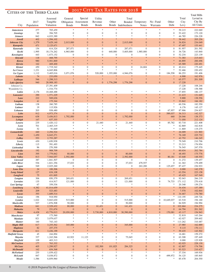#### CITIES OF THE THIRD CLASS

|                                       | ULLIES OF THE THIRD ULASS | Assessed                | General                              | Special                              | Utility                              |                                      | Total                          |                                      |                                      |                                  | Total            | <b>Total Mills</b><br>Levied in |
|---------------------------------------|---------------------------|-------------------------|--------------------------------------|--------------------------------------|--------------------------------------|--------------------------------------|--------------------------------|--------------------------------------|--------------------------------------|----------------------------------|------------------|---------------------------------|
|                                       | 2017                      | Tangible<br>Valuation   |                                      | Obligation Assessment                | Revenue<br><b>Bonds</b>              | Other                                |                                | Bonded Temporary                     | No-Fund                              | Other                            | City             | City By<br>All Units            |
| City                                  | Population                |                         | <b>Bonds</b>                         | <b>Bonds</b>                         |                                      |                                      | Bonds Indebtedness             | <b>Notes</b>                         | Warrants                             | Debt                             | Levy             |                                 |
| <b>Jamestown</b><br><b>Jennings</b>   | 277<br>93                 | 705,459<br>394,705      | $\frac{1}{2}$<br>$\boldsymbol{0}$    | $\ast$<br>$\boldsymbol{0}$           | $\ast$<br>$\boldsymbol{0}$           | $\ast$<br>$\boldsymbol{0}$           | $\ast$<br>$\mathbf{0}$         | $\ast$<br>$\overline{0}$             | $\frac{1}{2}$<br>$\boldsymbol{0}$    | $\ast$<br>$\overline{0}$         | 59.215<br>53.422 | 222.069<br>173.120              |
| Jetmore                               | 842                       | 4,033,389               | $\ast$                               | $\ast$                               | ×.                                   | $\frac{1}{2}$                        | $\ast$                         | $\ast$                               | $\ast$                               | $\frac{1}{2}$                    | 46.785           | 226.228                         |
| <b>Jewell</b>                         | 402                       | 1,594,102               | $\ast$                               | $*$                                  | $\ast$                               | $\ast$                               | ×                              | $\ast$                               | $\ast$                               |                                  | 58.442           | 205.256                         |
| <b>Johnson City</b>                   | 1,379                     | 7,629,140               | 2,015,000                            | $\overline{0}$                       | $\mathbf{0}$                         | $\boldsymbol{0}$                     | 2,015,000                      | $\overline{0}$                       | $\mathbf{0}$                         | $\overline{0}$                   | 36.824           | 234.049                         |
| <b>Kanopolis</b>                      | 471                       | 2,125,671               | $\ast$                               | $\ast$<br>$\overline{0}$             | $\ast$                               | $\ast$<br>$\boldsymbol{0}$           | $\ast$                         | $\ast$<br>$\boldsymbol{0}$           | $\ast$<br>$\boldsymbol{0}$           | $\frac{1}{2}$<br>$\overline{0}$  | 47.497           | 153.441                         |
| <b>Kanorado</b><br>Kechi              | 154<br>1,995              | 614,324<br>18, 174, 262 | 287,071<br>4,965,000                 | $\boldsymbol{0}$                     | $\boldsymbol{0}$<br>$\boldsymbol{0}$ | 640,000                              | 287,071<br>5,605,000           | 1,985,000                            | $\mathbf{0}$                         | $\mathbf{0}$                     | 81.957<br>36.726 | 201.592<br>143.840              |
| Kensington                            | 443                       | 1,673,152               | $\boldsymbol{0}$                     | $\overline{0}$                       | $\overline{0}$                       | $\mathbf{0}$                         | $\mathbf{0}$                   | $\mathbf{0}$                         | $\mathbf{0}$                         | $\overline{0}$                   | 52.234           | 223.139                         |
| <b>Kincaid</b>                        | 118                       | 468,795                 | $\ast$                               | ×                                    | $*$                                  | $\frac{1}{2}$                        | ×                              | $\ast$                               | $\ast$                               | $\frac{1}{2}$                    | 71.383           | 215.643                         |
| Kiowa                                 | 980                       | 5,501,869               | $\ast$<br>$\ast$                     | $*$<br>$*$                           | $\ast$<br>×                          | $\frac{1}{2}$<br>$\ast$              | *<br>$\ast$                    | $\ast$<br>$\ast$                     | $\ast$<br>$\ast$                     | $\frac{1}{2}$                    | 46.895           | 200.496                         |
| Kirwin<br><b>Kismet</b>               | 162<br>450                | 469,400<br>1,719,342    | $\boldsymbol{0}$                     | $\overline{0}$                       | $\overline{0}$                       | $\boldsymbol{0}$                     | $\mathbf{0}$                   | 24,604                               | $\mathbf{0}$                         | $\overline{0}$                   | 65.589<br>40.414 | 220.491<br>175.445              |
| La Crosse                             | 1,231                     | 6,045,806               | $\ast$                               | $*$                                  | ×.                                   | $\ast$                               | $\frac{1}{2}$                  | $\ast$                               | $\frac{1}{2}$                        | $\ast$                           | 52.466           | 220.452                         |
| La Cygne                              | 1,112                     | 5,405,016               | 3,071,076                            | $\mathbf{0}$                         | 520,000                              | 1,355,000                            | 4,946,076                      | $\overline{0}$                       | $\mathbf{0}$                         | 184,558                          | 86.253           | 191.406                         |
| Labette                               | 74                        | 233,050                 | $*$                                  | ×                                    | $*$                                  | ×                                    | $\ast$                         | $\ast$                               | $\ast$                               | $\ast$                           | 6.908            | 162.976                         |
| <b>LaHarpe</b><br>Lake Quivira        | 546<br>940                | 1,298,313<br>28,908,183 | $\ast$<br>$\mathbf{0}$               | $\ast$<br>$\mathbf{0}$               | $*$<br>$\mathbf{0}$                  | $\ast$<br>1,776,298                  | ×<br>1,776,298                 | $\ast$<br>$\mathbf{0}$               | $\ast$<br>$\mathbf{0}$               | $\frac{1}{2}$<br>$\overline{0}$  | 65.577<br>17.228 | 201.309                         |
| Johnson Co.                           |                           | 27,391,409              |                                      |                                      |                                      |                                      |                                |                                      |                                      |                                  | 17.228           | 108.246                         |
| Wyandotte Co.                         |                           | 1,516,774               |                                      |                                      |                                      |                                      |                                |                                      |                                      |                                  | 17.228           | 158.588                         |
| Lakin                                 | 2,176                     | 10,468,488              | $\frac{1}{2}$                        | $\ast$                               | *                                    |                                      | *                              | $\ast$                               | 米                                    | $\ast$                           | 37.855           | 186.137                         |
| Lancaster<br>Lane                     | 290<br>222                | 1,571,229<br>949,636    | $*$                                  | $*$                                  | $*$<br>$\ast$                        | $\frac{1}{2}$                        | ×<br>*                         | $\ast$                               | $\ast$                               | ÷                                | 21.415<br>9.888  | 131.649<br>138.556              |
| Langdon                               | 41                        | 175,344                 | $*$                                  | $*$                                  | $\ast$                               | $*$                                  | $\ast$                         | $\ast$                               | $\ast$                               | $\frac{1}{2}$                    | 33.842           | 166.182                         |
| Latham                                | 138                       | 260,785                 | $*$                                  | $\ast$                               | $*$                                  | $\frac{1}{2}$                        | $\ast$                         | $\ast$                               | $\ast$                               | $\ast$                           | 60.536           | 182.550                         |
| Latimer                               | 19                        | 115,926                 | $\ast$                               | $*$                                  | $\ast$                               | $\frac{1}{2}$                        | $*$                            | $\ast$                               | $\ast$                               | $\frac{1}{2}$                    | 6.176            | 145.127                         |
| Lebanon<br><b>Lebo</b>                | 203<br>912                | 938,480<br>4,973,374    | $\boldsymbol{0}$<br>$\mathbf{0}$     | $\mathbf{0}$<br>$\mathbf{0}$         | $\mathbf{0}$<br>$\overline{0}$       | $\mathbf{0}$<br>$\mathbf{0}$         | $\mathbf{0}$<br>$\overline{0}$ | $\mathbf{0}$<br>$\mathbf{0}$         | $\mathbf{0}$<br>$\mathbf{0}$         | 67,957<br>589,037                | 87.906<br>36.313 | 254.837<br>142.327              |
| <b>Lecompton</b>                      | 638                       | 3,456,813               | 1,792,000                            | $\mathbf{0}$                         | $\mathbf{0}$                         | $\mathbf{0}$                         | 1,792,000                      | $\mathbf{0}$                         | $\mathbf{0}$                         | 660                              | 26.046           | 138.373                         |
| Lehigh                                | 167                       | 637,355                 | $\ast$                               | $\ast$                               | ×                                    | $\ast$                               | *                              | $\ast$                               | $\ast$                               | $\ast$                           | 71.050           | 212.124                         |
| Lenora                                | 235                       | 1,420,112               | $\boldsymbol{0}$<br>$\ast$           | $\overline{0}$<br>$*$                | 21,440<br>$*$                        | $\boldsymbol{0}$<br>$\ast$           | 21,440<br>*                    | $\overline{0}$<br>$\ast$             | $\mathbf{0}$                         | 85,782<br>$\ast$                 | 83.718           | 221.408                         |
| Leon<br>Leona                         | 701<br>52                 | 2,465,319<br>91,669     | $\ast$                               | $\ast$                               | ×.                                   | $\frac{1}{2}$                        | $\ast$                         | $\ast$                               | *<br>$\ast$                          | $\ast$                           | 42.869<br>11.869 | 162.818<br>119.275              |
| Leonardville                          | 440                       | 2,294,524               |                                      |                                      | $\ast$                               |                                      | ×                              |                                      |                                      |                                  | 26.009           | 121.903                         |
| Leoti                                 | 1,450                     | 6,643,271               | $*$                                  | $*$                                  | $\ast$                               | $\frac{1}{2}$                        | *                              | $\ast$                               | $\ast$                               | $\frac{1}{2}$                    | 76.169           | 225.732                         |
| <b>LeRoy</b>                          | 553                       | 2,753,287               | $*$<br>$*$                           | $*$<br>$\ast$                        | $*$<br>$\ast$                        | $*$<br>$\frac{1}{26}$                | $\ast$<br>$\ast$               | $\ast$<br>$\ast$                     | $\ast$<br>$\ast$                     | $\frac{1}{2}$                    | 42.752           | 146.245                         |
| Lewis<br>Liberty                      | 430<br>115                | 1,650,938<br>591,493    |                                      |                                      | $*$                                  | 家                                    | *                              | $\frac{1}{2}$                        |                                      | 净                                | 79.549<br>33.213 | 210.706<br>176.954              |
| Liebenthal                            | 96                        | 270,300                 | $\ast$                               | $\ast$                               | ×.                                   | $\frac{1}{2}$                        | $\ast$                         | $\ast$                               | $\ast$                               | 净                                | 76.545           | 247.570                         |
| Lincolnville                          | 192                       | 908,709                 | $*$                                  | $*$                                  | $\ast$                               | ×                                    | ×                              | $\ast$                               | ×                                    |                                  | 60.634           | 202.784                         |
| Linn                                  | 395                       | 1,779,842               | 80,000                               | $\mathbf{0}$                         | $\mathbf{0}$                         | $\mathbf{0}$                         | 80,000                         | $\mathbf{0}$                         | $\mathbf{0}$                         | $\overline{0}$                   | 48.493           | 175.776                         |
| <b>Linn Valley</b><br>Linwood         | 813<br>387                | 7,944,057<br>1,841,507  | 2,592,000<br>$\boldsymbol{0}$        | $\mathbf{0}$<br>$\overline{0}$       | $\overline{0}$<br>$\overline{0}$     | $\mathbf{0}$<br>$\boldsymbol{0}$     | 2,592,000<br>$\boldsymbol{0}$  | $\mathbf{0}$<br>$\boldsymbol{0}$     | $\mathbf{0}$<br>$\mathbf{0}$         | 80,181<br>$\overline{0}$         | 43.648<br>31.272 | 148.555<br>139.457              |
| <b>Little River</b>                   | 536                       | 1,821,356               | 37,033                               | $\boldsymbol{0}$                     | $\boldsymbol{0}$                     | $\boldsymbol{0}$                     | 37,033                         | 479,557                              | $\mathbf{0}$                         | $\mathbf{0}$                     | 61.363           | 179.499                         |
| Logan                                 | 549                       | 2,025,260               | $\boldsymbol{0}$                     | $\mathbf{0}$                         | $\Omega$                             | $\mathbf{0}$                         | $\mathbf{0}$                   | 263,200                              | $\mathbf{0}$                         | 125,657                          | 87.437           | 236.933                         |
| Lone Elm                              | 24                        | 100,306                 |                                      | $\ast$                               | $\ast$                               | $\frac{1}{2}$                        | ×                              | ×                                    |                                      |                                  | 0.000            | 142.378                         |
| <b>Long Island</b><br><b>Longford</b> | 127<br>75                 | 634,108<br>431,005      | ×                                    | $\ast$                               | $\ast$                               | $\ast$                               | $\ast$                         | $\ast$                               | $\ast$                               |                                  | 63.554<br>45.425 | 223.158<br>167.549              |
| Longton                               | 306                       | 850,379                 | 269,651                              | $\boldsymbol{0}$                     | $\boldsymbol{0}$                     | $\boldsymbol{0}$                     | 269,651                        | $\boldsymbol{0}$                     | $\mathbf{0}$                         | $\mathbf{0}$                     | 92.043           | 266.219                         |
| Lorraine                              | 135                       | 414,917                 | 121,000                              | $\boldsymbol{0}$                     | $\boldsymbol{0}$                     | $\boldsymbol{0}$                     | 121,000                        | $\boldsymbol{0}$                     | $\boldsymbol{0}$                     | 74,733                           | 171.112          | 270.418                         |
| <b>Lost Springs</b>                   | 67                        | 359,536                 | $\ast$<br>$\ast$                     | $\ast$                               | ×.<br>$\ast$                         | $\ast$<br>×                          | *<br>×                         | $*$<br>×                             | $\frac{1}{2}$<br>×                   | $\frac{1}{2}$                    | 20.348<br>34.434 | 159.274<br>157.389              |
| Louisburg<br>Louisville               | 4,382<br>209              | 41,014,659<br>523,483   | $\ast$                               | $\ast$                               | $\ast$                               | $\ast$                               | *                              | $\ast$                               | $\ast$                               |                                  | 7.570            | 102.844                         |
| Lucas                                 | 393                       | 1,689,514               | $\boldsymbol{0}$                     | $\mathbf{0}$                         | $\mathbf{0}$                         | $\boldsymbol{0}$                     | $\boldsymbol{0}$               | $\overline{0}$                       | $\mathbf{0}$                         | $\Omega$                         | 34.467           | 176.780                         |
| Luray                                 | 196                       | 918,950                 | $\frac{1}{2}$                        | $\ast$                               | $\ast$                               | $\ast$                               | $\frac{1}{2}$                  | $\ast$                               | $\frac{1}{2}$                        | $\frac{1}{2}$                    | 110.195          | 249.726                         |
| Lyndon                                | 1,022                     | 5,843,630               | 515,000                              | $\boldsymbol{0}$<br>$\boldsymbol{0}$ | $\boldsymbol{0}$<br>$\boldsymbol{0}$ | $\boldsymbol{0}$                     | 515,000<br>50,000              | $\boldsymbol{0}$<br>$\boldsymbol{0}$ | $\boldsymbol{0}$<br>$\boldsymbol{0}$ | 10,649,037<br>$\mathbf{0}$       | 63.518<br>84.929 | 194.160<br>194.994              |
| Macksville<br><b>Madison</b>          | 537<br>641                | 1,876,508<br>2,529,432  | 50,000<br>80,000                     | $\boldsymbol{0}$                     | 61,431                               | $\boldsymbol{0}$<br>$\boldsymbol{0}$ | 141,431                        | $\boldsymbol{0}$                     | $\mathbf{0}$                         | $\mathbf{0}$                     | 102.664          | 234.275                         |
| <b>Mahaska</b>                        | 79                        | 231,674                 | $\boldsymbol{0}$                     | $\boldsymbol{0}$                     | $\boldsymbol{0}$                     | $\boldsymbol{0}$                     | $\boldsymbol{0}$               | $\boldsymbol{0}$                     | $\mathbf{0}$                         | $\mathbf{0}$                     | 64.794           | 201.362                         |
| Maize                                 | 4,438                     | 43,776,013              | 20,050,000                           | $\mathbf{0}$                         | 5,730,000                            | 4,810,000                            | 30,590,000                     | $\mathbf{0}$                         | $\mathbf{0}$                         | 170,081                          | 43.117           | 154.943                         |
| <b>Manchester</b><br><b>Mankato</b>   | 97<br>821                 | 173,560<br>3,079,637    | $\ast$                               | $\ast$<br>$\ast$                     | $\ast$                               | *<br>$\ast$                          | *<br>$\frac{1}{2}$             | $\ast$<br>$\ast$                     | $\frac{1}{2}$<br>$\ast$              |                                  | 32.819<br>62.027 | 143.264<br>209.602              |
| <b>Manter</b>                         | 160                       | 743,143                 | $\ast$                               | $\frac{1}{2}$                        | ×.                                   | $\ast$                               | $\ast$                         | $\ast$                               | $\ast$                               | $\frac{1}{2}$                    | 113.262          | 310.487                         |
| <b>Maple Hill</b>                     | 617                       | 3,255,562               | 345,000                              | $\mathbf{0}$                         | $\overline{0}$                       | $\boldsymbol{0}$                     | 345,000                        | $\mathbf{0}$                         | $\mathbf{0}$                         | $\mathbf{0}$                     | 27.985           | 162.889                         |
| <b>Mapleton</b>                       | 82                        | 257,375                 | $*$                                  | $\ast$                               | $\ast$                               | $\ast$                               | *                              | $\ast$                               | $\ast$                               |                                  | 9.115            | 170.111                         |
| <b>Marquette</b>                      | 611                       | 3,436,199<br>244,894    | $\ast$<br>$\frac{1}{2}$              | $\ast$<br>$\ast$                     | $\ast$<br>$\ast$                     | $\ast$<br>$\ast$                     | $\ast$<br>$\frac{1}{2}$        | $\ast$<br>$\ast$                     | ×<br>$\ast$                          | $\frac{1}{2}$<br>$\frac{1}{2}$   | 59.435           | 143.502                         |
| <b>Matfield Green</b><br>Mayetta      | 45<br>337                 | 1,243,566               | 63,922                               | 11,123                               | $\boldsymbol{0}$                     | $\boldsymbol{0}$                     | 75,045                         | $\boldsymbol{0}$                     | $\mathbf{0}$                         | $\overline{0}$                   | 16.681<br>63.308 | 159.272<br>197.449              |
| Mayfield                              | 109                       | 403,313                 | $\ast$                               | $\ast$                               | ×.                                   | $\ast$                               | $\frac{1}{2}$                  | $\ast$                               | $\frac{1}{2}$                        | $\frac{1}{2}$                    | 0.000            | 125.928                         |
| <b>McCracken</b>                      | 177                       | 763,332                 | $\ast$                               | $\ast$                               | $\ast$                               | $\ast$                               | ×                              | $\ast$                               | $\ast$                               | 净                                | 62.025           | 228.130                         |
| <b>McCune</b>                         | 405                       | 1,299,927<br>654,368    | $\boldsymbol{0}$<br>$\boldsymbol{0}$ | $\boldsymbol{0}$<br>$\overline{0}$   | 182,500                              | 101,825                              | 284,325<br>$\boldsymbol{0}$    | $\mathbf{0}$<br>$\mathbf{0}$         | $\mathbf{0}$<br>$\mathbf{0}$         | $\overline{0}$<br>$\overline{0}$ | 62.807           | 174.706                         |
| <b>McDonald</b><br><b>McFarland</b>   | 162<br>255                | 1,039,422               | $\frac{1}{2}$                        | $\ast$                               | $\boldsymbol{0}$<br>$\ast$           | $\mathbf{0}$<br>$\ast$               | $\frac{1}{2}$                  | $\ast$                               | $\ast$                               |                                  | 93.523<br>37.334 | 210.427<br>169.936              |
| <b>McLouth</b>                        | 847                       | 5,038,872               | $\boldsymbol{0}$                     | $\boldsymbol{0}$                     | $\boldsymbol{0}$                     | $\boldsymbol{0}$                     | $\boldsymbol{0}$               | $\boldsymbol{0}$                     | $\boldsymbol{0}$                     | 499,972                          | 54.125           | 185.845                         |
| Meade                                 | 1,586                     | 6,859,960               | $\ast$                               | $\ast$                               | $\ast$                               | $\ast$                               | $\ast$                         | $\ast$                               | $\frac{1}{2}$                        | *                                | 85.478           | 204.550                         |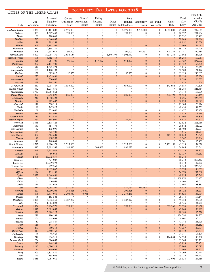#### CITIES OF THE THIRD CLASS

|                                             |               | CITIES OF THE THIRD CLASS |                            |                                   |                                  |                                       |                               |                                |                                |                                 |                  | <b>Total Mills</b> |
|---------------------------------------------|---------------|---------------------------|----------------------------|-----------------------------------|----------------------------------|---------------------------------------|-------------------------------|--------------------------------|--------------------------------|---------------------------------|------------------|--------------------|
|                                             |               | Assessed                  | General                    | Special                           | Utility                          |                                       | Total                         |                                |                                |                                 | Total            | Levied in          |
|                                             | 2017          | Tangible                  |                            | Obligation Assessment             | Revenue                          | Other                                 |                               | Bonded Temporary               | No-Fund                        | Other                           | City             | City By            |
| City                                        | Population    | Valuation                 | <b>Bonds</b>               | <b>Bonds</b>                      | <b>Bonds</b>                     |                                       | Bonds Indebtedness            | <b>Notes</b>                   | Warrants                       | Debt                            | Levy             | All Units          |
| <b>Medicine Lodge</b>                       | 1,930         | 10,101,888                | 2,575,000                  | $\boldsymbol{0}$                  | $\boldsymbol{0}$                 | $\boldsymbol{0}$                      | 2,575,000                     | 3,708,000                      | $\boldsymbol{0}$               | 1,015,000                       | 79.480           | 209.013            |
| Melvern                                     | 363           | 1,527,457                 | 190,000<br>$\ast$          | $\boldsymbol{0}$<br>$\frac{1}{2}$ | $\boldsymbol{0}$<br>×.           | $\boldsymbol{0}$<br>$*$               | 190,000<br>×.                 | $\boldsymbol{0}$<br>$\ast$     | $\boldsymbol{0}$<br>$\ast$     | $\overline{0}$<br>$\ast$        | 76.597           | 201.934            |
| Menlo<br><b>Meriden</b>                     | 60<br>783     | 288,048<br>4,640,865      | ×                          | ×                                 |                                  | $\ast$                                |                               | $\ast$                         | $\ast$                         |                                 | 13.332<br>59.943 | 166.493<br>201.814 |
| <b>Milan</b>                                | 79            | 205,253                   | ×                          | $*$                               |                                  | $*$                                   |                               | $\ast$                         | $*$                            |                                 | 49.052           | 156.520            |
| <b>Milford</b>                              | 569           | 3,182,109                 | $\overline{0}$             | $\mathbf{0}$                      | $\mathbf{0}$                     | $\mathbf{0}$                          | $\overline{0}$                | $\mathbf{0}$                   | $\mathbf{0}$                   | $\Omega$                        | 27.005           | 147.695            |
| <b>Miltonvale</b>                           | 510           | 2,864,741                 | $*$                        | $*$                               | $\frac{1}{20}$                   | $\ast$                                | *                             | $\ast$                         | $\ast$                         | $\frac{1}{2}$                   | 39.723           | 204.950            |
| Minneola                                    | 698           | 2,602,012                 | 190,000                    | $\boldsymbol{0}$                  | $\overline{0}$                   | $\boldsymbol{0}$                      | 190,000                       | 621,651                        | $\boldsymbol{0}$               | 175,324                         | 51.241           | 250.184            |
| <b>Mission Hills</b>                        | 3,600         | 190,094,750               | 2,656,154<br>×             | $\mathbf{0}$<br>$*$               | $\mathbf{0}$                     | 1,846,193<br>$*$                      | 4,502,347<br>$\frac{1}{2}$    | $\boldsymbol{0}$<br>$\ast$     | $\overline{0}$<br>$\ast$       | 607,333<br>$*$                  | 21.962           | 124.739            |
| <b>Mission Woods</b><br><b>Moline</b>       | 198<br>325    | 8,855,415<br>984,105      | 95,507                     | $\mathbf{0}$                      | 847,302                          | $\boldsymbol{0}$                      | 942,809                       | $\boldsymbol{0}$               | $\mathbf{0}$                   | $\overline{0}$                  | 16.284<br>97.429 | 119.061<br>272.992 |
| Montezuma                                   | 967           | 7,111,700                 | $\mathbf{0}$               | $\mathbf{0}$                      | $\mathbf{0}$                     | $\boldsymbol{0}$                      | $\mathbf{0}$                  | $\mathbf{0}$                   | $\mathbf{0}$                   | $\overline{0}$                  | 17.439           | 156.505            |
| <b>Moran</b>                                | 517           | 1,523,574                 | $*$                        | $\frac{1}{2}$                     | $\ast$                           | $\ast$                                | $\ast$                        | $\ast$                         | $\ast$                         | 字                               | 37.815           | 173.265            |
| Morganville                                 | 189           | 1,128,193                 | $\ast$                     | $\frac{1}{2}$                     |                                  | ×.                                    |                               | $\frac{1}{2}$                  | $\ast$                         |                                 | 52.709           | 171.126            |
| <b>Morland</b>                              | 152           | 689,812                   | 52,833                     | $\mathbf{0}$                      | $\mathbf{0}$                     | $\boldsymbol{0}$                      | 52,833                        | $\boldsymbol{0}$               | $\boldsymbol{0}$               | $\overline{0}$                  | 85.123           | 246.067            |
| <b>Morrill</b><br><b>Morrowville</b>        | 225<br>148    | 1,435,491<br>330,682      | $\overline{0}$<br>×        | $\overline{0}$<br>$*$             | $\Omega$                         | $\mathbf{0}$<br>$*$                   | $\mathbf{0}$                  | $\mathbf{0}$<br>$\ast$         | $\mathbf{0}$<br>$\ast$         | $\overline{0}$                  | 19.124<br>69.293 | 103.836<br>206.537 |
| <b>Moscow</b>                               | 298           | 864,160                   | $\ast$                     | $\ast$                            | $\frac{1}{2}$                    | $\ast$                                | $\frac{1}{2}$                 | $\ast$                         | $\frac{1}{2}$                  | $\frac{1}{2}$                   | 71.618           | 216.224            |
| <b>Mound City</b>                           | 680           | 3,901,767                 | 1,055,000                  | $\mathbf{0}$                      | $\mathbf{0}$                     | $\boldsymbol{0}$                      | 1,055,000                     | $\boldsymbol{0}$               | $\boldsymbol{0}$               | 143,936                         | 74.985           | 199.106            |
| <b>Mound Valley</b>                         | 382           | 1,211,830                 | *                          | $*$                               | $\frac{1}{20}$                   | $\ast$                                |                               | $\ast$                         | $\ast$                         | $\frac{1}{2}$                   | 65.384           | 221.864            |
| Moundridge                                  | 1,737         | 16,367,862                | $\ast$                     | $\frac{1}{2}$                     |                                  | $*$                                   |                               | $\ast$                         | $\ast$                         | $\frac{1}{2}$                   | 34.743           | 116.779            |
| <b>Mount Hope</b><br><b>Mullinville</b>     | 807           | 3,995,898                 | 625,000<br>×               | $\mathbf{0}$<br>$*$               | $\Omega$<br>$*$                  | $\boldsymbol{0}$<br>$\ast$            | 625,000                       | $\mathbf{0}$<br>$\ast$         | $\mathbf{0}$<br>$\frac{1}{2}$  | 432,193<br>$\frac{1}{2}$        | 55.933           | 150.159            |
| <b>Munden</b>                               | 247<br>94     | 1,310,493<br>283,602      | $\overline{0}$             | $\overline{0}$                    | $\Omega$                         | $\mathbf{0}$                          | $\mathbf{0}$                  | $\mathbf{0}$                   | $\mathbf{0}$                   | $\overline{0}$                  | 88.226<br>36.020 | 223.355<br>187.025 |
| Muscotah                                    | 171           | 598,219                   | $*$                        | $*$                               | $\ast$                           | $\ast$                                | ×.                            | $\ast$                         | $\ast$                         | $\frac{1}{2}$                   | 15.105           | 120.924            |
| <b>Narka</b>                                | 88            | 247,827                   | *                          | 米                                 |                                  | ×.                                    | sk.                           | $\ast$                         | $\ast$                         |                                 | 49.430           | 199.333            |
| Nashville                                   | 61            | 375,080                   | $\mathbf{0}$               | $\mathbf{0}$                      | $\mathbf{0}$                     | $\boldsymbol{0}$                      | $\mathbf{0}$                  | $\boldsymbol{0}$               | $\boldsymbol{0}$               | $\overline{0}$                  | 41.677           | 155.479            |
| <b>Natoma</b>                               | 311           | 808,964                   | $\mathbf{0}$               | $\mathbf{0}$                      | $\Omega$                         | $\boldsymbol{0}$                      | $\mathbf{0}$                  | $\mathbf{0}$                   | $\mathbf{0}$                   | $\overline{0}$                  | 73.023           | 213.489            |
| <b>Neosho Falls</b><br><b>Neosho Rapids</b> | 136<br>264    | 315,439<br>894,901        | $\mathbf{0}$<br>259,977    | $\mathbf{0}$<br>$\overline{0}$    | $\overline{0}$<br>$\overline{0}$ | $\boldsymbol{0}$<br>$\mathbf{0}$      | $\boldsymbol{0}$<br>259,977   | $\mathbf{0}$<br>$\overline{0}$ | $\mathbf{0}$<br>$\overline{0}$ | $\overline{0}$<br>$\Omega$      | 31.860<br>26.874 | 191.870<br>167.621 |
| <b>Ness City</b>                            | 1,386         | 9,118,424                 | $*$                        | $\frac{1}{2}$                     | $\frac{1}{20}$                   | $\ast$                                | ×.                            | $\frac{1}{2}$                  | $\ast$                         | 净                               | 62.932           | 201.760            |
| Netawaka                                    | 143           | 651,178                   | *                          | ×.                                |                                  | ×.                                    |                               | ×.                             |                                |                                 | 20.842           | 161.923            |
| New Albany                                  | 52            | 115,099                   | $\ast$                     | $\frac{1}{2}$                     |                                  | $*$                                   |                               | $\ast$                         | $\ast$                         | ×,                              | 18.402           | 142.974            |
| <b>New Cambria</b>                          | 124           | 623,701                   | ×                          | ×                                 |                                  | $\ast$                                | $\frac{1}{2}$                 | $\ast$                         | $*$                            | $\frac{1}{2}$                   | 4.546            | 101.914            |
| <b>New Strawn</b>                           | 407           | 3,604,689                 | $\boldsymbol{0}$<br>$\ast$ | $\mathbf{0}$<br>$\ast$            | $\mathbf{0}$<br>$\ast$           | $\boldsymbol{0}$<br>$\ast$            | $\mathbf{0}$<br>$\frac{1}{2}$ | $\boldsymbol{0}$<br>$\ast$     | $\boldsymbol{0}$<br>$\ast$     | 463,117<br>$\frac{1}{2}$        | 40.648           | 128.625            |
| Niotaze<br>Norcatur                         | 76<br>146     | 238,293<br>768,069        | ×.                         | $*$                               | $\ast$                           | $\ast$                                | $\ast$                        | $\frac{1}{2}$                  | $\ast$                         | $\ast$                          | 5.967<br>50.361  | 186.204<br>165.439 |
| <b>North Newton</b>                         | 1,797         | 9,890,578                 | 2,725,000                  | $\boldsymbol{0}$                  | $\mathbf{0}$                     | $\boldsymbol{0}$                      | 2,725,000                     | $\boldsymbol{0}$               | $\boldsymbol{0}$               | 3,122,156                       | 45.528           | 154.028            |
| Nortonville                                 | 613           | 2,805,265                 | 580,415                    | $\mathbf{0}$                      | 309,607                          | $\boldsymbol{0}$                      | 890,022                       | $\mathbf{0}$                   | $\overline{0}$                 | $\overline{0}$                  | 36.845           | 170.545            |
| <b>Norwich</b>                              | 458           | 2,333,949                 | $\frac{1}{2}$              | $*$                               |                                  | $*$                                   | $\frac{1}{2}$                 | ×.                             | $\ast$                         | $\frac{1}{2}$                   | 103.713          | 248.823            |
| <b>Oak Hill</b>                             | 23            | 86,914                    | $\ast$                     | $*$                               | $*$                              | $*$                                   | $*$                           | $\ast$                         | $*$                            | $\frac{1}{2}$                   | 12.139           | 134.263            |
| <b>Oakley</b><br>Gove Co.                   | 2,098         | 13,975,859                | $\ast$                     | $\ast$                            | $\frac{1}{2}$                    | $\ast$                                | $\frac{1}{2}$                 | $\ast$                         | $\frac{1}{2}$                  | $\frac{1}{2}$                   | 80.348<br>80.348 | 218.483            |
| Logan Co.                                   |               | 437,027<br>13,279,572     |                            |                                   |                                  |                                       |                               |                                |                                |                                 | 80.348           | 197.272            |
| Thomas Co.                                  |               | 259,260                   |                            |                                   |                                  |                                       |                               |                                |                                |                                 | 80.348           | 226.323            |
| <b>Oberlin</b>                              | 1,700         | 7,032,842                 |                            |                                   |                                  |                                       |                               |                                |                                |                                 | 87.998           | 198.653            |
| <b>Offerle</b>                              | 194           | 755,180                   | ×                          | ×.                                |                                  | $*$                                   |                               |                                |                                |                                 | 74.574           | 232.668            |
| <b>Ogden</b>                                | 2,022         | 9,064,481                 | ×<br>*                     | s.<br>$*$                         | $\frac{1}{20}$                   | $*$<br>$*$                            |                               | $\frac{1}{2}$<br>$\ast$        | $\ast$                         | 净                               | 40.925           | 145.349            |
| <b>Oketo</b><br><b>Olivet</b>               | 64<br>65      | 209,904<br>520,964        |                            | 米                                 |                                  | $*$                                   |                               | $\frac{1}{2}$                  |                                |                                 | 108.874<br>8.300 | 226.437<br>133.071 |
| <b>Olmitz</b>                               | 111           | 543,685                   |                            |                                   |                                  | $\ast$                                |                               | $\ast$                         |                                |                                 | 25.664           | 158.885            |
| <b>Olpe</b>                                 | 539           | 3,095,309                 | 531,164                    | $\boldsymbol{0}$                  | $\overline{0}$                   | $\boldsymbol{0}$                      | 531,164                       | 259,995                        | $\boldsymbol{0}$               | $\bf{0}$                        | 28.426           | 167.461            |
| <b>Olsburg</b>                              | 227           | 1,200,204                 | 360,628                    | 30,000                            | $\boldsymbol{0}$                 | $\boldsymbol{0}$                      | 390,628                       | $\boldsymbol{0}$               | $\boldsymbol{0}$               | $\mathbf{0}$                    | 16.722           | 105.237            |
| <b>Onaga</b>                                | 696           | 3,677,941                 | 3,204,350                  | 70,931                            | $\mathbf{0}$                     | $\boldsymbol{0}$                      | 3,275,281                     | $\boldsymbol{0}$               | $\boldsymbol{0}$               | $\mathbf{0}$                    | 54.626           | 143.714            |
| <b>Oneida</b>                               | 75<br>1,078   | 183,582                   | $\ast$                     | $\frac{1}{2}$                     | $\frac{1}{2}$                    | $\frac{1}{2} \xi$<br>$\boldsymbol{0}$ | *<br>3,387,972                | $\ast$                         | $\ast$                         | $\frac{1}{2}$<br>$\overline{0}$ | 25.144<br>49.330 | 118.144<br>185.075 |
| <b>Oskaloosa</b><br><b>Otis</b>             | 262           | 6,376,350<br>1,064,023    | 3,387,972<br>*             | $\boldsymbol{0}$<br>$*$           | 0                                | $\frac{1}{2} \xi$                     |                               | $\boldsymbol{0}$<br>$\ast$     | $\boldsymbol{0}$<br>$\ast$     | $\frac{1}{2}$                   | 20.745           | 184.772            |
| <b>Overbrook</b>                            | 1,024         | 6,276,970                 | 390,000                    | $\boldsymbol{0}$                  | $\overline{0}$                   | $\mathbf{0}$                          | 390,000                       | $\boldsymbol{0}$               | $\boldsymbol{0}$               | 572,368                         | 63.724           | 186.960            |
| <b>Oxford</b>                               | 1,017         | 5,005,055                 | $\boldsymbol{0}$           | $\boldsymbol{0}$                  | $\boldsymbol{0}$                 | $\boldsymbol{0}$                      | $\mathbf{0}$                  | $\boldsymbol{0}$               | $\boldsymbol{0}$               | $\mathbf{0}$                    | 49.063           | 158.919            |
| <b>Ozawkie</b>                              | 629           | 3,888,227                 | $\ast$                     | $*$                               | $\frac{1}{2}$                    | $\ast$                                | $\frac{1}{2}$                 | $\ast$                         | $\ast$                         |                                 | 18.186           | 165.320            |
| Palco                                       | 278           | 990,394                   | $*$                        | $*$<br>sk.                        | $\frac{1}{20}$                   | $*$<br>$*$                            |                               | $\ast$                         | $\ast$                         | $\ast$                          | 126.794          | 254.757            |
| Palmer<br>Paradise                          | $106\,$<br>50 | 718,093<br>218,869        | *                          |                                   |                                  | $\ast$                                |                               |                                |                                |                                 | 60.902<br>41.746 | 190.602<br>186.738 |
| Park                                        | 116           | 547,767                   | $\ast$                     |                                   |                                  | $*$                                   |                               |                                |                                |                                 | 48.561           | 185.152            |
| <b>Parker</b>                               | 273           | 890,313                   | $\boldsymbol{0}$           | $\boldsymbol{0}$                  | $\boldsymbol{0}$                 | $\boldsymbol{0}$                      | $\boldsymbol{0}$              | $\boldsymbol{0}$               | $\boldsymbol{0}$               | $\overline{0}$                  | 41.357           | 147.677            |
| Parkerfield                                 | 413           | 2,550,468                 | $\ast$                     | $\ast$                            | $\ast$                           | $\ast$                                | $*$                           | $\ast$                         | $\ast$                         |                                 | 10.112           | 153.334            |
| Parkerville                                 | 56            | 92,757                    | ×.                         | $\frac{1}{2}$                     |                                  | $\frac{1}{2} \xi$                     | *                             | $\ast$                         | $\ast$                         | $\ast$                          | 21.411           | 162.425            |
| Partridge                                   | 242           | 934,315                   | $\boldsymbol{0}$<br>$*$    | $\boldsymbol{0}$<br>$*$           | 0                                | $\boldsymbol{0}$<br>$\ast$            | $\boldsymbol{0}$              | $\boldsymbol{0}$<br>$\ast$     | $\boldsymbol{0}$<br>$\ast$     | 106,054<br>$\frac{1}{2}$        | 54.739           | 190.208            |
| <b>Pawnee Rock</b><br><b>Paxico</b>         | 234<br>213    | 606,057<br>948,388        | $\ast$                     |                                   |                                  | $*$                                   |                               |                                |                                |                                 | 85.365<br>42.829 | 230.731<br>175.431 |
| Peabody                                     | 1,140         | 4,096,314                 | ×                          | ×.                                |                                  | $*$                                   |                               | $*$                            |                                |                                 | 87.906           | 230.093            |
| Penalosa                                    | $16\,$        | 149,699                   | $\ast$                     | $\frac{1}{2}$                     |                                  | $\ast$                                | $*$                           | $\ast$                         |                                |                                 | 21.003           | 148.927            |
| Perry                                       | 906           | 5,858,440                 | *                          | $*$                               | $\frac{1}{2}$                    | $\ast$                                | $\frac{1}{2}$                 | $\ast$                         | $\ast$                         |                                 | 24.506           | 160.798            |
| Peru                                        | 129           | 195,056                   | *                          | $*$                               | $\frac{1}{2}$                    | $\ast$                                | *                             | $\ast$                         | $\ast$                         |                                 | 45.736           | 225.243            |
| <b>Plains</b>                               | 1,056         | 4,761,010                 | $\boldsymbol{0}$           | $\mathbf{0}$                      | $\boldsymbol{0}$                 | $\boldsymbol{0}$                      | $\boldsymbol{0}$              | $\boldsymbol{0}$               | $\overline{0}$                 | 772,694                         | 70.034           | 184.450            |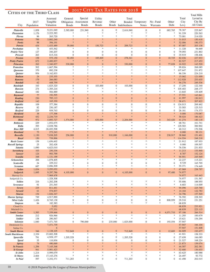#### ce of the Third Class

|                                             | 2017         | CITIES OF THE THIRD CLASS<br>Assessed<br>Tangible | General                           | Special<br>Obligation Assessment | Utility<br>Revenue                  | Other                             | Total                              | Bonded Temporary         | No-Fund                | Other                    | Total<br>City     | <b>Total Mills</b><br>Levied in<br>City By |
|---------------------------------------------|--------------|---------------------------------------------------|-----------------------------------|----------------------------------|-------------------------------------|-----------------------------------|------------------------------------|--------------------------|------------------------|--------------------------|-------------------|--------------------------------------------|
| City                                        | Population   | Valuation                                         | <b>Bonds</b>                      | <b>Bonds</b>                     | <b>Bonds</b>                        |                                   | Bonds Indebtedness                 | <b>Notes</b>             | Warrants               | Debt                     | Levy              | All Units                                  |
| Plainville                                  | 1,858        | 9,221,049                                         | 2,385,000<br>$\ast$               | 231,940                          | $\boldsymbol{0}$<br>$\frac{1}{2^k}$ | $\boldsymbol{0}$<br>$\ast$        | 2,616,940                          | $\mathbf{0}$<br>*        | $\boldsymbol{0}$<br>×. | 682,765<br>$\ast$        | 78.367            | 225.847                                    |
| Pleasanton<br>Plevna                        | 1,176<br>96  | 5,223,383<br>263,720                              | $\ast$                            | $\ast$                           | $\ast$                              | $\ast$                            | *                                  | $\ast$                   | *                      | $\frac{1}{2}$            | 91.339<br>73.081  | 220.363<br>214.020                         |
| <b>Pomona</b>                               | 799          | 3,882,240                                         | ×                                 | ×                                | $\ast$                              | $\ast$                            | ×.                                 | $\ast$                   | ×                      |                          | 31.015            | 150.418                                    |
| <b>Portis</b>                               | 98           | 394,191                                           | ×                                 | $*$                              | $\ast$                              | $\ast$                            | $\ast$                             | $*$                      | *                      |                          | 52.006            | 190.373                                    |
| Potwin                                      | 434          | 1,433,489<br>453,562                              | 59,000<br>$\ast$                  | $\mathbf{0}$<br>$\ast$           | 150,723<br>$\ast$                   | $\mathbf{0}$<br>$\ast$            | 209,723<br>$*$                     | $\Omega$<br>$\ast$       | $\mathbf{0}$<br>$\ast$ | $\Omega$<br>*            | 87.087<br>11.328  | 203.138<br>94.669                          |
| Powhattan<br>Prairie View                   | 75<br>127    | 340,207                                           | $\boldsymbol{0}$                  | $\mathbf{0}$                     | $\boldsymbol{0}$                    | $\boldsymbol{0}$                  | $\boldsymbol{0}$                   | $\overline{0}$           | $\boldsymbol{0}$       | $\Omega$                 | 79.093            | 231.863                                    |
| Prescott                                    | 263          | 615,316                                           | $\mathbf{0}$                      | $\mathbf{0}$                     | $\overline{0}$                      | $\overline{0}$                    | $\mathbf{0}$                       | $\overline{0}$           | $\overline{0}$         | $\theta$                 | 35.919            | 158.406                                    |
| <b>Preston</b>                              | 158          | 575,150                                           | 92,492                            | $\mathbf{0}$                     | 185,849                             | $\boldsymbol{0}$                  | 278,341                            | $\Omega$                 | $\mathbf{0}$           | 10,725                   | 82.036            | 227.933                                    |
| <b>Pretty Prairie</b><br><b>Princeton</b>   | 672<br>262   | 2,400,837<br>1,340,837                            | ×<br>330,000                      | $*$<br>$\mathbf{0}$              | $\mathbf{0}$                        | $\ast$<br>$\mathbf{0}$            | $\ast$<br>330,000                  | $\ast$<br>$\Omega$       | *<br>$\mathbf{0}$      | $\ast$<br>77,028         | 82.527<br>16.922  | 217.453<br>143.520                         |
| Protection                                  | 502          | 1,667,594                                         | *                                 | $\ast$                           | $\frac{1}{2}$                       | $\ast$                            | *                                  | $\ast$                   | ×.                     |                          | 99.824            | 268.085                                    |
| Quenemo                                     | 370          | 892,238                                           | $\ast$                            | sk.                              | $\ast$                              | $\ast$                            | *                                  | $\frac{1}{2}$            | *                      |                          | 107.647           | 231.872                                    |
| Quinter                                     | 954          | 5,162,833                                         | *<br>×                            | $\ast$<br>×                      | $\ast$<br>$*$                       | $\ast$<br>$\ast$                  | $\ast$<br>$\ast$                   | $\ast$<br>$\ast$         | *<br>×                 |                          | 86.336            | 224.210                                    |
| Radium<br><b>Ramona</b>                     | 24<br>179    | 235,355<br>266,083                                | *                                 | $\frac{1}{2}$                    | $*$                                 | $\ast$                            | $\ast$                             | $*$                      | *                      |                          | 15.062<br>112.928 | 121.009<br>253.635                         |
| Randall                                     | 62           | 448,759                                           | ×                                 | $\ast$                           | $\ast$                              | $\ast$                            | ×                                  | $\frac{1}{2}$            | $\ast$                 |                          | 94.276            | 249.536                                    |
| Randolph                                    | 163          | 1,025,320                                         | $\mathbf{0}$                      | $\mathbf{0}$                     | 103,000                             | $\boldsymbol{0}$                  | 103,000                            | $\overline{0}$           | $\boldsymbol{0}$       | $\Omega$                 | 17.250            | 122.340                                    |
| Ransom                                      | 274          | 1,305,216                                         | $\ast$<br>$*$                     | *<br>$\ast$                      | *<br>$\ast$                         | $\ast$<br>$\ast$                  | *<br>$\ast$                        | $\ast$<br>$\ast$         | *<br>*                 |                          | 105.403           | 248.177                                    |
| Rantoul<br><b>Raymond</b>                   | 182<br>77    | 584,889<br>192,595                                | ×                                 | ×                                | $*$                                 | ×                                 | ×                                  | $\ast$                   | ×                      |                          | 13.845<br>37.551  | 139.409<br>143.841                         |
| <b>Reading</b>                              | 230          | 785,113                                           | $\boldsymbol{0}$                  | $\mathbf{0}$                     | $\boldsymbol{0}$                    | $\boldsymbol{0}$                  | $\boldsymbol{0}$                   | $\overline{0}$           | $\mathbf{0}$           | $\mathbf{0}$             | 41.997            | 150.913                                    |
| <b>Redfield</b>                             | 142          | 165,330                                           | $\ast$                            | $\ast$                           | ×                                   | $\ast$                            | ×                                  | $\ast$                   | $\ast$                 |                          | 58.671            | 207.822                                    |
| Republic                                    | 109          | 377,384                                           | $\boldsymbol{0}$<br>$\ast$        | $\mathbf{0}$<br>$\ast$           | $\overline{0}$<br>$\ast$            | $\boldsymbol{0}$<br>$\ast$        | $\boldsymbol{0}$<br>$\ast$         | $\overline{0}$<br>$\ast$ | $\boldsymbol{0}$<br>*  | $\Omega$                 | 124.013           | 269.462                                    |
| Reserve<br>Rexford                          | 82<br>229    | 230,187<br>939,743                                | $\mathbf{0}$                      | $\mathbf{0}$                     | $\overline{0}$                      | $\boldsymbol{0}$                  | $\mathbf{0}$                       | $\mathbf{0}$             | $\boldsymbol{0}$       | $\Omega$                 | 33.503<br>26.161  | 125.515<br>174.373                         |
| <b>Richfield</b>                            | 38           | 177,398                                           | $\ast$                            | $\ast$                           | ×                                   | $\ast$                            | ×                                  | $\ast$                   | ×                      |                          | 0.000             | 170.087                                    |
| <b>Richmond</b>                             | 452          | 2,236,719                                         | ×                                 | $*$                              | $\ast$                              | $\ast$                            | $\ast$                             | $*$                      | $\ast$                 |                          | 58.024            | 186.423                                    |
| <b>Riley</b>                                | 972          | 5,893,727                                         | 1,574,000<br>*                    | $\mathbf{0}$<br>$\ast$           | 630,000<br>*                        | $\mathbf{0}$<br>$\ast$            | 2,204,000<br>*                     | $\Omega$<br>$\ast$       | $\mathbf{0}$<br>×.     | 343,420<br>$\frac{1}{2}$ | 41.274            | 140.118                                    |
| Robinson<br>Rolla                           | 229<br>393   | 1,052,675<br>2,038,786                            | $\ast$                            | $\frac{1}{2}$                    | $\ast$                              | $\ast$                            | $\ast$                             | $\ast$                   | *                      | $\frac{1}{2}$            | 68.761<br>129.583 | 161.741<br>300.902                         |
| <b>Rose Hill</b>                            | 4,015        | 26,693,598                                        | $\ast$                            | $\frac{1}{2}$                    | $\ast$                              | $\ast$                            | $\ast$                             | $\ast$                   | *                      |                          | 40.312            | 170.306                                    |
| <b>Roseland</b>                             | 73           | 273,243                                           | $\ast$                            | $\ast$                           | ×                                   | $\ast$                            | $\ast$                             | $\ast$                   | ×                      | $\frac{1}{2}$            | 0.000             | 99.131                                     |
| Rossville                                   | 1,130        | 7,038,205                                         | 256,000<br>$\ast$                 | $\mathbf{0}$<br>$\ast$           | $\boldsymbol{0}$<br>$\ast$          | 910,000<br>$\ast$                 | 1,166,000<br>$\ast$                | $\mathbf{0}$<br>$\ast$   | $\mathbf{0}$<br>$\ast$ | 238,917                  | 38.860            | 151.401                                    |
| Rozel<br><b>Rush Center</b>                 | 150<br>158   | 739,896<br>1,656,602                              | $\ast$                            | $\frac{1}{2}$                    | $\frac{1}{2^k}$                     | $\ast$                            | $\ast$                             | $\ast$                   | *                      | $\ast$                   | 114.554<br>21.912 | 248.218<br>187.933                         |
| <b>Russell Springs</b>                      | 25           | 202,428                                           | $\ast$                            |                                  | $\ast$                              | $\ast$                            | *                                  | $\ast$                   | $*$                    |                          | 0.000             | 109.507                                    |
| <b>Satanta</b>                              | 1,090        | 4,623,010                                         | $\ast$                            | $\ast$                           | $\frac{1}{2^k}$                     | $\ast$                            | $\ast$                             | $\ast$                   | *                      |                          | 76.536            | 231.833                                    |
| <b>Savonburg</b>                            | 103          | 250,336<br>993,799                                | ×<br>$\frac{1}{2}$                | $\ast$                           | $*$<br>$*$                          | $\ast$<br>$*$                     | ×.<br>$\ast$                       | ×<br>$*$                 | ×<br>*                 |                          | 11.213<br>8.787   | 153.840                                    |
| <b>Sawyer</b><br><b>Scandia</b>             | 124<br>348   | 1,131,199                                         | $\ast$                            | $*$                              | $\ast$                              | $\ast$                            | ×.                                 | $\ast$                   | $\ast$                 |                          | 94.951            | 152.124<br>245.949                         |
| Schoenchen                                  | 206          | 1,078,405                                         | $*$                               | $\frac{1}{2}$                    | $\frac{1}{2^k}$                     | $\ast$                            | $\ast$                             | $\ast$                   | *                      | *                        | 22.237            | 115.221                                    |
| Scottsville                                 | 24           | 229,212                                           | $\boldsymbol{0}$<br>$\frac{1}{2}$ | $\mathbf{0}$                     | $\boldsymbol{0}$<br>sk.             | $\boldsymbol{0}$<br>$\mathcal{R}$ | $\mathbf{0}$<br>sk.                | $\mathbf{0}$             | $\mathbf{0}$           | $\mathbf{0}$             | 9.729             | 165.795                                    |
| <b>Scranton</b><br><b>Sedan</b>             | 687<br>1,034 | 2,896,509<br>3,293,032                            | ×                                 |                                  |                                     |                                   |                                    |                          | $\ast$<br>$\ast$       | $\frac{1}{26}$<br>*      | 55.371<br>67.969  | 174.449<br>238.797                         |
| <b>Sedgwick</b>                             | 1,695        | 9,297,786                                         | 4,105,000                         | $\boldsymbol{0}$                 | $\overline{0}$                      | $\overline{0}$                    | 4,105,000                          | $\boldsymbol{0}$         | $\boldsymbol{0}$       | 97,400                   | 74.977            |                                            |
| Harvey Co.                                  |              | 7,969,478                                         |                                   |                                  |                                     |                                   |                                    |                          |                        |                          | 74.977            | 163.443                                    |
| Sedgwick Co.                                |              | 1,328,308                                         | $\ast$                            | $\ast$                           | $\frac{d\mathbf{r}}{dt}$            | $\ast$                            | $\ast$                             | $\frac{1}{2} \xi$        | $\ast$                 |                          | 74.977            | 151.567                                    |
| <b>Selden</b><br>Severance                  | 216<br>91    | 1,202,208<br>251,545                              | $\ast$                            | $\ast$                           | ×.                                  | $\ast$                            | $\frac{1}{2}$                      | $\ast$                   | ×.                     |                          | 55.606<br>6.603   | 188.955<br>114.009                         |
| <b>Severy</b>                               | 235          | 811,441                                           | ×                                 |                                  | $*$                                 | $\ast$                            | ×                                  | ×                        | ×                      |                          | 94.096            | 225.760                                    |
| <b>Seward</b>                               | 61           | 574,837                                           | $\ast$                            | $\ast$                           | $\ast$                              | $\ast$                            | ×.                                 | $\ast$                   | $\ast$                 |                          | 14.164            | 122.783                                    |
| <b>Sharon</b>                               | 154<br>749   | 1,026,347<br>4,917,890                            | $\ast$<br>$\ast$                  | $\ast$<br>$\ast$                 | $\ast$<br>$\frac{1}{2}$             | $\ast$<br>$\ast$                  | ×<br>$\ast$                        | $\ast$<br>$\ast$         | ×<br>$\ast$            | $\ast$                   | 34.796<br>76.592  | 157.569                                    |
| <b>Sharon Springs</b><br><b>Silver Lake</b> | 1,426        | 8,745,138                                         | $\boldsymbol{0}$                  | $\boldsymbol{0}$                 | $\boldsymbol{0}$                    | $\boldsymbol{0}$                  | $\boldsymbol{0}$                   | $\boldsymbol{0}$         | $\boldsymbol{0}$       | 808,959                  | 29.510            | 228.303<br>151.251                         |
| <b>Simpson</b>                              | 84           | 182,383                                           | $\ast$                            | $\ast$                           | $\ast$                              | $\ast$                            | $\frac{1}{2}$                      | $\ast$                   | $\frac{1}{2}$          | $\frac{1}{2}$            | 68.839            |                                            |
| Cloud Co.                                   |              | 5,052                                             |                                   |                                  |                                     |                                   |                                    |                          |                        |                          | 68.839            | 233.921                                    |
| Mitchell Co.<br><b>Smith Center</b>         | 1,583        | 177,331<br>7,359,666                              | $\mathbf{0}$                      | $\mathbf{0}$                     | $\overline{0}$                      | $\boldsymbol{0}$                  | $\mathbf{0}$                       | $\mathbf{0}$             | $\boldsymbol{0}$       | 4,071,710                | 68.839<br>97.186  | 223.115<br>266.514                         |
| <b>Smolan</b>                               | 212          | 926,966                                           | $\ast$                            | $\ast$                           | $\frac{d\mathbf{r}}{dt}$            | $\ast$                            | $\ast$                             | $\ast$                   | *                      | $\ast$                   | 11.293            | 100.679                                    |
| <b>Soldier</b>                              | 138          | 290,567                                           | $\ast$                            | $\ast$                           | $\ast$                              | $\ast$                            | $\ast$                             | $\ast$                   | $\ast$                 | $\ast$                   | 15.621            | 154.294                                    |
| Solomon                                     | 1,040        | 7,471,745                                         | $\boldsymbol{0}$                  | 790,000                          | $\boldsymbol{0}$                    | 235,000                           | 1,025,000                          | $\boldsymbol{0}$         | $\boldsymbol{0}$       | 193,554                  | 57.947            |                                            |
| Dickinson Co.<br>Saline Co.                 |              | 7,471,739<br>$\boldsymbol{6}$                     |                                   |                                  |                                     |                                   |                                    |                          |                        |                          | 57.947<br>57.947  | 166.104<br>151.608                         |
| <b>South Haven</b>                          | 346          | 1,138,105                                         | 712,849                           | $\mathbf{0}$                     | $\boldsymbol{0}$                    | $\mathbf{0}$                      | 712,849                            | $\mathbf{0}$             | $\boldsymbol{0}$       | 12,683                   | 64.609            | 193.677                                    |
| <b>South Hutchinson</b>                     | 2,539        | 23,602,308                                        | *                                 | $\ast$                           | $\frac{d\mathbf{r}}{dt}$            | $\ast$                            | $\ast$                             | $\frac{1}{2} \xi$        | $\frac{1}{2}$          | $\ast$                   | 41.921            | 158.333                                    |
| <b>Spearville</b>                           | 791          | 4,928,157                                         | 1,205,528                         | $\mathbf{0}$                     | $\boldsymbol{0}$                    | $\boldsymbol{0}$                  | 1,205,528                          | $\boldsymbol{0}$         | $\boldsymbol{0}$       | $\mathbf{0}$             | 27.658            | 166.085                                    |
| <b>Speed</b><br><b>Spivey</b>               | 35<br>74     | 110,836<br>490,069                                | $\mathbf{0}$<br>$\ast$            | $\mathbf{0}$<br>×                | $\boldsymbol{0}$<br>$\ast$          | $\boldsymbol{0}$<br>$\ast$        | $\boldsymbol{0}$<br>*              | $\boldsymbol{0}$<br>×    | $\boldsymbol{0}$<br>×  | $\mathbf{0}$             | 21.527<br>21.873  | 168.224<br>159.074                         |
| <b>St Francis</b>                           | 1,294        | 7,145,348                                         | ×                                 | $\ast$                           | $\ast$                              | $\ast$                            | $\ast$                             | $\ast$                   | *                      |                          | 44.587            | 202.381                                    |
| <b>St George</b>                            | 941          | 5,901,423                                         | $\ast$                            | $\ast$                           | $\ast$                              | $\ast$                            | ×                                  | $\frac{1}{2}$            | $\ast$                 |                          | 52.600            | 136.633                                    |
| <b>St John</b>                              | 1,214        | 5,999,079                                         | ×.<br>$\ast$                      | $\ast$<br>$\ast$                 | $\ast$<br>$\frac{d\mathbf{r}}{dt}$  | $\ast$<br>$\ast$                  | $\frac{1}{2} \xi$<br>$\frac{1}{2}$ | $\ast$<br>$\ast$         | *<br>*                 | *<br>$\frac{1}{2}$       | 63.625            | 180.988                                    |
| <b>St Marys</b><br><b>St Paul</b>           | 2,664<br>597 | 17, 143, 276<br>3,252,371                         | 711,203                           | $\boldsymbol{0}$                 | $\boldsymbol{0}$                    | $\overline{0}$                    | 711,203                            | $\boldsymbol{0}$         | $\boldsymbol{0}$       | $\overline{0}$           | 24.497<br>41.498  | 93.772<br>202.015                          |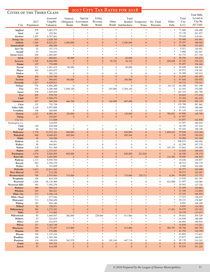#### Cities of the Third Class

| UITIES OF THE THIRD ULASS           |                    | Assessed               | General                       | Special                               | Utility                              |                                   | Total                     |                                  |                                             |                        | Total             | <b>Total Mills</b><br>Levied in |
|-------------------------------------|--------------------|------------------------|-------------------------------|---------------------------------------|--------------------------------------|-----------------------------------|---------------------------|----------------------------------|---------------------------------------------|------------------------|-------------------|---------------------------------|
|                                     | 2017<br>Population | Tangible<br>Valuation  | <b>Bonds</b>                  | Obligation Assessment<br><b>Bonds</b> | Revenue<br><b>Bonds</b>              | Other                             | Bonds Indebtedness        | Bonded Temporary<br><b>Notes</b> | No-Fund<br>Warrants                         | Other<br>Debt          | City<br>Levy      | City By<br>All Units            |
| City                                |                    |                        |                               |                                       |                                      |                                   |                           |                                  |                                             |                        |                   |                                 |
| <b>Stafford</b><br><b>Stark</b>     | 978<br>69          | 3,663,273<br>225,941   | $\ast$                        | $*$<br>*                              | $\ast$<br>$\ast$                     | 字                                 |                           | $\ast$                           | $\frac{1}{2}$                               | $\ast$                 | 71.660<br>37.178  | 194.488<br>201.977              |
| <b>Stockton</b>                     | 1,297              | 6,767,661              |                               | *                                     | $\ast$                               |                                   |                           | $*$                              |                                             | 字                      | 75.630            | 218.401                         |
| <b>Strong City</b>                  | 455                | 2,028,705              | $\ast$                        | $\ast$                                | $\ast$                               | $\ast$                            |                           | $\ast$                           |                                             |                        | 53.488            | 195.991                         |
| <b>Sublette</b>                     | 1,364              | 8,622,221              | 2,040,000                     | $\overline{0}$                        | $\mathbf{0}$                         | $\boldsymbol{0}$                  | 2,040,000                 | $\Omega$                         | $\overline{0}$                              | $\mathbf{0}$           | 55.297            | 189.940                         |
| <b>Summerfield</b>                  | 150                | 496,384                | ×<br>$*$                      | $*$<br>$*$                            | $\frac{1}{2}$<br>$\ast$              | $\ast$<br>$\ast$                  | $*$<br>$\ast$             | $*$<br>$\ast$                    | $\ast$<br>$\frac{1}{2}$                     | $*$<br>*               | 51.446            | 153.653                         |
| Sun City<br><b>Susank</b>           | 52<br>33           | 337,175<br>144,541     |                               | *                                     | $\ast$                               | 字                                 |                           | $*$                              |                                             |                        | 5.021<br>3.860    | 126.951<br>142.927              |
| <b>Sylvan Grove</b>                 | 258                | 1,085,687              | $\ast$                        | $*$                                   | $\ast$                               | 字                                 |                           | $\ast$                           |                                             |                        | 62.372            | 217.739                         |
| <i><b>Sylvia</b></i>                | 213                | 680,861                | 82,000                        | $\mathbf{0}$                          | $\mathbf{0}$                         | $\mathbf{0}$                      | 82,000                    | $\Omega$                         | $\mathbf{0}$                                | $\mathbf{0}$           | 58.396            | 195.675                         |
| <b>Syracuse</b>                     | 1,705              | 8,069,590              | $\boldsymbol{0}$              | $\mathbf{0}$                          | $\boldsymbol{0}$                     | 30,742                            | 30,742                    | $\overline{0}$                   | $\boldsymbol{0}$                            | 228,028                | 43.326            | 229.224                         |
| <b>Tampa</b>                        | 107                | 770,099                | $\ast$                        | ×                                     | $\ast$                               | $\ast$                            | $\ast$                    | $\frac{1}{2}$                    | $\ast$                                      | $\ast$                 | 55.497            | 194.446                         |
| <b>Tescott</b><br><b>Thayer</b>     | 311<br>465         | 1,201,615<br>1,624,677 | 85,000<br>$\ast$              | $\mathbf{0}$<br>$*$                   | $\boldsymbol{0}$<br>$\ast$           | $\boldsymbol{0}$<br>$\ast$        | 85,000                    | $\mathbf{0}$<br>$\ast$           | $\boldsymbol{0}$<br>$\frac{1}{2}$           | $\overline{0}$<br>*    | 56.848<br>45.972  | 208.601<br>178.301              |
| <b>Timken</b>                       | 71                 | 292,133                | $\boldsymbol{0}$              | $\overline{0}$                        | $\overline{0}$                       | $\mathbf{0}$                      | $\mathbf{0}$              | $\mathbf{0}$                     | $\overline{0}$                              | $\mathbf{0}$           | 24.369            | 195.915                         |
| <b>Tipton</b>                       | 206                | 1,365,700              | $\mathbf{0}$                  | $\mathbf{0}$                          | $\mathbf{0}$                         | $\mathbf{0}$                      | $\mathbf{0}$              | $\overline{0}$                   | $\mathbf{0}$                                | $\mathbf{0}$           | 31.079            | 183.497                         |
| <b>Toronto</b>                      | 265                | 580,042                | 340,000                       | $\mathbf{0}$                          | $\mathbf{0}$                         | $\boldsymbol{0}$                  | 340,000                   | $\overline{0}$                   | $\mathbf{0}$                                | $\mathbf{0}$           | 87.440            | 256.930                         |
| <b>Towanda</b>                      | 1,427              | 6,429,812              | $\ast$                        | $\ast$                                | $\ast$                               | $\ast$                            | $\frac{1}{2}$             | $\frac{1}{2}$                    | $\ast$                                      | $\ast$                 | 54.772            | 179.521                         |
| <b>Tribune</b><br><b>Troy</b>       | 776<br>970         | 4,506,289<br>4,386,568 | $\boldsymbol{0}$<br>2,049,140 | $\mathbf{0}$<br>$\mathbf{0}$          | $\boldsymbol{0}$<br>$\boldsymbol{0}$ | $\boldsymbol{0}$<br>245,000       | $\mathbf{0}$<br>2,294,140 | $\mathbf{0}$<br>$\boldsymbol{0}$ | $\boldsymbol{0}$<br>$\boldsymbol{0}$        | 63,172<br>$\mathbf{0}$ | 64.308<br>41.543  | 261.190<br>152.065              |
| <b>Turon</b>                        | 378                | 1,029,959              | $\ast$                        | ×.                                    | $\ast$                               | $\ast$                            |                           | $\ast$                           | $\frac{1}{2}$                               | $\ast$                 | 143.747           | 282.799                         |
| <b>Tyro</b>                         | 205                | 578,722                | $\ast$                        | ×                                     | $\ast$                               | $\ast$                            |                           |                                  | $\ast$                                      |                        | 24.022            | 171.418                         |
| <b>Udall</b>                        | 727                | 3,366,472              | $\ast$                        | $\ast$                                | $\ast$                               | $\ast$                            | $\frac{1}{2}$             | $*$                              | $\ast$                                      | $\frac{1}{2}$          | 47.304            | 181.425                         |
| <b>Uniontown</b>                    | 267                | 949,368                | 466,700<br>*                  | $\overline{0}$<br>$*$                 | $\mathbf{0}$<br>$\ast$               | 140,998<br>字                      | 607,698                   | $\Omega$<br>$\ast$               | $\Omega$<br>$\frac{1}{2}$                   | $\Omega$               | 45.434            | 205.130                         |
| <b>Utica</b><br><b>Valley Falls</b> | 152<br>1,149       | 723,758<br>5,597,898   |                               | *                                     | $\ast$                               | $\frac{1}{2}$                     |                           | $*$                              | $\ast$                                      |                        | 139.708<br>35.941 | 287.962<br>180.060              |
| <b>Vermillion</b>                   | 108                | 260,809                | $\boldsymbol{0}$              | $\overline{0}$                        | $\mathbf{0}$                         | $\mathbf{0}$                      | $\mathbf{0}$              | $\mathbf{0}$                     | $\overline{0}$                              | $\overline{0}$         | 91.125            | 193.029                         |
| <b>Victoria</b>                     | 1,221              | 8,984,181              | 120,000                       | $\mathbf{0}$                          | $\mathbf{0}$                         | $\boldsymbol{0}$                  | 120,000                   | $\overline{0}$                   | $\boldsymbol{0}$                            | 786,923                | 45.880            | 148.708                         |
| <b>Vining</b>                       | 43                 | 235,847                | $\mathbf{0}$                  | $\mathbf{0}$                          | $\mathbf{0}$                         | $\mathbf{0}$                      | $\mathbf{0}$              | $\overline{0}$                   | $\mathbf{0}$                                | $\overline{0}$         | 41.057            |                                 |
| Clay Co.                            |                    | 111,008                |                               |                                       |                                      |                                   |                           |                                  |                                             |                        | 41.057            | 162.858                         |
| Washington Co.<br><b>Viola</b>      | 130                | 124,839<br>629,568     | $\ast$                        | *                                     | $\ast$                               | $\frac{1}{2}$                     |                           | $\ast$                           | $\frac{1}{2}$                               | $\ast$                 | 41.057<br>26.185  | 166.818<br>137.310              |
| <b>Virgil</b>                       | 66                 | 252,728                | $\boldsymbol{0}$              | $\boldsymbol{0}$                      | $\mathbf{0}$                         | $\mathbf{0}$                      | $\mathbf{0}$              | $\mathbf{0}$                     | $\boldsymbol{0}$                            | $\overline{0}$         | 63.424            | 198.199                         |
| <b>WaKeeney</b>                     | 1,776              | 12,072,161             | 640,000                       | $\mathbf{0}$                          | $\mathbf{0}$                         | $\boldsymbol{0}$                  | 640,000                   | $\overline{0}$                   | $\boldsymbol{0}$                            | 1,669,425              | 59.626            | 210.166                         |
| Wakefield                           | 949                | 6,049,453              | 495,944                       | $\mathbf{0}$                          | $\boldsymbol{0}$                     | $\mathbf{0}$                      | 495,944                   | $\mathbf{0}$                     | $\boldsymbol{0}$                            | $\mathbf{0}$           | 31.056            | 150.018                         |
| Waldo                               | 30                 | 126,200                | ×<br>$*$                      | $\ast$<br>×.                          | $\ast$<br>$\ast$                     | $\ast$<br>$\ast$                  | $\ast$<br>$\ast$          | $\frac{1}{2}$<br>$\frac{1}{2}$   | $\ast$<br>$\frac{1}{2}$                     |                        | 34.960            | 181.569                         |
| Waldron<br>Wallace                  | 10<br>58           | 46,431<br>444,861      | $\mathbf{0}$                  | $\mathbf{0}$                          | $\boldsymbol{0}$                     | $\boldsymbol{0}$                  | $\mathbf{0}$              | $\mathbf{0}$                     | $\boldsymbol{0}$                            | $\mathbf{0}$           | 208.073<br>42.299 | 348.694<br>197.379              |
| Walnut                              | 218                | 521,384                | $\boldsymbol{0}$              | $\mathbf{0}$                          | $\mathbf{0}$                         | $\boldsymbol{0}$                  | $\mathbf{0}$              | $\mathbf{0}$                     | $\boldsymbol{0}$                            | 107,735                | 37.683            | 155.080                         |
| <b>Walton</b>                       | 239                | 1,373,527              | ×                             | ×                                     | $\ast$                               | ×                                 | $\ast$                    | $\ast$                           | ×                                           | $\ast$                 | 52.695            | 168.616                         |
| <b>Washington</b>                   | 1,076              | 5,920,595              | 820,000                       | $\mathbf{0}$                          | $\mathbf{0}$                         | $\boldsymbol{0}$                  | 820,000                   | 222,830                          | $\mathbf{0}$                                | $\mathbf{0}$           | 46.030            | 178.170                         |
| Waterville                          | 644                | 3,043,095              | $\mathbf{0}$<br>$\ast$        | $\overline{0}$<br>$*$                 | $\mathbf{0}$<br>$\frac{1}{2}$        | $\mathbf{0}$<br>×.                | $\mathbf{0}$              | $\overline{0}$<br>$\ast$         | $\mathbf{0}$<br>$\frac{1}{2}$               | 143,392<br>*           | 78.090            | 186.827                         |
| Wathena<br>Waverly                  | 1,313<br>563       | 9,930,704<br>2,530,276 |                               | *                                     | $\ast$                               |                                   |                           |                                  |                                             | *                      | 19.456<br>48.412  | 130.857<br>156.179              |
| Webber                              | 24                 | 152,009                |                               |                                       |                                      |                                   |                           |                                  |                                             |                        | 0.000             | 150.509                         |
| Wellsville                          | 1,813              | 12,011,442             |                               | $\frac{1}{2}$                         | $*$                                  |                                   |                           |                                  |                                             |                        | 53.577            | 184.608                         |
| <b>West Mineral</b>                 | 175                | 512,256                |                               | ×                                     | $\ast$                               | $\ast$                            |                           |                                  | $\frac{1}{2}$                               |                        | 59.271            | 163.047                         |
| Westmoreland                        | 769                | 3,915,063<br>634,439   | 715,000<br>*                  | $\mathbf{0}$<br>*                     | $\mathbf{0}$<br>$\ast$               | $\boldsymbol{0}$<br>$\frac{1}{2}$ | 715,000<br>$\ast$         | 729,712<br>$\frac{1}{2}$         | $\mathbf{0}$<br>$\frac{1}{2}$               | 8,381<br>*             | 50.093            | 131.731                         |
| Westphalia<br>Westwood              | 158<br>1,658       | 26,126,966             | $\boldsymbol{0}$              | $\mathbf{0}$                          | $\boldsymbol{0}$                     | $\boldsymbol{0}$                  | $\boldsymbol{0}$          | $\mathbf{0}$                     | $\boldsymbol{0}$                            | 425,000                | 21.826<br>21.307  | 181.397<br>124.084              |
| <b>Westwood Hills</b>               | 392                | 7,593,276              | $*$                           | *                                     | $\ast$                               | $\frac{1}{2}$                     | $\ast$                    | $\frac{1}{2}$                    | $\frac{1}{2}$                               | *                      | 24.943            | 127.720                         |
| Wetmore                             | 368                | 994,615                |                               | ×                                     | $\ast$                               | $\ast$                            |                           | $*$                              | $\ast$                                      | $\ast$                 | 23.595            | 130.863                         |
| <b>Wheaton</b>                      | 103                | 382,621                | *                             | $\ast$                                | $\ast$<br>$\frac{1}{2}$              | $\ast$<br>$\ast$                  | $\ast$                    | $\ast$<br>$\frac{1}{2}$          | $\frac{1}{2}$                               | $\frac{1}{2}$          | 21.546            | 112.836                         |
| <b>White City</b><br>White Cloud    | 572                | 2,456,118<br>677,544   | $*$<br>*                      | $\ast$<br>*                           | $\ast$                               | $\ast$                            | $\ast$<br>$*$             | $\ast$                           | $\frac{1}{2}$                               | *                      | 47.325<br>17.313  | 186.970                         |
| Whitewater                          | 171<br>713         | 3,594,659              |                               | *                                     | $\ast$                               | 字                                 |                           | $*$                              |                                             | *                      | 59.151            | 128.075<br>178.887              |
| <b>Whiting</b>                      | 183                | 924,160                | *                             | $\ast$                                | $\ast$                               | $\frac{1}{2}$                     |                           | $*$                              |                                             | *                      | 8.691             | 148.309                         |
| <b>Willard</b>                      | 92                 | 338,071                | $\ast$                        | $\ast$                                | ×                                    | $\ast$                            | $\ast$                    | $\ast$                           | $\frac{1}{2}$                               | *                      | 6.833             | 116.384                         |
| <b>Williamsburg</b>                 | 384                | 1,273,292              | $\boldsymbol{0}$              | $\boldsymbol{0}$                      | $\boldsymbol{0}$                     | $\boldsymbol{0}$                  | $\mathbf{0}$              | $\mathbf{0}$                     | $\boldsymbol{0}$                            | 17,201                 | 34.879            | 155.302                         |
| <b>Willis</b><br>Willowbrook        | 37<br>85           | 715,865<br>1,664,047   | $\ast$<br>282,000             | $\ast$<br>$\mathbf{0}$                | $\ast$<br>229,064                    | $\ast$<br>$\boldsymbol{0}$        | $\ast$<br>511,064         | $\ast$<br>$\boldsymbol{0}$       | $\ast$<br>$\boldsymbol{0}$                  | $\overline{0}$         | 29.279<br>59.651  | 110.633<br>204.328              |
| Wilmore                             | 53                 | 224,810                |                               | *                                     |                                      | $\frac{1}{2}$                     |                           | $\frac{1}{2}$                    |                                             | 字                      | 18.958            | 188.099                         |
| Wilsey                              | 145                | 416,873                | *                             | *                                     | $\ast$                               | $\frac{1}{2}$                     |                           | $\ast$                           |                                             | *                      | 46.804            | 199.835                         |
| <b>Wilson</b>                       | 757                | 3,263,748              | $\ast$                        | ×                                     | $\ast$                               | $\frac{1}{2}$                     | $\ast$                    | $\ast$                           | $\frac{1}{2}$                               | $\ast$                 | 74.876            | 173.261                         |
| Winchester                          | 530                | 1,775,497              | 413,860                       | $\mathbf{0}$                          | $\boldsymbol{0}$                     | $\boldsymbol{0}$                  | 413,860                   | $\boldsymbol{0}$                 | $\boldsymbol{0}$                            | 386,787                | 69.786            | 204.793                         |
| Windom<br>Winona                    | 125<br>166         | 474,886<br>1,147,410   | $\ast$<br>*                   | $\ast$<br>*                           | $\ast$<br>$\ast$                     | $\ast$<br>$\frac{1}{2}$           | $\ast$<br>$\ast$          | $\ast$<br>$\frac{1}{2}$          | $\ast$<br>$\frac{d\mathbf{r}}{d\mathbf{r}}$ | $\frac{1}{2}$<br>*     | 61.752<br>63.865  | 143.358<br>173.813              |
| Woodbine                            | 169                | 1,383,394              | *                             | $*$                                   | $\ast$                               | $\frac{1}{2}$                     | $\ast$                    | $\ast$                           | $\frac{1}{2}$                               | *                      | 47.877            | 166.873                         |
| Woodston                            | 134                | 298,829                | 342,579                       | $\mathbf{0}$                          | $\boldsymbol{0}$                     | 105,140                           | 447,719                   | $\boldsymbol{0}$                 | $\boldsymbol{0}$                            | $\mathbf{0}$           | 65.178            | 214.242                         |
| Zenda                               | 85                 | 459,325                | $\boldsymbol{0}$              | $\boldsymbol{0}$                      | $\boldsymbol{0}$                     | $\boldsymbol{0}$                  | $\boldsymbol{0}$          | $\boldsymbol{0}$                 | $\boldsymbol{0}$                            | $\mathbf{0}$           | 40.121            | 153.039                         |
| <b>Zurich</b>                       | 97                 | 414,959                | $\boldsymbol{0}$              | $\mathbf{0}$                          | $\mathbf{0}$                         | $\boldsymbol{0}$                  | $\mathbf{0}$              | $\mathbf{0}$                     | $\mathbf{0}$                                | $\overline{0}$         | 52.818            | 191.220                         |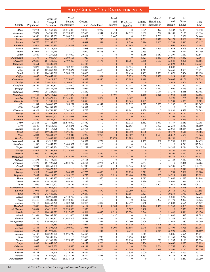#### 2017 County Tax Rates for 2018

|                                 |                    | Assessed                      | Total                      |                  |                                  | <b>Bond</b>                          |                                      |                              | Mental                           | Road                    | All                        |                   |
|---------------------------------|--------------------|-------------------------------|----------------------------|------------------|----------------------------------|--------------------------------------|--------------------------------------|------------------------------|----------------------------------|-------------------------|----------------------------|-------------------|
| County                          | 2017<br>Population | Tangible<br>Valuation         | Bonded<br>Indebtedness     | General          | Fund Ambulance                   | and<br>Interest                      | Employee<br>Benefits                 | County                       | Health and<br>Health Retardation | and<br><b>Bridge</b>    | Other<br>Levies            | Total<br>Levy     |
| <b>Allen</b>                    | 12,714             | 141,357,942                   | 28,815,000                 | 30.358           | 2.989                            | $\mathbf{0}$                         | $\mathbf{0}$                         | 0.629                        | 1.392                            | 2.582                   | 26.060                     | 64.010            |
| Anderson                        | 7,827              | 94,236,868                    | 29,920,000                 | 27.656           | 5.344                            | 8.428                                | 14.512                               | 0.852                        | 1.252                            | 28.185                  | 7.125                      | 93.354            |
| <b>Atchison</b>                 | 16,380             | 158, 197, 051                 | 53,664,719                 | 48.067           | $\boldsymbol{0}$                 | 2.467                                | $\boldsymbol{0}$                     | 0.505                        | 0.766                            | $\overline{0}$          | 2.639                      | 54.444            |
| <b>Barber</b><br><b>Barton</b>  | 4,688<br>26,775    | 106,762,732<br>257, 187, 662  | 157,553<br>$\mathbf{0}$    | 21.270<br>16.641 | 1.795<br>1.591                   | $\mathbf{0}$<br>$\boldsymbol{0}$     | 11.392<br>9.250                      | 1.501<br>0.816               | 0.978<br>0.665                   | 20.578<br>13.784        | 5.668<br>0.910             | 63.182<br>43.657  |
| <b>Bourbon</b>                  | 14,617             | 100,180,833                   | 2,433,468                  | 33.915           | $\boldsymbol{0}$                 | $\boldsymbol{0}$                     | 15.965                               | $\mathbf{0}$                 | 1.106                            | 11.666                  | 3.951                      | 66.603            |
| <b>Brown</b>                    | 9,684              | 175, 178, 658                 | $\overline{0}$             | 8.958            | 0.692                            | $\boldsymbol{0}$                     | 5.961                                | 0.333                        | 0.369                            | 12.623                  | 3.993                      | 32.929            |
| <b>Butler</b>                   | 67,025             | 703,779,119                   | $\boldsymbol{0}$           | 15.990           | 0.798                            | 2.641                                | $\boldsymbol{0}$                     | 0.565                        | $\mathbf{0}$                     | 8.706                   | 6.049                      | 34.749            |
| <b>Chase</b>                    | 2,669<br>3,374     | 48,259,125<br>31,980,794      | 945,000<br>3,090,106       | 39.102<br>1.029  | $\boldsymbol{0}$<br>$\mathbf{0}$ | $\boldsymbol{0}$<br>$\mathbf{0}$     | $\boldsymbol{0}$<br>$\overline{0}$   | 1.056<br>6.621               | 0.057<br>0.833                   | 21.299<br>29.036        | 1.030<br>35.442            | 62.544<br>72.961  |
| Chautauqua<br><b>Cherokee</b>   | 20,246             | 164,631,933                   | 2,499,800                  | 11.764           | 3.173                            | $\mathbf{0}$                         | 18.381                               | 0.586                        | 1.167                            | 12.889                  | 3.896                      | 51.856            |
| <b>Cheyenne</b>                 | 2,661              | 48,605,158                    | $\mathbf{0}$               | 65.446           | $\mathbf{0}$                     | $\mathbf{0}$                         | $\boldsymbol{0}$                     | $\boldsymbol{0}$             | $\mathbf{0}$                     | 23.892                  | 13.389                     | 102.727           |
| <b>Clark</b>                    | 2,072              | 38,458,044                    | 789,983                    | 54.037           | $\boldsymbol{0}$                 | $\boldsymbol{0}$                     | 27.555                               | $\mathbf{0}$                 | $\mathbf{0}$                     | 0.807                   | $\boldsymbol{0}$           | 82.399            |
| Clay                            | 8,143<br>9,150     | 103,840,320<br>104,308,290    | 19,799,427<br>7,005,267    | 23.093<br>20.463 | 4.488<br>$\mathbf{0}$            | $\boldsymbol{0}$<br>$\boldsymbol{0}$ | 14.473<br>21.416                     | 1.211<br>1.453               | $\mathbf{0}$<br>0.836            | 16.466<br>21.076        | 3.500<br>7.454             | 63.231<br>72.698  |
| <b>Cloud</b><br>Coffey          | 8,433              | 534,057,191                   | $\mathbf{0}$               | 27.815           | 1.864                            | $\mathbf{0}$                         | 7.979                                | 0.658                        | 0.438                            | 5.924                   | 6.396                      | 51.074            |
| Comanche                        | 1,862              | 33,428,363                    | 2,775,000                  | 29.832           | 6.846                            | $\boldsymbol{0}$                     | 15.885                               | 1.499                        | $\mathbf{0}$                     | 20.005                  | 35.151                     | 109.218           |
| Cowley                          | 35,753             | 259,479,171                   | 4,705,000                  | 36.749           | $\mathbf{0}$                     | $\mathbf{0}$                         | $\boldsymbol{0}$                     | $\mathbf{0}$                 | $\mathbf{0}$                     | 8.013                   | 0.301                      | 45.063            |
| <b>Crawford</b>                 | 39,164             | 259,899,347                   | 2,532,000                  | 16.117           | 2.245                            | $\boldsymbol{0}$<br>$\boldsymbol{0}$ | 15.687                               | 2.019                        | 2.365                            | 11.224                  | 1.395                      | 51.052            |
| Decatur<br><b>Dickinson</b>     | 2,832<br>19,064    | 56,432,938<br>207, 225, 131   | 499,038<br>$\mathbf{0}$    | 23.084<br>38.262 | $\boldsymbol{0}$<br>$\mathbf{0}$ | $\mathbf{0}$                         | 11.780<br>$\boldsymbol{0}$           | 1.976<br>$\boldsymbol{0}$    | 0.940<br>1.174                   | 7.600<br>11.273         | 17.015<br>2.488            | 62.395<br>53.402  |
| Doniphan                        | 7,664              | 129, 335, 220                 | 1,183,279                  | 16.101           | $\mathbf{0}$                     | 0.493                                | 4.414                                | 1.169                        | 0.426                            | 14.964                  | 6.035                      | 43.602            |
| <b>Douglas</b>                  | 119,440            | 1,322,671,134                 | 19,945,000                 | 30.283           | 3.877                            | $\mathbf{0}$                         | 7.067                                | $\boldsymbol{0}$             | $\mathbf{0}$                     | 2.590                   | 1.766                      | 46.018            |
| <b>Edwards</b>                  | 2,938              | 51,208,598                    | 41,905                     | 38.098           | $\mathbf{0}$                     | $\boldsymbol{0}$                     | 18.965                               | 1.797                        | $\mathbf{0}$                     | 15.989                  | 6.833                      | 81.682            |
| Elk<br><b>Ellis</b>             | 2,547<br>28,893    | 26,040,957<br>384,598,970     | 188,251<br>$\mathbf{0}$    | 13.574<br>36.982 | 4.347<br>$\boldsymbol{0}$        | $\mathbf{0}$<br>$\boldsymbol{0}$     | 26.757<br>$\boldsymbol{0}$           | 1.377<br>$\boldsymbol{0}$    | 2.035<br>$\mathbf{0}$            | 51.292<br>$\mathbf{0}$  | 11.185<br>$\boldsymbol{0}$ | 110.567<br>36.982 |
| Ellsworth                       | 6,328              | 99,781,895                    | 5,562,960                  | 15.723           | $\boldsymbol{0}$                 | $\boldsymbol{0}$                     | 11.841                               | 1.130                        | $\mathbf{0}$                     | 18.831                  | 3.838                      | 51.363            |
| <b>Finney</b>                   | 36,722             | 488,690,879                   | 6,082,302                  | 7.527            | 2.862                            | $\mathbf{0}$                         | 3.549                                | 1.145                        | 0.405                            | 6.122                   | 25.145                     | 46.755            |
| Ford                            | 33,971             | 296,930,701                   | 17,042,023                 | 36.050           | 2.266                            | $\boldsymbol{0}$                     | $\boldsymbol{0}$                     | 1.463                        | $\mathbf{0}$                     | 4.168                   | 2.275                      | 46.222            |
| <b>Franklin</b><br>Geary        | 25,560<br>35,586   | 229,454,492<br>234,732,256    | 19,553,867<br>35,810,000   | 25.450<br>33.752 | 2.728<br>$\mathbf{0}$            | 4.055<br>$\overline{4}$              | 13.877<br>13.012                     | 0.846<br>1.662               | $\mathbf{0}$<br>0.579            | 13.322<br>8.147         | 2.643<br>10.853            | 62.921<br>72.005  |
| Gove                            | 2,589              | 68,218,931                    | 368,275                    | 31.012           | $\boldsymbol{0}$                 | $\boldsymbol{0}$                     | 12.165                               | $\boldsymbol{0}$             | 1.300                            | 22.355                  | 18.357                     | 85.189            |
| <b>Graham</b>                   | 2,564              | 57,417,875                    | 61,032                     | 23.765           | $\boldsymbol{0}$                 | $\mathbf{0}$                         | 23.074                               | 0.864                        | 1.159                            | 22.069                  | 22.054                     | 92.985            |
| <b>Grant</b>                    | 7,646              | 159,689,855                   | 9,095,000                  | 1.760            | 2.851                            | $\boldsymbol{0}$                     | 11.350                               | 1.038                        | $\mathbf{0}$                     | 10.372                  | 8.611                      | 35.982            |
| <b>Gray</b>                     | 6,034              | 98,634,555<br>35,657,971      | 379,842<br>3,483,901       | 4.979<br>83.451  | 2.955<br>$\mathbf{0}$            | $\boldsymbol{0}$<br>19.674           | 17.907<br>13.185                     | 2.103<br>$\mathbf{0}$        | 0.673<br>$\mathbf{0}$            | 28.812<br>20.131        | 6.537<br>$\boldsymbol{0}$  | 63.966<br>136.441 |
| <b>Greeley</b><br>Greenwood     | 1,296<br>6,151     | 63,910,329                    | $\mathbf{0}$               | 34.532           | 3.779                            | $\mathbf{0}$                         | $\boldsymbol{0}$                     | 1.739                        | 1.002                            | 22.798                  | 10.589                     | 74.439            |
| <b>Hamilton</b>                 | 2,536              | 39,857,531                    | 3,400,927                  | 112.999          | $\boldsymbol{0}$                 | $\mathbf{0}$                         | $\boldsymbol{0}$                     | $\boldsymbol{0}$             | $\mathbf{0}$                     | $\mathbf{0}$            | 4.746                      | 117.745           |
| <b>Harper</b>                   | 5,685              | 97,395,374                    | 1,791,888                  | 21.272           | 0.000                            | $\boldsymbol{0}$                     | 15.167                               | 3.346                        | $\mathbf{0}$                     | 14.345                  | 5.294                      | 59.424            |
| <b>Harvey</b>                   | 34,913             | 297, 195, 849                 | 22,713,563                 | 27.375           | $\mathbf{0}$                     | 3.290                                | $\mathbf{0}$                         | $\mathbf{0}$<br>$\mathbf{0}$ | $\mathbf{0}$<br>$\mathbf{0}$     | 9.251                   | 2.021                      | 41.937            |
| <b>Haskell</b><br>Hodgeman      | 4,006<br>1,870     | 112,597,186<br>37,078,449     | $\mathbf{0}$<br>3,816,475  | 17.494<br>65.690 | 5.346<br>3.745                   | $\boldsymbol{0}$<br>8.452            | 4.278<br>$\mathbf{0}$                | $\mathbf{0}$                 | $\mathbf{0}$                     | 20.769<br>19.346        | 20.220<br>14.304           | 68.107<br>111.537 |
| <b>Jackson</b>                  | 13,291             | 113,746,031                   | $\overline{0}$             | 35.101           | $\mathbf{0}$                     | $\boldsymbol{0}$                     | $\boldsymbol{0}$                     | $\mathbf{0}$                 | $\mathbf{0}$                     | 22.726                  | 19.010                     | 76.837            |
| <b>Jefferson</b>                | 18,897             | 164,609,128                   | 3,888,760                  | 22.306           | 2.998                            | 2.616                                | $\boldsymbol{0}$                     | 0.747                        | $\overline{0}$                   | $\mathbf{0}$            | 45.285                     | 73.952            |
| Jewell                          | 2,901              | 60,561,138                    | $\mathbf{0}$<br>$\Omega$   | 21.243           | 4.496                            | $\mathbf{0}$                         | 24.546<br>$\Omega$                   | 1.573                        | $\mathbf{0}$                     | 36.785                  | 15.730                     | 104.373           |
| <b>Johnson</b><br><b>Kearny</b> | 584,451<br>3,917   | 9,858,473,397<br>93,649,927   | 264,532                    | 13.928<br>42.725 | $\mathbf{0}$<br>4.686            | 0.027<br>$\boldsymbol{0}$            | 29.238                               | 0.869<br>0.511               | 1.647<br>$\mathbf{0}$            | $\overline{0}$<br>5.759 | 2.847<br>7.881             | 19.318<br>90.800  |
| <b>Kingman</b>                  | 7,467              | 100,214,855                   | 4,183,200                  | 19.773           | 1.921                            | 2.916                                | 20.480                               | 2.320                        | 1.065                            | 14.719                  | 6.899                      | 70.093            |
| Kiowa                           | 2,483              | 81,366,473                    | 1,690,716                  | 19.118           | 1.970                            | $\boldsymbol{0}$                     | $\boldsymbol{0}$                     | 1.692                        | $\boldsymbol{0}$                 | 23.082                  | 31.082                     | 76.944            |
| Labette                         | 20,444             | 129,282,683                   | 993,526                    | 32.242           | $\boldsymbol{0}$                 | $\boldsymbol{0}$                     | $\boldsymbol{0}$                     | 2.396                        | 1.754                            | 24.052                  | 1.371                      | 61.815            |
| Lane<br>Leavenworth             | 1,636<br>80,204    | 40,510,405<br>637,086,620     | 130,155<br>24, 361, 566    | 56.317<br>18.254 | 4.939<br>$\boldsymbol{0}$        | $\boldsymbol{0}$<br>$\mathbf{0}$     | $\boldsymbol{0}$<br>5.449            | 2.002<br>0.596               | 0.500<br>$\mathbf{0}$            | 28.011<br>9.286         | 16.783<br>3.778            | 108.552<br>37.363 |
| Lincoln                         | 3,073              | 56, 181, 140                  | $\mathbf{0}$               | 38.949           | 4.870                            | $\mathbf{0}$                         | 23.299                               | 1.971                        | $\mathbf{0}$                     | 36.713                  | 1.703                      | 107.505           |
| Linn                            | 9,558              | 243,680,683                   | $\bf{0}$                   | 29.237           | $\boldsymbol{0}$                 | $\boldsymbol{0}$                     | 10.184                               | 0.421                        | $\mathbf{0}$                     | 10.555                  | 1.969                      | 52.366            |
| Logan                           | 2,831              | 62,955,456                    | 2,442,750                  | 31.316           | $\mathbf{0}$                     | $\boldsymbol{0}$                     | 12.331                               | 2.006                        | $\boldsymbol{0}$                 | 6.829                   | 9.730                      | 62.212            |
| Lyon<br><b>Marion</b>           | 33,510<br>12,112   | 310,609,110<br>128, 457, 226  | 19,970,000<br>4,082,991    | 38.696<br>23.286 | $\mathbf{0}$<br>5.807            | $\boldsymbol{0}$<br>$\boldsymbol{0}$ | $\boldsymbol{0}$<br>12.277           | 1.372<br>0.758               | 1.202<br>$\boldsymbol{0}$        | 17.179<br>27.803        | 2.377<br>5.696             | 60.826<br>75.627  |
| <b>Marshall</b>                 | 9,836              | 166,272,878                   | 200,000                    | 16.104           | 2.148                            | 0.388                                | 10.311                               | 1.174                        | 0.927                            | 15.743                  | 5.305                      | 52.100            |
| <b>McPherson</b>                | 28,804             | 436,218,805                   | 60,090,000                 | 12.976           | $\mathbf{0}$                     | $\boldsymbol{0}$                     | 3.587                                | 0.408                        | $\mathbf{0}$                     | $\mathbf{0}$            | 12.826                     | 29.797            |
| Meade                           | 4,216              | 106,389,225                   | 2,817,473                  | 14.519           | 0.685                            | 0.216                                | 13.574                               | 0.346                        | $\mathbf{0}$                     | 11.440                  | 4.896                      | 45.676            |
| Miami<br>Mitchell               | 32,964<br>6,243    | 380, 337, 795<br>83, 392, 352 | 421,000<br>12,944,319      | 35.581<br>36.637 | $\boldsymbol{0}$<br>13.837       | 1.437<br>$\boldsymbol{0}$            | $\boldsymbol{0}$<br>$\boldsymbol{0}$ | $\boldsymbol{0}$<br>5.611    | $\boldsymbol{0}$<br>1.122        | 11.030<br>28.248        | 1.347<br>11.953            | 49.395<br>97.408  |
| <b>Montgomery</b>               | 32,746             | 329, 502, 743                 | $\mathbf{0}$               | 17.783           | 1.544                            | $\boldsymbol{0}$                     | 12.290                               | 0.706                        | $\boldsymbol{0}$                 | 15.044                  | 1.280                      | 49.049            |
| <b>Morris</b>                   | 5,573              | 73,276,585                    | 1,430,000                  | 24.074           | 1.664                            | $\boldsymbol{0}$                     | 14.579                               | 1.402                        | 0.898                            | 30.187                  | 4.743                      | 77.547            |
| <b>Morton</b>                   | 2,848              | 67,594,706                    | 1,000,000                  | 31.065           | 1.436                            | 9.304                                | 19.586                               | 2.048                        | 0.346                            | 13.493                  | 33.726                     | 111.004           |
| Nemaha<br><b>Neosho</b>         | 10,241<br>16,146   | 164,078,867<br>128,398,028    | $\mathbf{0}$<br>36,695,739 | 4.526<br>26.496  | 4.828<br>$\boldsymbol{0}$        | $\boldsymbol{0}$<br>$\boldsymbol{0}$ | 9.347<br>$\boldsymbol{0}$            | $\mathbf{0}$<br>0.613        | 0.334<br>$\mathbf{0}$            | 15.601<br>2.006         | 11.053<br>16.596           | 45.689<br>45.711  |
| <b>Ness</b>                     | 2,962              | 70,506,594                    | $\boldsymbol{0}$           | 22.403           | 1.738                            | $\boldsymbol{0}$                     | 3.276                                | 1.443                        | $\boldsymbol{0}$                 | 21.568                  | 2.274                      | 52.702            |
| <b>Norton</b>                   | 5,493              | 62,346,826                    | 1,279,936                  | 21.643           | 5.779                            | $\boldsymbol{0}$                     | 20.156                               | 1.583                        | 1.228                            | 11.937                  | 15.198                     | 77.524            |
| <b>Osage</b>                    | 15,843             | 141,057,647                   | $\mathbf{0}$               | 26.272           | 3.720                            | $\boldsymbol{0}$                     | 9.566                                | 0.756                        | $\mathbf{0}$                     | 16.662                  | 6.023                      | 62.999            |
| <b>Osborne</b>                  | 3,642<br>5,920     | 55,625,270<br>77,384,949      | 38,655<br>6,474,728        | 46.189<br>21.577 | 5.158<br>6.000                   | $\boldsymbol{0}$<br>1.798            | $\boldsymbol{0}$<br>15.249           | 0.670<br>1.842               | 0.764<br>0.318                   | 13.755<br>24.802        | 11.364<br>17.170           | 77.900<br>88.756  |
| <b>Ottawa</b><br>Pawnee         | 6,743              | 77,825,679                    | 526,755                    | 39.425           | $\boldsymbol{0}$                 | $\boldsymbol{0}$                     | 5.356                                | 6.000                        | $\boldsymbol{0}$                 | 23.670                  | 0.766                      | 75.217            |
| <b>Phillips</b>                 | 5,428              | 61, 624, 262                  | 6,323,151                  | 19.899           | 2.553                            | $\boldsymbol{0}$                     | 24.579                               | 3.361                        | 1.477                            | 26.773                  | 15.138                     | 93.780            |
| Pottawatomie                    | 23,661             | 548, 475, 191                 | 16,938,305                 | 28.990           | $\mathbf{0}$                     | $\overline{0}$                       | $\boldsymbol{0}$                     | $\boldsymbol{0}$             | $\mathbf{0}$                     | $\overline{0}$          | 0.260                      | 29.250            |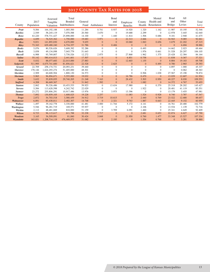#### 2017 County Tax Rates for 2018

| County          | 2017<br>Population | Assessed<br>Tangible<br>Valuation | Total<br><b>Bonded</b><br>Indebtedness | General<br>Fund | Ambulance      | <b>Bond</b><br>and<br>Interest | Employee<br><b>Benefits</b> | County<br>Health | Mental<br>Health and<br>Retardation | Road<br>and<br><b>Bridge</b> | All<br>Other<br>Levies | Total<br>Levy |
|-----------------|--------------------|-----------------------------------|----------------------------------------|-----------------|----------------|--------------------------------|-----------------------------|------------------|-------------------------------------|------------------------------|------------------------|---------------|
| Pratt           | 9,584              | 164, 192, 188                     | 1,005,500                              | 11.284          | 0.741          | 0.937                          | 14.920                      | 1.320            | 1.162                               | 11.987                       | 10.195                 | 52.546        |
| Rawlins         | 2,549              | 58,245,119                        | 7,070,588                              | 20.560          | 3.670          | $\mathbf{0}$                   | 19.688                      | 2.299            | $\mathbf{0}$                        | 12.978                       | 3.445                  | 62.640        |
| Reno            | 63,220             | 578, 731, 427                     | 25,898,000                             | 14.100          | $\overline{0}$ | 1.440                          | 11.814                      | 1.506            | 0.686                               | 9.181                        | 2.948                  | 41.675        |
| <b>Republic</b> | 4,699              | 76,525,362                        | 1,750,000                              | 19.683          | 3.971          | $\mathbf{0}$                   | 22.313                      | 2.666            | $\mathbf{0}$                        | 34.943                       | 9.085                  | 92.661        |
| <b>Rice</b>     | 9,831              | 141,893,830                       | 4,670,000                              | 9.655           | $\mathbf{0}$   | $\mathbf{0}$                   | 10.060                      | 1.063            | 0.656                               | 3.679                        | 22.202                 | 47.315        |
| <b>Riley</b>    | 73,343             | 629,480,240                       | 6,734,357                              | 31.786          | $\overline{0}$ | 0.406                          | $\mathbf{0}$                | $\overline{0}$   | $\overline{0}$                      | $\overline{0}$               | 6.694                  | 38.886        |
| <b>Rooks</b>    | 5,076              | 80,526,626                        | 3,608,392                              | 52.286          | $\Omega$       | $\Omega$                       | $\Omega$                    | 0.493            | $\Omega$                            | 14.662                       | 2.023                  | 69.464        |
| <b>Rush</b>     | 3,058              | 49,134,098                        | 7,045,779                              | 51.643          | $\Omega$       | $\mathbf{0}$                   | $\Omega$                    | 1.976            | 0.661                               | 31.528                       | 20.297                 | 106.105       |
| Russell         | 6,988              | 93,769,807                        | 3,730,526                              | 12.272          | 2.875          | $\Omega$                       | 27.868                      | 1.962            | 1.375                               | 25.428                       | 12.384                 | 84.164        |
| <b>Saline</b>   | 55,142             | 580,414,013                       | 2,441,601                              | 17.507          | $\mathbf{0}$   | $\overline{0}$                 | 6.851                       | 0.758            | $\overline{0}$                      | 11.838                       | 0.367                  | 37.321        |
| <b>Scott</b>    | 5,032              | 88,077,683                        | 22,015,000                             | 27.883          | $\mathbf{0}$   | $\mathbf{0}$                   | 12.603                      | 1.155            | $\mathbf{0}$                        | 8.884                        | 19.183                 | 69.708        |
| <b>Sedgwick</b> | 511,995            | 4,675,741,600                     | 81,856,621                             | 22.528          | $\overline{0}$ | 2.625                          | $\mathbf{0}$                | $\overline{0}$   | 0.495                               | 0.780                        | 2.965                  | 29.393        |
| <b>Seward</b>   | 22,709             | 258, 174, 731                     | 20,093,231                             | 39.440          | $\Omega$       | $\overline{0}$                 | $\Omega$                    | $\Omega$         | $\mathbf{0}$                        | 4.897                        | 1.000                  | 45.337        |
| <b>Shawnee</b>  | 178,146            | 1,624,293,274                     | 51,405,000                             | 48.301          | $\Omega$       | $\Omega$                       | $\theta$                    | $\Omega$         | $\Omega$                            | $\overline{0}$               | 0.062                  | 48.363        |
| <b>Sheridan</b> | 2,509              | 60,600,504                        | 1,800,130                              | 34.573          | $\Omega$       | $\Omega$                       | $\Omega$                    | 0.506            | 1.038                               | 27.567                       | 15.190                 | 78.874        |
| <b>Sherman</b>  | 5,965              | 96,894,671                        | 5,555,000                              | 19.032          | $\mathbf{0}$   | $\overline{0}$                 | 16.786                      | 0.470            | $\overline{0}$                      | 13.039                       | 12.607                 | 61.934        |
| <b>Smith</b>    | 3,632              | 55,839,055                        | 29,740,205                             | 21.248          | 7.163          | $\mathbf{0}$                   | 28.432                      | 3.503            | 0.950                               | 40.227                       | 8.030                  | 109.553       |
| <b>Stafford</b> | 4,208              | 86,669,367                        | $\overline{0}$                         | 31.842          | 1.592          | $\overline{0}$                 | $\mathbf{0}$                | 1.082            | $\overline{0}$                      | 14.372                       | 4.767                  | 53.655        |
| <b>Stanton</b>  | 2,062              | 50,326,486                        | 10,453,533                             | 59.923          | $\Omega$       | 13.634                         | 17.980                      | $\Omega$         | 0.370                               | 25.318                       | 28.202                 | 145.427       |
| <b>Stevens</b>  | 5,584              | 113,628,598                       | 4,242,742                              | 22.029          | $\Omega$       | $\Omega$                       | $\overline{0}$              | 1.922            | $\Omega$                            | 20.481                       | 41.119                 | 85.551        |
| <b>Sumner</b>   | 23,272             | 255,806,291                       | 10,917,486                             | 13.976          | $\mathbf{0}$   | 3.975                          | 13.396                      | $\mathbf{0}$     | $\mathbf{0}$                        | 13.179                       | 3.455                  | 47.981        |
| <b>Thomas</b>   | 7,892              | 130,859,105                       | 1,608,025                              | 19.228          | 2.257          |                                | 11.083                      | 1.524            | 0.928                               | 8.740                        | 3.787                  | 47.547        |
| <b>Trego</b>    | 2,872              | 54,703,518                        | 3,580,459                              | 34.912          | 3.719          | 10.615                         | $\overline{0}$              | 2.440            | 0.769                               | 23.522                       | 12.680                 | 88.657        |
| Wabaunsee       | 6,891              | 83,438,811                        | 2,482,307                              | 14.748          | $\overline{0}$ | 2.321                          | 9.763                       | 1.887            | 0.643                               | 22.445                       | 9.152                  | 60.959        |
| Wallace         | 1,497              | 39, 162, 778                      | 3,330,000                              | 41.481          | 3.000          | 11.744                         | 5.172                       | 4.141            | $\mathbf{0}$                        | 16.761                       | 20.480                 | 102.779       |
| Washington      | 5,546              | 96,281,719                        | 169,571                                | 55.937          | $\overline{0}$ | $\mathbf{0}$                   | $\overline{0}$              | 2.106            | $\mathbf{0}$                        | 13.534                       | 1.139                  | 72.716        |
| Wichita         | 2,112              | 48,481,069                        | 810,000                                | 51.159          | $\mathbf{0}$   | 3.709                          | 6.091                       | 1.460            | $\mathbf{0}$                        | 25.341                       | 4.649                  | 92.409        |
| <b>Wilson</b>   | 8,723              | 96,115,617                        | 611,788                                | 32.238          | 2.717          | $\mathbf{0}$                   | $\overline{0}$              | 2.681            | 0.653                               | 22.874                       | 6.627                  | 67.790        |
| Woodson         | 3,165              | 36,509,091                        | 81,060                                 | 30.424          | 3.848          | $\mathbf{0}$                   | 21.950                      | 0.760            | 1.477                               | 33.348                       | 15.527                 | 107.334       |
| Wyandotte       | 163,831            | 1,208,714,119                     | 476,469,973                            | 31.082          | $\mathbf{0}$   | 2.195                          | $\overline{0}$              | 1.554            | 0.768                               | $\mathbf{0}$                 | 3.281                  | 38.880        |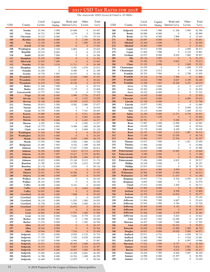#### 2017 USD TAX RATES FOR 2018

The statewide USD General Fund is 20 Mills.

|            |                                  | Local            | Capital                   | Bond and                         | Other                              | Total            |            |                                      | Local            | Capital          | Bond and                             | Other                            | Total            |
|------------|----------------------------------|------------------|---------------------------|----------------------------------|------------------------------------|------------------|------------|--------------------------------------|------------------|------------------|--------------------------------------|----------------------------------|------------------|
| <b>USD</b> | County                           | Levies           | Outlay                    | Interest Levy                    | Levies                             | Levy             | <b>USD</b> | County                               | Levies           | Outlay           | Interest Levy                        | Levies                           | Levy             |
| 101        | <b>Neosho</b>                    | 25.340           | 3.999                     | 25.068                           | $\boldsymbol{0}$                   | 54.407           | 268        | Sedgwick                             | 19.048           | 7.988            | 11.368                               | 3.994                            | 42.398           |
| 102<br>103 | Gray<br>Cheyenne                 | 16.731<br>10.215 | 3.999<br>8.000            | 4.276<br>$\mathbf{0}$            | $\boldsymbol{0}$<br>1.101          | 25.006<br>19.316 | 269<br>270 | <b>Rooks</b><br><b>Rooks</b>         | 20.890<br>16.756 | 8.000<br>8.000   | $\boldsymbol{0}$<br>7.888            | $\mathbf{0}$<br>$\mathbf{0}$     | 28.890<br>32.644 |
| 105        | <b>Rawlins</b>                   | 20.026           | 8.000                     | $\mathbf{0}$                     | 2.340                              | 30.366           | 271        | <b>Rooks</b>                         | 20.897           | 8.000            | 7.704                                | $\mathbf{0}$                     | 36.601           |
| 106        | <b>Ness</b>                      | 12.120           | 6.000                     | $\boldsymbol{0}$                 | 1.000                              | 19.120           | 272        | <b>Mitchell</b>                      | 22.260           | 4.696            | $\mathbf{0}$                         | $\mathbf{0}$                     | 26.956           |
| 107        | <b>Jewell</b>                    | 15.303           | 1.999                     | $\mathbf{0}$                     | $\overline{0}$                     | 17.302           | 273        | <b>Mitchell</b>                      | 19.302           | 7.999            | $\overline{0}$                       | $\overline{0}$                   | 27.301           |
| 108        | Washington                       | 23.295           | 5.528                     | 6.802                            | $\mathbf{0}$                       | 35.625           | 274        | Logan                                | 18.413           | 8.000            | $\boldsymbol{0}$                     | 2.000                            | 28.413           |
| 109<br>110 | <b>Republic</b><br>Smith         | 19.372<br>26.051 | 8.003<br>7.994            | $\mathbf{0}$<br>$\mathbf{0}$     | $\overline{0}$<br>$\overline{0}$   | 27.375<br>34.306 | 275<br>281 | Logan<br>Graham                      | 11.845<br>22.073 | 7.996<br>8.000   | $\boldsymbol{0}$<br>8.054            | 0.120<br>1.800                   | 19.961<br>39.927 |
| 111        | <b>Doniphan</b>                  | 15.103           | 5.999                     | $\mathbf{0}$                     | $\overline{0}$                     | 21.102           | 282        | Elk                                  | 28.136           | 3.997            | $\boldsymbol{0}$                     | $\mathbf{0}$                     | 32.133           |
| 112        | <b>Ellsworth</b>                 | 14.953           | 7.990                     | $\overline{0}$                   | $\mathbf{0}$                       | 22.943           | 283        | Elk                                  | 23.450           | 1.728            | 9.835                                | $\boldsymbol{0}$                 | 35.013           |
| 113        | <b>Nemaha</b>                    | 17.261           | 5.216                     | 11.711                           | $\mathbf{0}$                       | 34.188           | 284        | <b>Chase</b>                         | 21.332           | 8.000            | $\mathbf{0}$                         | 3.000                            | 32.332           |
| 114        | Doniphan                         | 18.855           | $\boldsymbol{0}$          | 8.581                            | 4.576                              | 32.012           | 285        | Chautauqua                           | 16.470           | $\boldsymbol{0}$ | $\mathbf{0}$                         | 1.000                            | 17.470           |
| 115<br>200 | Nemaha<br>Greeley                | 14.250<br>19.778 | $\boldsymbol{0}$<br>7.997 | 6.949<br>10.575                  | $\mathbf{0}$<br>$\boldsymbol{0}$   | 21.199<br>38.350 | 286<br>287 | Chautauqua<br>Franklin               | 22.356<br>20.703 | 2.013<br>7.994   | $\boldsymbol{0}$<br>$\boldsymbol{0}$ | $\boldsymbol{0}$<br>2.798        | 24.369<br>31.495 |
| 202        | Wyandotte                        | 19.123           | 8.000                     | 13.430                           | 7.000                              | 47.553           | 288        | <b>Franklin</b>                      | 19.726           | 4.746            | 7.496                                | $\mathbf{0}$                     | 31.968           |
| 203        | Wyandotte                        | 17.475           | 8.000                     | 12.947                           | $\mathbf{0}$                       | 38.422           | 289        | <b>Franklin</b>                      | 16.024           | 7.998            | 8.047                                | 4.199                            | 36.268           |
| 204        | Wyandotte                        | 16.478           | 7.940                     | 18.156                           | $\boldsymbol{0}$                   | 42.575           | 290        | <b>Franklin</b>                      | 15.398           | 7.947            | 19.368                               | 6.357                            | 49.070           |
| 205        | <b>Butler</b>                    | 21.520           | 7.998                     | $\boldsymbol{0}$                 | $\overline{0}$                     | 29.518           | 291        | Gove                                 | 8.765            | 4.000            | $\mathbf{0}$                         | $\mathbf{0}$                     | 12.675           |
| 206<br>207 | <b>Butler</b><br>Leavenworth     | 19.951<br>13.777 | 5.500<br>3.962            | 7.157<br>$\mathbf{0}$            | $\overline{0}$<br>$\boldsymbol{0}$ | 32.608<br>17.739 | 292<br>293 | Gove<br>Gove                         | 18.202<br>19.222 | 8.000<br>8.000   | $\boldsymbol{0}$<br>$\overline{0}$   | $\mathbf{0}$<br>$\overline{0}$   | 26.202<br>27.222 |
| 208        | <b>Trego</b>                     | 20.160           | 8.000                     | 5.989                            | 3.726                              | 37.875           | 294        | <b>Decatur</b>                       | 14.918           | 8.000            | $\mathbf{0}$                         | $\mathbf{0}$                     | 22.918           |
| 209        | <b>Stevens</b>                   | 21.866           | 8.000                     | $\boldsymbol{0}$                 | 3.433                              | 33.299           | 297        | <b>Chevenne</b>                      | 16.653           | 8.000            | $\boldsymbol{0}$                     | 6.000                            | 30.653           |
| 210        | <b>Stevens</b>                   | 18.196           | 8.000                     | 19.359                           | 6.019                              | 51.574           | 298        | Lincoln                              | 23.768           | 8.000            | $\overline{0}$                       | $\overline{0}$                   | 31.768           |
| 211        | <b>Norton</b>                    | 20.015           | 5.500                     | 9.562                            | 2.000                              | 37.077           | 299        | Lincoln                              | 15.077           | 5.992            | $\mathbf{0}$                         | $\mathbf{0}$                     | 21.069           |
| 212<br>214 | <b>Norton</b>                    | 26.919           | 8.000<br>5.000            | $\boldsymbol{0}$<br>$\mathbf{0}$ | $\mathbf{0}$<br>7.741              | 34.919<br>29.493 | 300<br>303 | Comanche<br><b>Ness</b>              | 23.458<br>15.113 | 7.994<br>8.000   | $\boldsymbol{0}$<br>$\mathbf{0}$     | 0.999<br>2.408                   | 32.451<br>25.521 |
| 215        | Grant<br><b>Kearny</b>           | 16.752<br>19.889 | 8.000                     | $\boldsymbol{0}$                 | 5.011                              | 32.900           | 305        | <b>Saline</b>                        | 16.380           | 8.000            | 11.371                               | 0.750                            | 36.501           |
| 216        | <b>Kearny</b>                    | 19.002           | 7.995                     | $\boldsymbol{0}$                 | 5.997                              | 32.994           | 306        | <b>Saline</b>                        | 18.511           | 7.439            | $\mathbf{0}$                         | $\mathbf{0}$                     | 25.950           |
| 217        | <b>Morton</b>                    | 21.785           | 8.000                     | $\overline{0}$                   | 4.452                              | 34.237           | 307        | <b>Saline</b>                        | 24.781           | $\mathbf{0}$     | 9.496                                | $\overline{0}$                   | 34.277           |
| 218        | <b>Morton</b>                    | 6.595            | 3.990                     | $\mathbf{0}$                     | 2.992                              | 13.577           | 308        | Reno                                 | 17.887           | 4.998            | 12.098                               | $\mathbf{0}$                     | 34.983           |
| 219<br>220 | <b>Clark</b><br><b>Clark</b>     | 23.775<br>24.840 | 4.002<br>5.390            | 9.489<br>$\mathbf{0}$            | 1.000<br>0.899                     | 38.266<br>31.129 | 309<br>310 | Reno<br>Reno                         | 19.670<br>22.178 | 5.498<br>8.000   | 3.848<br>8.450                       | $\overline{0}$<br>$\mathbf{0}$   | 29.016<br>38.628 |
| 223        | <b>Washington</b>                | 21.254           | 7.999                     | $\boldsymbol{0}$                 | $\mathbf{0}$                       | 29.253           | 311        | <b>Reno</b>                          | 24.197           | 7.995            | 5.333                                | 1.987                            | 39.512           |
| 224        | <b>Washington</b>                | 20.243           | 4.000                     | $\boldsymbol{0}$                 | $\mathbf{0}$                       | 24.243           | 312        | <b>Reno</b>                          | 17.180           | 7.998            | 15.538                               | $\mathbf{0}$                     | 40.716           |
| 225        | <b>Meade</b>                     | 29.346           | 7.996                     | 8.835                            | 1.999                              | 48.176           | 313        | <b>Reno</b>                          | 15.964           | 7.937            | 12.356                               | $\mathbf{0}$                     | 36.257           |
| 226        | <b>Meade</b>                     | 17.976           | 7.998                     | 4.954                            | 1.000                              | 31.928           | 314        | <b>Thomas</b>                        | 15.637           | 7.000            | $\mathbf{0}$                         | 1.021                            | 23.658           |
| 227<br>229 | Hodgeman<br>Johnson              | 23.485<br>15.403 | 7.993<br>8.000            | 9.332<br>17.627                  | 1.499<br>5.584                     | 42.309<br>46.614 | 315<br>316 | <b>Thomas</b><br><b>Thomas</b>       | 17.966<br>23.996 | 8.000<br>2.000   | $\boldsymbol{0}$<br>$\boldsymbol{0}$ | $\mathbf{0}$<br>$\mathbf{0}$     | 25.966<br>25.996 |
| 230        | <b>Johnson</b>                   | 18.294           | 8.000                     | 6.812                            | 10.715                             | 43.821           | 320        | <b>Pottawatomie</b>                  | 15.610           | 3.998            | 15.992                               | $\mathbf{0}$                     | 35.600           |
| 231        | <b>Johnson</b>                   | 18.592           | 7.997                     | 15.017                           | 5.375                              | 46.981           | 321        | <b>Pottawatomie</b>                  | 9.380            | 8.000            | $\mathbf{0}$                         | $\mathbf{0}$                     | 17.380           |
| 232        | <b>Johnson</b>                   | 15.920           | 7.998                     | 20.089                           | 3.460                              | 47.467           | 322        | <b>Pottawatomie</b>                  | 22.047           | 7.598            | $\mathbf{0}$                         | $\overline{0}$                   | 29.645           |
| 233        | <b>Johnson</b>                   | 18.822           | 8.000                     | 15.140                           | 9.212<br>2.612                     | 51.174           | 323<br>325 | Pottawatomie                         | 17.694           | 3.000            | 8.823<br>$\overline{0}$              | $\overline{0}$<br>$\overline{0}$ | 29.517           |
| 234<br>235 | <b>Bourbon</b><br><b>Bourbon</b> | 13.785<br>22.118 | 6.564<br>2.000            | 12.726<br>4.018                  | $\overline{0}$                     | 35.687<br>28.136 | 326        | <b>Phillips</b><br><b>Phillips</b>   | 18.249<br>23.837 | 5.948<br>5.933   | $\boldsymbol{0}$                     | $\overline{0}$                   | 24.197<br>29.770 |
| 237        | <b>Smith</b>                     | 23.452           | 7.961                     | $\mathbf{0}$                     | $\mathbf{0}$                       | 31.413           | 327        | <b>Ellsworth</b>                     | 18.611           | 6.985            | 5.939                                | $\mathbf{0}$                     | 31.535           |
| 239        | <b>Ottawa</b>                    | 19.451           | 3.395                     | 10.506                           | $\Omega$                           | 33.352           | 329        | <b>Wabaunsee</b>                     | 20.966           | 8.000            | 11.646                               | $\Omega$                         | 40.612           |
| 240        | <b>Ottawa</b>                    | 22.069           | 6.000                     | 6.607                            | $\boldsymbol{0}$                   | 34.676           | 330        | <b>Wabaunsee</b>                     | 21.769           | 8.000            | 11.415                               | $\mathbf{0}$                     | 41.184           |
| 241<br>242 | <b>Wallace</b><br><b>Wallace</b> | 20.163<br>28.143 | 4.000<br>8.000            | $\boldsymbol{0}$<br>$\mathbf{0}$ | $\overline{0}$<br>$\boldsymbol{0}$ | 24.163<br>36.143 | 331<br>332 | <b>Kingman</b><br><b>Kingman</b>     | 19.832<br>8.693  | 7.716<br>7.886   | 8.765<br>$\boldsymbol{0}$            | 5.930<br>$\overline{0}$          | 42.243<br>16.579 |
| 243        | Coffey                           | 18.598           | 4.000                     | 8.341                            | $\boldsymbol{0}$                   | 30.939           | 333        | <b>Cloud</b>                         | 17.512           | 8.000            | 3.205                                | $\mathbf{0}$                     | 28.717           |
| 244        | <b>Coffey</b>                    | 4.559            | 4.999                     | $\mathbf{0}$                     | 4.042                              | 13.600           | 334        | <b>Cloud</b>                         | 27.582           | 8.000            | $\mathbf{0}$                         | $\mathbf{0}$                     | 35.582           |
| 245        | <b>Coffey</b>                    | 24.697           | 3.984                     | $\boldsymbol{0}$                 | $\mathbf{0}$                       | 28.681           | 335        | <b>Jackson</b>                       | 19.163           | 5.248            | 8.398                                | $\mathbf{0}$                     | 32.809           |
| 246<br>247 | <b>Crawford</b><br>Crawford      | 18.362<br>20.897 | 4.000<br>8.000            | 7.068<br>$\boldsymbol{0}$        | $\mathbf{0}$<br>$\mathbf{0}$       | 29.430<br>28.897 | 336<br>337 | <b>Jackson</b><br><b>Jackson</b>     | 16.353<br>17.165 | 8.000<br>8.000   | 14.024<br>$\boldsymbol{0}$           | $\mathbf{0}$<br>$\overline{0}$   | 38.377<br>25.165 |
| 248        | Crawford                         | 18.110           | 4.000                     | 11.825                           | 1.000                              | 34.935           | 338        | Jefferson                            | 21.004           | 7.999            | 6.607                                | $\overline{0}$                   | 35.610           |
| 249        | Crawford                         | 16.728           | 4.000                     | 5.546                            | 2.000                              | 28.274           | 339        | <b>Jefferson</b>                     | 23.945           | 2.999            | 5.784                                | $\overline{0}$                   | 32.728           |
| 250        | <b>Crawford</b>                  | 17.647           | 2.205                     | 10.072                           | $\mathbf{0}$                       | 29.924           | 340        | <b>Jefferson</b>                     | 20.483           | 8.000            | 5.152                                | $\mathbf{0}$                     | 33.635           |
| 251        | Lyon                             | 12.505           | 7.999                     | $\boldsymbol{0}$                 | $\mathbf{0}$                       | 20.504           | 341        | <b>Jefferson</b>                     | 20.443           | 8.000            | $\mathbf{0}$                         | $\mathbf{0}$                     | 28.443           |
| 252<br>253 | Lyon<br>Lyon                     | 24.963<br>16.544 | 8.000<br>8.000            | 17.937<br>9.026                  | 1.000<br>9.779                     | 51.900<br>43.349 | 342<br>343 | <b>Jefferson</b><br><b>Jefferson</b> | 21.004<br>18.430 | 3.000<br>8.000   | 5.279<br>9.493                       | $\overline{0}$<br>$\overline{0}$ | 29.283<br>35.923 |
| 254        | <b>Barber</b>                    | 18.580           | 7.983                     | $\boldsymbol{0}$                 | 1.706                              | 28.269           | 344        | Linn                                 | 23.453           | 3.503            | 16.496                               | $\overline{0}$                   | 43.452           |
| 255        | <b>Barber</b>                    | 17.274           | 8.008                     | $\boldsymbol{0}$                 | 1.502                              | 26.784           | 345        | <b>Shawnee</b>                       | 16.457           | 7.448            | 7.688                                | $\overline{0}$                   | 31.593           |
| 256        | <b>Allen</b>                     | 24.147           | 2.000                     | $\boldsymbol{0}$                 | $\mathbf{0}$                       | 26.147           | 346        | Linn                                 | 21.609           | 8.000            | 10.322                               | $\mathbf{0}$                     | 39.931           |
| 257        | <b>Allen</b>                     | 18.364           | 8.000                     | $\boldsymbol{0}$                 | $\boldsymbol{0}$                   | 26.364           | 347<br>348 | <b>Edwards</b><br><b>Douglas</b>     | 24.820           | 8.000            | 13.900                               | 2.000                            | 48.720           |
| 258<br>259 | <b>Allen</b><br>Sedgwick         | 19.944<br>17.553 | 7.999<br>8.000            | 7.516<br>8.055                   | $\mathbf{0}$<br>0.125              | 35.459<br>33.733 | 349        | <b>Stafford</b>                      | 16.651<br>25.071 | 8.000<br>6.791   | 19.020<br>$\boldsymbol{0}$           | 5.000<br>4.850                   | 48.671<br>36.712 |
| 260        | Sedgwick                         | 17.170           | 7.997                     | 7.478                            | 8.039                              | 40.684           | 350        | <b>Stafford</b>                      | 21.880           | 7.983            | $\boldsymbol{0}$                     | 3.818                            | 33.681           |
| 261        | Sedgwick                         | 21.023           | 8.000                     | 6.944                            | $\boldsymbol{0}$                   | 35.967           | 351        | <b>Stafford</b>                      | 15.000           | 3.989            | $\boldsymbol{0}$                     | 0.997                            | 19.986           |
| 262        | <b>Sedgwick</b>                  | 14.913           | 5.036                     | 20.325                           | 4.600                              | 44.874           | 352        | <b>Sherman</b>                       | 17.922           | 2.699            | 8.737                                | $\mathbf{0}$                     | 29.358           |
| 263        | <b>Sedgwick</b>                  | 18.274           | 8.000                     | 9.807                            | 6.316                              | 42.397           | 353<br>355 | <b>Sumner</b>                        | 18.625           | 7.999            | 9.816                                | 5.891                            | 42.331           |
| 264<br>265 | <b>Sedgwick</b><br>Sedgwick      | 16.257<br>15.995 | 8.000<br>8.000            | 18.025<br>16.399                 | 3.000<br>0.001                     | 45.282<br>40.395 | 356        | <b>Barton</b><br><b>Sumner</b>       | 23.839<br>19.420 | 8.000<br>7.995   | 8.632<br>6.846                       | 3.000<br>3.997                   | 43.471<br>38.258 |
| 266        | Sedgwick                         | 14.788           | 8.000                     | 16.762                           | 1.000                              | 40.550           | 357        | <b>Sumner</b>                        | 14.996           | 8.000            | 15.597                               | $\overline{0}$                   | 38.593           |
| 267        | Sedgwick                         | 16.469           | 8.000                     | 13.875                           | $\boldsymbol{0}$                   | 38.344           | 358        | <b>Sumner</b>                        | 15.719           | 8.000            | 9.911                                | $\boldsymbol{0}$                 | 33.630           |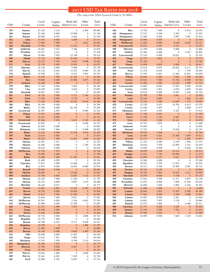#### 2017 USD TAX RATES FOR 2018

The statewide USD General Fund is 20 Mills.

| <b>USD</b> | County                             | Local<br>Levies  | Capital<br>Outlay       | Bond and<br>Interest Levy            | Other<br>Levies                      | Total<br>Levy    | <b>USD</b> | County                            | Local<br>Levies  | Capital<br>Outlay | Bond and<br>Interest Levy  | Other<br>Levies                  | Total<br>Levy    |
|------------|------------------------------------|------------------|-------------------------|--------------------------------------|--------------------------------------|------------------|------------|-----------------------------------|------------------|-------------------|----------------------------|----------------------------------|------------------|
| 359        | <b>Sumner</b>                      | 23.342           | 3.154                   | $\mathbf{0}$                         | 2.500                                | 28.996           | 444        | <b>Rice</b>                       | 15.728           | 7.990             | $\overline{0}$             | 0.516                            | 24.234           |
| 360        | <b>Sumner</b>                      | 27.160           | 8.000                   | 15.999                               | $\overline{0}$                       | 51.159           | 445        | Montgomery                        | 17.512           | 3.649             | 2.392                      | $\mathbf{0}$                     | 23.553           |
| 361        | <b>Harper</b>                      | 20.980           | 8.033                   | 4.665                                | $\overline{0}$                       | 33.678           | 446        | <b>Montgomery</b>                 | 15.268           | 4.094             | 4.087                      | 2.467                            | 25.916           |
| 362        | Linn                               | 13.532           | 8.000                   | 4.209                                | $\mathbf{0}$                         | 25.741           | 447        | <b>Montgomery</b>                 | 16.060           | 5.485             | $\mathbf{0}$               | $\mathbf{0}$                     | 21.545           |
| 363        | <b>Finney</b>                      | 17.804           | 7.998                   | $\boldsymbol{0}$                     | 4.601                                | 30.403           | 448        | <b>McPherson</b>                  | 21.828           | 8.000             | 8.648                      | 0.655                            | 39.131           |
| 364<br>365 | <b>Marshall</b><br><b>Anderson</b> | 17.936<br>19.561 | 7.302<br>7.012          | 12.153<br>7.306                      | $\mathbf{0}$<br>$\overline{0}$       | 37.391<br>33.879 | 449<br>450 | Leavenworth<br><b>Shawnee</b>     | 18.221<br>14.799 | 5.503<br>8.000    | 9.513<br>9.089             | $\mathbf{0}$<br>$\boldsymbol{0}$ | 33.237<br>31.888 |
| 366        | Woodson                            | 22.377           | 5.101                   | $\mathbf{0}$                         | $\boldsymbol{0}$                     | 27.478           | 452        | <b>Stanton</b>                    | 21.566           | 4.000             | $\boldsymbol{0}$           | 3.427                            | 28.993           |
| 367        | Miami                              | 18.686           | 7.976                   | 12.748                               | $\mathbf{0}$                         | 39.410           | 453        | Leavenworth                       | 17.314           | 8.000             | 18.021                     | $\mathbf{0}$                     | 43.335           |
| 368        | <b>Miami</b>                       | 17.119           | 7.996                   | 10.442                               | $\mathbf{0}$                         | 35.557           | 454        | <b>Osage</b>                      | 21.772           | 4.001             | $\mathbf{0}$               | $\mathbf{0}$                     | 25.773           |
| 369        | <b>Harvey</b>                      | 25.473           | 7.978                   | 9.035                                | 0.998                                | 43.484           | 456        | <b>Osage</b>                      | 23.794           | $\boldsymbol{0}$  | $\mathbf{0}$               | $\mathbf{0}$                     | 23.794           |
| 371        | Gray                               | 22.579           | 5.495                   | 13.953                               | $\overline{0}$                       | 42.027           | 457        | <b>Finney</b>                     | 14.958           | 8.003             | 5.850                      | $\mathbf{0}$                     | 28.811           |
| 372<br>373 | <b>Shawnee</b><br><b>Harvey</b>    | 16.140<br>16.152 | 8.000<br>6.915          | 9.998<br>11.072                      | $\boldsymbol{0}$<br>9.000            | 34.138<br>43.139 | 458<br>459 | Leavenworth<br>Ford               | 14.618<br>21.474 | 6.001<br>6.016    | 20.024<br>$\boldsymbol{0}$ | 0.111<br>1.759                   | 40.754<br>29.249 |
| 374        | <b>Haskell</b>                     | 19.700           | 7.921                   | 8.222                                | 3.907                                | 39.750           | 460        | <b>Harvey</b>                     | 17.539           | 6.601             | 13.496                     | 13.022                           | 50.658           |
| 375        | <b>Butler</b>                      | 14.678           | 7.998                   | 21.364                               | $\mathbf{0}$                         | 44.040           | 461        | <b>Wilson</b>                     | 24.836           | 6.500             | 5.664                      | 3.500                            | 40.500           |
| 376        | <b>Rice</b>                        | 19.885           | 8.000                   | 24.900                               | 2.557                                | 55.342           | 462        | <b>Cowley</b>                     | 20.034           | 7.986             | 15.746                     | 0.998                            | 44.764           |
| 377        | <b>Atchison</b>                    | 23.448           | 3.999                   | $\mathbf{0}$                         | $\mathbf{0}$                         | 27.447           | 463        | <b>Cowley</b>                     | 21.296           | 5.996             | 12.225                     | 1.999                            | 41.516           |
| 378        | <b>Riley</b>                       | 17.792           | 8.000                   | 3.602                                | $\mathbf{0}$                         | 29.394           | 464        | Leavenworth                       | 14.803           | 8.000             | 17.653                     | 5.500                            | 45.956           |
| 379<br>380 | Clay<br><b>Marshall</b>            | 14.258<br>16.947 | 6.000<br>7.997          | 3.625<br>$\mathbf{0}$                | $\mathbf{0}$<br>$\mathbf{0}$         | 23.883<br>24.944 | 465<br>466 | Cowley<br><b>Scott</b>            | 17.959<br>18.618 | 7.001<br>8.000    | 6.035<br>13.852            | 4.669<br>2.250                   | 35.664<br>42.720 |
| 381        | Ford                               | 18.752           | 2.000                   | 6.721                                | 3.748                                | 31.221           | 467        | Wichita                           | 22.798           | 7.995             | 4.861                      | $\mathbf{0}$                     | 35.654           |
| 382        | Pratt                              | 17.760           | 8.000                   | 5.179                                | $\mathbf{0}$                         | 30.939           | 468        | Lane                              | 26.144           | 8.000             | $\boldsymbol{0}$           | 1.000                            | 35.144           |
| 383        | <b>Riley</b>                       | 17.620           | 8.000                   | 10.202                               | 0.446                                | 36.268           | 469        | Leavenworth                       | 15.745           | 7.989             | 14.049                     | 1.175                            | 38.958           |
| 384        | <b>Riley</b>                       | 26.394           | 8.000                   | $\mathbf{0}$                         | $\boldsymbol{0}$                     | 34.394           | 470        | Cowley                            | 15.238           | 5.023             | 16.704                     | 6.613                            | 43.578           |
| 385        | <b>Butler</b>                      | 13.398           | 8.000                   | 26.194                               | $\mathbf{0}$                         | 47.592           | 471        | Cowley                            | 21.920           | 7.997             | $\boldsymbol{0}$           | 2.000                            | 31.917           |
| 386        | Greenwood                          | 24.567           | 6.953                   | $\mathbf{0}$<br>$\boldsymbol{0}$     | 0.994<br>$\overline{0}$              | 32.514           | 473<br>474 | <b>Dickinson</b>                  | 19.197           | 2.492             | 5.325<br>$\mathbf{0}$      | $\mathbf{0}$<br>$\mathbf{0}$     | 27.014<br>23.190 |
| 387<br>388 | <b>Wilson</b><br><b>Ellis</b>      | 17.937<br>18.152 | 4.000<br>8.000          | $\mathbf{0}$                         | $\mathbf{0}$                         | 21.937<br>26.152 | 475        | <b>Kiowa</b><br><b>Geary</b>      | 17.189<br>17.198 | 6.001<br>2.336    | 3.991                      | $\mathbf{0}$                     | 23.525           |
| 389        | <b>Greenwood</b>                   | 20.566           | 7.976                   | 9.431                                | 3.150                                | 41.123           | 476        | Gray                              | 15.824           | 2.948             | 18.161                     | $\mathbf{0}$                     | 36.933           |
| 390        | Greenwood                          | 33.825           | $\boldsymbol{0}$        | $\mathbf{0}$                         | 0.498                                | 34.323           | 477        | Gray                              | 23.701           | 7.997             | $\boldsymbol{0}$           | $\mathbf{0}$                     | 31.698           |
| 392        | Osborne                            | 22.855           | 8.000                   | $\boldsymbol{0}$                     | $\boldsymbol{0}$                     | 30.855           | 479        | <b>Anderson</b>                   | 16.005           | $\mathbf{0}$      | $\boldsymbol{0}$           | $\mathbf{0}$                     | 16.005           |
| 393        | <b>Dickinson</b>                   | 19.908           | 7.986                   | $\mathbf{0}$                         | 0.998                                | 28.892           | 480        | <b>Seward</b>                     | 17.152           | $\mathbf{0}$      | 13.045                     | $\mathbf{0}$                     | 30.197           |
| 394<br>395 | <b>Butler</b><br><b>Rush</b>       | 14.535<br>22.014 | 8.000<br>5.005          | 16.106<br>$\mathbf{0}$               | 4.818<br>$\mathbf{0}$                | 43.459<br>27.019 | 481<br>482 | <b>Dickinson</b><br>Lane          | 28.826<br>16.404 | 7.968<br>4.301    | $\boldsymbol{0}$<br>25.306 | $\mathbf{0}$<br>1.000            | 36.794<br>47.011 |
| 396        | <b>Butler</b>                      | 20.224           | 7.999                   | 14.401                               | 1.000                                | 43.624           | 483        | <b>Seward</b>                     | 22.173           | 0.701             | $\overline{0}$             | 2.000                            | 24.874           |
| 397        | <b>Marion</b>                      | 14.361           | 7.971                   | $\mathbf{0}$                         | $\mathbf{0}$                         | 22.332           | 484        | Wilson                            | 21.724           | 4.000             | 4.150                      | 1.500                            | 31.374           |
| 398        | <b>Marion</b>                      | 24.492           | 6.000                   | $\boldsymbol{0}$                     | 1.766                                | 32.258           | 487        | <b>Dickinson</b>                  | 18.624           | 7.978             | 22.695                     | 3.142                            | 52.439           |
| 399        | Osborne                            | 18.619           | 8.000                   | $\boldsymbol{0}$                     | $\mathbf{0}$                         | 26.619           | 489        | <b>Ellis</b>                      | 14.920           | 8.000             | $\boldsymbol{0}$           | 0.646                            | 23.566           |
| 400        | <b>McPherson</b>                   | 15.726           | 7.974                   | $\mathbf{0}$                         | $\overline{0}$                       | 23.700           | 490        | <b>Butler</b>                     | 16.699           | 5.499             | 23.214                     | $\mathbf{0}$                     | 45.412           |
| 401<br>402 | <b>Rice</b><br><b>Butler</b>       | 25.800<br>14.008 | 5.989<br>7.999          | $\mathbf{0}$<br>21.394               | $\mathbf{0}$<br>$\overline{0}$       | 31.789<br>43.401 | 491<br>492 | <b>Douglas</b><br><b>Butler</b>   | 13.653<br>23.899 | 7.724<br>6.237    | 29.996<br>8.621            | $\mathbf{0}$<br>$\mathbf{0}$     | 51.373<br>38.757 |
| 403        | <b>Rush</b>                        | 23.488           | 6.028                   | $\mathbf{0}$                         | $\mathbf{0}$                         | 29.516           | 493        | <b>Cherokee</b>                   | 18.266           | 4.000             | $\boldsymbol{0}$           | $\mathbf{0}$                     | 22.266           |
| 404        | <b>Cherokee</b>                    | 17.817           | 5.998                   | 12.840                               | $\boldsymbol{0}$                     | 36.655           | 494        | <b>Hamilton</b>                   | 25.023           | 7.979             | 11.033                     | $\mathbf{0}$                     | 44.035           |
| 405        | Rice                               | 12.973           | 8.000                   | 14.001                               | 8.000                                | 42.974           | 495        | <b>Pawnee</b>                     | 19.211           | 0.100             | 18.909                     | 2.501                            | 40.721           |
| 407        | <b>Russell</b>                     | 20.856           | 8.000                   | $\mathbf{0}$                         | $\mathbf{0}$                         | 28.856           | 496        | <b>Pawnee</b>                     | 26.744           | 0.150             | $\mathbf{0}$               | $\mathbf{0}$                     | 26.894           |
| 408<br>409 | <b>Marion</b><br><b>Atchison</b>   | 20.405<br>15.740 | $\overline{0}$<br>5.006 | 12.420<br>13.853                     | $\overline{0}$<br>7.142              | 32.825<br>41.741 | 497<br>498 | <b>Douglas</b><br><b>Marshall</b> | 16.702<br>22.979 | 7.802<br>8.000    | 10.435<br>4.158            | 1.011<br>$\mathbf{0}$            | 35.950<br>35.137 |
| 410        | <b>Marion</b>                      | 22.455           | 7.998                   | 11.326                               | $\boldsymbol{0}$                     | 41.779           | 499        | <b>Cherokee</b>                   | 17.652           | 3.998             | 11.511                     | 0.997                            | 34.158           |
| 411        | <b>Marion</b>                      | 24.374           | 4.000                   | 9.887                                | 1.219                                | 39.480           | 500        | Wyandotte                         | 13.533           | 8.000             | 7.858                      | 11.036                           | 40.426           |
| 412        | Sheridan                           | 20.160           | 8.017                   | $\mathbf{0}$                         | $\boldsymbol{0}$                     | 28.177           | 501        | <b>Shawnee</b>                    | 16.609           | 7.858             | 5.995                      | 0.240                            | 30.702           |
| 413        | <b>Neosho</b>                      | 14.981           | 6.897                   | 13.363                               | 6.034                                | 41.275           | 502        | <b>Edwards</b>                    | 11.890           | 2.800             | $\mathbf{0}$               | $\mathbf{0}$                     | 14.690           |
| 415        | <b>Brown</b>                       | 18.703           | 6.000                   | 10.603                               | $\boldsymbol{0}$                     | 35.306           | 503        | Labette                           | 20.044           | 2.003             | 11.833                     | 6.500                            | 40.380           |
| 416<br>417 | <b>Miami</b><br><b>Morris</b>      | 15.612<br>21.644 | 7.994<br>7.000          | 21.296<br>8.837                      | $\mathbf{0}$<br>$\boldsymbol{0}$     | 44.902<br>37.481 | 504<br>505 | Labette<br>Labette                | 17.692<br>33.407 | 8.000<br>8.000    | 5.249<br>2.261             | 2.000<br>$\mathbf{0}$            | 32.941<br>43.668 |
| 418        | <b>McPherson</b>                   | 20.361           | 8.000                   | 3.166                                | 6.003                                | 37.530           | 506        | Labette                           | 16.841           | 7.997             | 5.130                      | $\boldsymbol{0}$                 | 29.968           |
| 419        | <b>McPherson</b>                   | 24.099           | 8.000                   | 15.788                               | $\boldsymbol{0}$                     | 47.887           | 507        | <b>Haskell</b>                    | 15.475           | 3.868             | $\boldsymbol{0}$           | 0.968                            | 20.311           |
| 420        | Osage                              | 21.472           | 4.998                   | 7.075                                | $\boldsymbol{0}$                     | 33.545           | 508        | <b>Cherokee</b>                   | 21.771           | 8.009             | 5.249                      | $\mathbf{0}$                     | 35.029           |
| 421        | Osage                              | 20.558           | 5.000                   | $\boldsymbol{0}$                     | $\boldsymbol{0}$                     | 25.558           | 509        | <b>Sumner</b>                     | 27.194           | 7.988             | 7.252                      | $\mathbf{0}$                     | 42.434           |
| 422<br>423 | Kiowa<br><b>McPherson</b>          | 11.404<br>20.718 | 8.000<br>8.000          | $\boldsymbol{0}$<br>$\boldsymbol{0}$ | $\mathbf{0}$<br>2.006                | 19.404<br>30.724 | 511<br>512 | <b>Harper</b><br>Johnson          | 27.955<br>16.058 | 5.934<br>8.000    | $\mathbf{0}$<br>7.440      | $\mathbf{0}$<br>2.165            | 33.889<br>33.663 |
| 426        | <b>Republic</b>                    | 23.175           | 7.490                   | $\boldsymbol{0}$                     | $\boldsymbol{0}$                     | 30.665           |            |                                   |                  |                   |                            |                                  |                  |
| 428        | <b>Barton</b>                      | 18.789           | 6.525                   | 0.717                                | 8.500                                | 34.531           |            |                                   |                  |                   |                            |                                  |                  |
| 429        | <b>Doniphan</b>                    | 19.799           | $\boldsymbol{0}$        | $\boldsymbol{0}$                     | 1.998                                | 21.797           |            |                                   |                  |                   |                            |                                  |                  |
| 430        | <b>Brown</b>                       | 21.880           | 3.000                   | $\boldsymbol{0}$                     | $\boldsymbol{0}$                     | 24.880           |            |                                   |                  |                   |                            |                                  |                  |
| 431        | <b>Barton</b>                      | 18.146           | 6.006                   | 6.692                                | 4.500                                | 35.344           |            |                                   |                  |                   |                            |                                  |                  |
| 432<br>434 | <b>Ellis</b><br>Osage              | 20.496<br>17.615 | 8.000<br>7.951          | 11.853<br>2.982                      | $\boldsymbol{0}$<br>$\boldsymbol{0}$ | 40.439<br>28.548 |            |                                   |                  |                   |                            |                                  |                  |
| 435        | <b>Dickinson</b>                   | 17.242           | 7.976                   | 8.390                                | 3.210                                | 36.818           |            |                                   |                  |                   |                            |                                  |                  |
| 436        | <b>Montgomery</b>                  | 20.204           | 7.970                   | $\boldsymbol{0}$                     | $\mathbf{0}$                         | 28.174           |            |                                   |                  |                   |                            |                                  |                  |
| 437        | <b>Shawnee</b>                     | 14.796           | 8.000                   | 8.401                                | $\mathbf{0}$                         | 31.197           |            |                                   |                  |                   |                            |                                  |                  |
| 438        | <b>Pratt</b>                       | 20.183           | 8.000                   | $\mathbf{0}$                         | $\mathbf{0}$                         | 28.183           |            |                                   |                  |                   |                            |                                  |                  |
| 439<br>440 | <b>Harvey</b>                      | 19.644           | 1.000<br>6.001          | $\boldsymbol{0}$                     | 2.000<br>$\overline{0}$              | 22.644           |            |                                   |                  |                   |                            |                                  |                  |
| 443        | <b>Harvey</b><br>Ford              | 19.361<br>22.898 | 5.781                   | 7.403<br>8.497                       | $\overline{0}$                       | 32.765<br>37.176 |            |                                   |                  |                   |                            |                                  |                  |